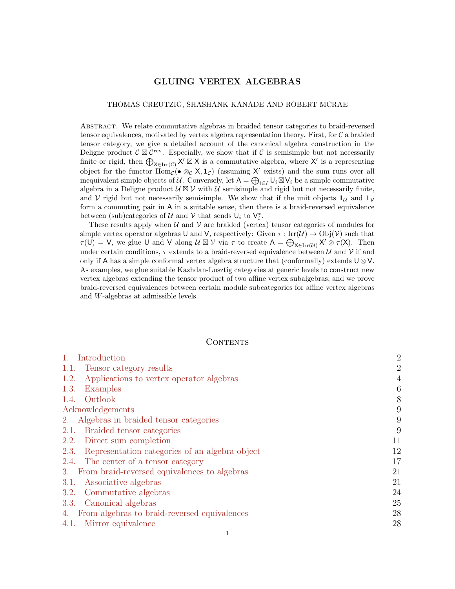# GLUING VERTEX ALGEBRAS

### THOMAS CREUTZIG, SHASHANK KANADE AND ROBERT MCRAE

Abstract. We relate commutative algebras in braided tensor categories to braid-reversed tensor equivalences, motivated by vertex algebra representation theory. First, for  $\mathcal C$  a braided tensor category, we give a detailed account of the canonical algebra construction in the Deligne product  $\mathcal{C} \boxtimes \mathcal{C}^{\text{rev}}$ . Especially, we show that if  $\mathcal{C}$  is semisimple but not necessarily finite or rigid, then  $\bigoplus_{X \in \text{Irr}(\mathcal{C})} X' \boxtimes X$  is a commutative algebra, where X' is a representing object for the functor  $\text{Hom}_{\mathcal{C}}(\bullet \otimes_{\mathcal{C}} X, 1_{\mathcal{C}})$  (assuming X' exists) and the sum runs over all inequivalent simple objects of U. Conversely, let  $A = \bigoplus_{i \in I} U_i \boxtimes V_i$  be a simple commutative algebra in a Deligne product  $\mathcal{U} \boxtimes \mathcal{V}$  with  $\mathcal{U}$  semisimple and rigid but not necessarily finite, and V rigid but not necessarily semisimple. We show that if the unit objects  $\mathbf{1}_U$  and  $\mathbf{1}_V$ form a commuting pair in A in a suitable sense, then there is a braid-reversed equivalence between (sub)categories of  $\mathcal U$  and  $\mathcal V$  that sends  $\mathsf U_i$  to  $\mathsf V_i^*$ .

These results apply when  $U$  and  $V$  are braided (vertex) tensor categories of modules for simple vertex operator algebras U and V, respectively: Given  $\tau : \text{Irr}(\mathcal{U}) \to \text{Obj}(\mathcal{V})$  such that  $\tau(U) = V$ , we glue U and V along  $\mathcal{U} \boxtimes \mathcal{V}$  via  $\tau$  to create  $A = \bigoplus_{X \in \text{Irr}(\mathcal{U})} X' \otimes \tau(X)$ . Then under certain conditions,  $\tau$  extends to a braid-reversed equivalence between U and V if and only if A has a simple conformal vertex algebra structure that (conformally) extends  $\mathsf{U} \otimes \mathsf{V}$ . As examples, we glue suitable Kazhdan-Lusztig categories at generic levels to construct new vertex algebras extending the tensor product of two affine vertex subalgebras, and we prove braid-reversed equivalences between certain module subcategories for affine vertex algebras and W-algebras at admissible levels.

## CONTENTS

| Introduction<br>$\mathbb{1}$ .                      | $\overline{2}$ |
|-----------------------------------------------------|----------------|
| Tensor category results<br>1.1.                     | $\overline{2}$ |
| Applications to vertex operator algebras<br>1.2.    | $\overline{4}$ |
| Examples<br>1.3.                                    | 6              |
| Outlook<br>1.4.                                     | 8              |
| Acknowledgements                                    | 9              |
| 2. Algebras in braided tensor categories            | 9              |
| Braided tensor categories<br>2.1.                   | 9              |
| Direct sum completion<br>2.2.                       | 11             |
| 2.3. Representation categories of an algebra object | 12             |
| 2.4. The center of a tensor category                | 17             |
| From braid-reversed equivalences to algebras<br>3.  | 21             |
| Associative algebras<br>3.1.                        | 21             |
| Commutative algebras<br>3.2.                        | 24             |
| 3.3. Canonical algebras                             | 25             |
| 4. From algebras to braid-reversed equivalences     | 28             |
| 4.1. Mirror equivalence                             | 28             |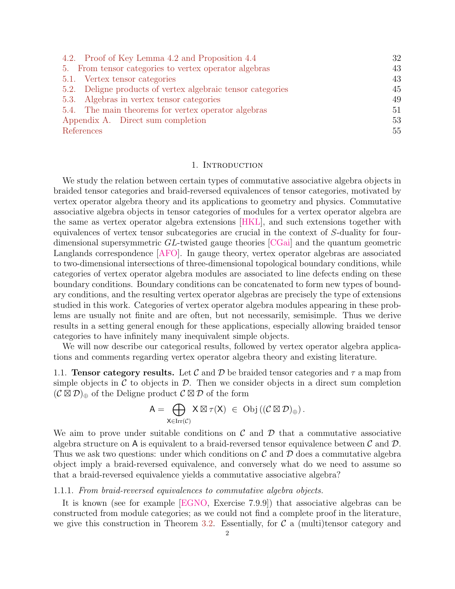| 4.2. Proof of Key Lemma 4.2 and Proposition 4.4             | 32 |
|-------------------------------------------------------------|----|
| 5. From tensor categories to vertex operator algebras       | 43 |
| 5.1. Vertex tensor categories                               | 43 |
| 5.2. Deligne products of vertex algebraic tensor categories | 45 |
| 5.3. Algebras in vertex tensor categories                   | 49 |
| 5.4. The main theorems for vertex operator algebras         | 51 |
| Appendix A. Direct sum completion                           | 53 |
| References                                                  | 55 |

## 1. INTRODUCTION

<span id="page-1-0"></span>We study the relation between certain types of commutative associative algebra objects in braided tensor categories and braid-reversed equivalences of tensor categories, motivated by vertex operator algebra theory and its applications to geometry and physics. Commutative associative algebra objects in tensor categories of modules for a vertex operator algebra are the same as vertex operator algebra extensions [\[HKL\]](#page-56-0), and such extensions together with equivalences of vertex tensor subcategories are crucial in the context of S-duality for fourdimensional supersymmetric GL-twisted gauge theories [\[CGai\]](#page-55-0) and the quantum geometric Langlands correspondence [\[AFO\]](#page-54-1). In gauge theory, vertex operator algebras are associated to two-dimensional intersections of three-dimensional topological boundary conditions, while categories of vertex operator algebra modules are associated to line defects ending on these boundary conditions. Boundary conditions can be concatenated to form new types of boundary conditions, and the resulting vertex operator algebras are precisely the type of extensions studied in this work. Categories of vertex operator algebra modules appearing in these problems are usually not finite and are often, but not necessarily, semisimple. Thus we derive results in a setting general enough for these applications, especially allowing braided tensor categories to have infinitely many inequivalent simple objects.

We will now describe our categorical results, followed by vertex operator algebra applications and comments regarding vertex operator algebra theory and existing literature.

<span id="page-1-1"></span>1.1. **Tensor category results.** Let C and D be braided tensor categories and  $\tau$  a map from simple objects in  $\mathcal C$  to objects in  $\mathcal D$ . Then we consider objects in a direct sum completion  $(C \boxtimes \mathcal{D})_{\oplus}$  of the Deligne product  $C \boxtimes \mathcal{D}$  of the form

$$
A=\bigoplus_{X\in \mathrm{Irr}(\mathcal{C})}X\boxtimes \tau(X)\ \in\ \mathrm{Obj}\,((\mathcal{C}\boxtimes \mathcal{D})_\oplus)\,.
$$

We aim to prove under suitable conditions on  $\mathcal C$  and  $\mathcal D$  that a commutative associative algebra structure on A is equivalent to a braid-reversed tensor equivalence between  $\mathcal C$  and  $\mathcal D$ . Thus we ask two questions: under which conditions on  $\mathcal C$  and  $\mathcal D$  does a commutative algebra object imply a braid-reversed equivalence, and conversely what do we need to assume so that a braid-reversed equivalence yields a commutative associative algebra?

## 1.1.1. From braid-reversed equivalences to commutative algebra objects.

It is known (see for example [\[EGNO,](#page-55-1) Exercise 7.9.9]) that associative algebras can be constructed from module categories; as we could not find a complete proof in the literature, we give this construction in Theorem [3.2.](#page-22-0) Essentially, for  $\mathcal C$  a (multi)tensor category and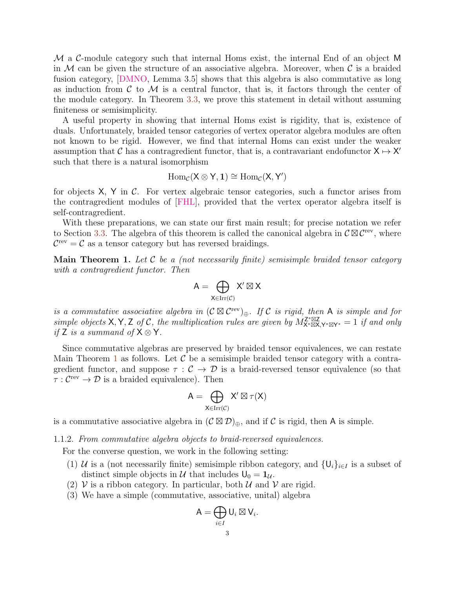M a C-module category such that internal Homs exist, the internal End of an object M in  $M$  can be given the structure of an associative algebra. Moreover, when  $C$  is a braided fusion category, [\[DMNO,](#page-55-2) Lemma 3.5] shows that this algebra is also commutative as long as induction from  $\mathcal C$  to  $\mathcal M$  is a central functor, that is, it factors through the center of the module category. In Theorem [3.3,](#page-23-1) we prove this statement in detail without assuming finiteness or semisimplicity.

A useful property in showing that internal Homs exist is rigidity, that is, existence of duals. Unfortunately, braided tensor categories of vertex operator algebra modules are often not known to be rigid. However, we find that internal Homs can exist under the weaker assumption that C has a contragredient functor, that is, a contravariant endofunctor  $X \mapsto X'$ such that there is a natural isomorphism

$$
\operatorname{Hom}_{\mathcal{C}}(X\otimes Y,1)\cong \operatorname{Hom}_{\mathcal{C}}(X,Y')
$$

for objects  $X$ ,  $Y$  in  $C$ . For vertex algebraic tensor categories, such a functor arises from the contragredient modules of [\[FHL\]](#page-55-3), provided that the vertex operator algebra itself is self-contragredient.

With these preparations, we can state our first main result; for precise notation we refer to Section [3.3.](#page-24-0) The algebra of this theorem is called the canonical algebra in  $\mathcal{C} \boxtimes \mathcal{C}^{\text{rev}}$ , where  $\mathcal{C}^{\text{rev}} = \mathcal{C}$  as a tensor category but has reversed braidings.

<span id="page-2-0"></span>**Main Theorem 1.** Let  $\mathcal C$  be a (not necessarily finite) semisimple braided tensor category with a contragredient functor. Then

$$
A=\bigoplus_{X\in \mathrm{Irr}(\mathcal{C})} X'\boxtimes X
$$

is a commutative associative algebra in  $(C \boxtimes C^{\text{rev}})_{\oplus}$ . If C is rigid, then A is simple and for simple objects X, Y, Z of C, the multiplication rules are given by  $M_{X^* \boxtimes X,Y^* \boxtimes Y^*}^{Z^* \boxtimes Z} = 1$  if and only if Z is a summand of  $X \otimes Y$ .

Since commutative algebras are preserved by braided tensor equivalences, we can restate Main Theorem [1](#page-2-0) as follows. Let  $\mathcal C$  be a semisimple braided tensor category with a contragredient functor, and suppose  $\tau : \mathcal{C} \to \mathcal{D}$  is a braid-reversed tensor equivalence (so that  $\tau : C^{\text{rev}} \to \mathcal{D}$  is a braided equivalence). Then

$$
A=\bigoplus_{X\in \operatorname{Irr}(\mathcal{C})}X'\boxtimes \tau(X)
$$

is a commutative associative algebra in  $(C \boxtimes \mathcal{D})_{\oplus}$ , and if C is rigid, then A is simple.

1.1.2. From commutative algebra objects to braid-reversed equivalences.

For the converse question, we work in the following setting:

- (1) U is a (not necessarily finite) semisimple ribbon category, and  $\{U_i\}_{i\in I}$  is a subset of distinct simple objects in U that includes  $U_0 = 1_U$ .
- (2) V is a ribbon category. In particular, both  $\mathcal U$  and  $\mathcal V$  are rigid.
- (3) We have a simple (commutative, associative, unital) algebra

$$
\mathsf{A}=\bigoplus_{i\in I}\mathsf{U}_i\boxtimes\mathsf{V}_i.
$$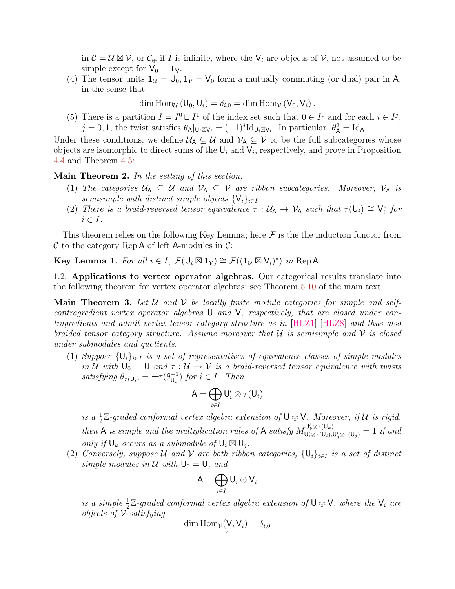in  $\mathcal{C} = \mathcal{U} \boxtimes \mathcal{V}$ , or  $\mathcal{C}_{\oplus}$  if I is infinite, where the  $V_i$  are objects of  $\mathcal{V}$ , not assumed to be simple except for  $V_0 = 1_V$ .

(4) The tensor units  $\mathbf{1}_{\mathcal{U}} = \mathsf{U}_0, \mathbf{1}_{\mathcal{V}} = \mathsf{V}_0$  form a mutually commuting (or dual) pair in A, in the sense that

dim Hom<sub>U</sub>  $(U_0, U_i) = \delta_{i,0} = \dim \text{Hom}_{\mathcal{V}}(V_0, V_i)$ .

(5) There is a partition  $I = I^0 \sqcup I^1$  of the index set such that  $0 \in I^0$  and for each  $i \in I^j$ ,  $j = 0, 1$ , the twist satisfies  $\theta_{\mathsf{A}}|_{\mathsf{U}_i \boxtimes \mathsf{V}_i} = (-1)^j \mathrm{Id}_{\mathsf{U}_i \boxtimes \mathsf{V}_i}$ . In particular,  $\theta_{\mathsf{A}}^2 = \mathrm{Id}_{\mathsf{A}}$ .

Under these conditions, we define  $U_A \subseteq U$  and  $V_A \subseteq V$  to be the full subcategories whose objects are isomorphic to direct sums of the  $\mathsf{U}_i$  and  $\mathsf{V}_i$ , respectively, and prove in Proposition [4.4](#page-30-1) and Theorem [4.5:](#page-31-1)

Main Theorem 2. In the setting of this section,

- (1) The categories  $U_A \subseteq U$  and  $V_A \subseteq V$  are ribbon subcategories. Moreover,  $V_A$  is semisimple with distinct simple objects  $\{V_i\}_{i\in I}$ .
- (2) There is a braid-reversed tensor equivalence  $\tau : \mathcal{U}_A \to \mathcal{V}_A$  such that  $\tau(U_i) \cong V_i^*$  for  $i \in I$ .

This theorem relies on the following Key Lemma; here  $\mathcal F$  is the the induction functor from  $\mathcal C$  to the category Rep A of left A-modules in  $\mathcal C$ :

<span id="page-3-2"></span>**Key Lemma 1.** For all  $i \in I$ ,  $\mathcal{F}(\mathsf{U}_i \boxtimes \mathsf{1}_{\mathcal{V}}) \cong \mathcal{F}((\mathsf{1}_{\mathcal{U}} \boxtimes \mathsf{V}_i)^*)$  in Rep A.

<span id="page-3-0"></span>1.2. Applications to vertex operator algebras. Our categorical results translate into the following theorem for vertex operator algebras; see Theorem [5.10](#page-50-1) of the main text:

<span id="page-3-1"></span>**Main Theorem 3.** Let  $U$  and  $V$  be locally finite module categories for simple and selfcontragredient vertex operator algebras U and V, respectively, that are closed under contragredients and admit vertex tensor category structure as in [\[HLZ1\]](#page-56-1)-[\[HLZ8\]](#page-56-2) and thus also braided tensor category structure. Assume moreover that  $\mathcal U$  is semisimple and  $\mathcal V$  is closed under submodules and quotients.

(1) Suppose  $\{U_i\}_{i\in I}$  is a set of representatives of equivalence classes of simple modules in U with  $U_0 = U$  and  $\tau : U \to V$  is a braid-reversed tensor equivalence with twists satisfying  $\theta_{\tau(U_i)} = \pm \tau (\theta_{U_i}^{-1})$  $\bigcup_{i=1}^{-1}$  for  $i \in I$ . Then

$$
\mathsf{A}=\bigoplus_{i\in I}\mathsf{U}'_i\otimes\tau(\mathsf{U}_i)
$$

is a  $\frac{1}{2}\mathbb{Z}$ -graded conformal vertex algebra extension of  $\mathsf{U}\otimes\mathsf{V}$ . Moreover, if  $\mathcal U$  is rigid, then A is simple and the multiplication rules of A satisfy  $M_{\mathsf{L}^1/\otimes \tau(\mathsf{L}^1)}^{\mathsf{U}'_k \otimes \tau(\mathsf{U}_k)}$  $\mathcal{L}^{U_k \otimes \tau(U_k)}_{U'_i \otimes \tau(U_i),U'_j \otimes \tau(U_j)} = 1$  if and only if  $\mathsf{U}_k$  occurs as a submodule of  $\mathsf{U}_i \boxtimes \mathsf{U}_j$ .

(2) Conversely, suppose U and V are both ribbon categories,  $\{U_i\}_{i\in I}$  is a set of distinct simple modules in  $\mathcal U$  with  $\mathsf{U}_0 = \mathsf{U}$ , and

$$
\mathsf{A}=\bigoplus_{i\in I}\mathsf{U}_i\otimes\mathsf{V}_i
$$

is a simple  $\frac{1}{2}\mathbb{Z}$ -graded conformal vertex algebra extension of  $\mathsf{U}\otimes\mathsf{V}$ , where the  $\mathsf{V}_i$  are objects of  $\mathcal V$  satisfying

$$
\dim \mathrm{Hom}_{\mathcal{V}}(V, V_i) = \delta_{i,0}
$$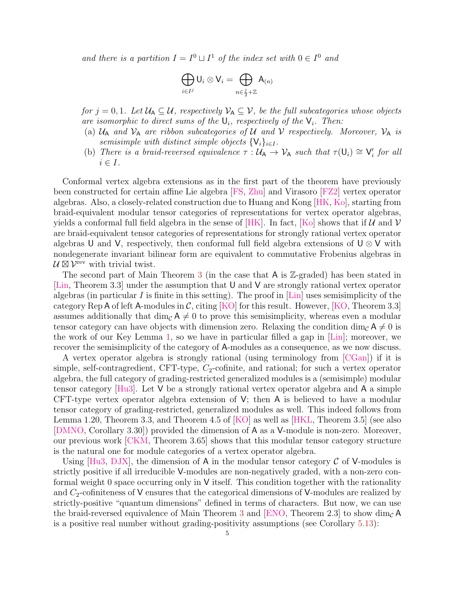and there is a partition  $I = I^0 \sqcup I^1$  of the index set with  $0 \in I^0$  and

$$
\bigoplus_{i\in I^j}{\sf U}_i\otimes{\sf V}_i=\bigoplus_{n\in\frac{j}{2}+\mathbb Z}{\sf A}_{(n)}
$$

for  $j = 0, 1$ . Let  $\mathcal{U}_A \subseteq \mathcal{U}$ , respectively  $\mathcal{V}_A \subseteq \mathcal{V}$ , be the full subcategories whose objects are isomorphic to direct sums of the  $\mathsf{U}_i$ , respectively of the  $\mathsf{V}_i$ . Then:

- (a)  $U_A$  and  $V_A$  are ribbon subcategories of U and V respectively. Moreover,  $V_A$  is semisimple with distinct simple objects  $\{V_i\}_{i\in I}$ .
- (b) There is a braid-reversed equivalence  $\tau : \mathcal{U}_A \to \mathcal{V}_A$  such that  $\tau(U_i) \cong V'_i$  for all  $i \in I$ .

Conformal vertex algebra extensions as in the first part of the theorem have previously been constructed for certain affine Lie algebra [\[FS,](#page-55-4) [Zhu\]](#page-57-0) and Virasoro [\[FZ2\]](#page-55-5) vertex operator algebras. Also, a closely-related construction due to Huang and Kong [\[HK,](#page-56-3) [Ko\]](#page-57-1), starting from braid-equivalent modular tensor categories of representations for vertex operator algebras, yields a conformal full field algebra in the sense of  $|HK|$ . In fact,  $|K_0|$  shows that if U and V are braid-equivalent tensor categories of representations for strongly rational vertex operator algebras U and V, respectively, then conformal full field algebra extensions of  $\mathsf{U} \otimes \mathsf{V}$  with nondegenerate invariant bilinear form are equivalent to commutative Frobenius algebras in  $\mathcal{U} \boxtimes \mathcal{V}^{\text{rev}}$  with trivial twist.

The second part of Main Theorem [3](#page-3-1) (in the case that A is Z-graded) has been stated in [\[Lin,](#page-57-2) Theorem 3.3] under the assumption that U and V are strongly rational vertex operator algebras (in particular I is finite in this setting). The proof in  $\text{Lin}$  uses semisimplicity of the category Rep A of left A-modules in  $\mathcal{C}$ , citing [\[KO\]](#page-57-3) for this result. However, [\[KO,](#page-57-3) Theorem 3.3] assumes additionally that dim<sub>C</sub>  $A \neq 0$  to prove this semisimplicity, whereas even a modular tensor category can have objects with dimension zero. Relaxing the condition dim<sub>C</sub>  $A \neq 0$  is the work of our Key Lemma [1,](#page-3-2) so we have in particular filled a gap in [\[Lin\]](#page-57-2); moreover, we recover the semisimplicity of the category of A-modules as a consequence, as we now discuss.

A vertex operator algebra is strongly rational (using terminology from [\[CGan\]](#page-55-6)) if it is simple, self-contragredient, CFT-type,  $C_2$ -cofinite, and rational; for such a vertex operator algebra, the full category of grading-restricted generalized modules is a (semisimple) modular tensor category  $[Hu3]$ . Let V be a strongly rational vertex operator algebra and A a simple CFT-type vertex operator algebra extension of V; then A is believed to have a modular tensor category of grading-restricted, generalized modules as well. This indeed follows from Lemma 1.20, Theorem 3.3, and Theorem 4.5 of [\[KO\]](#page-57-3) as well as [\[HKL,](#page-56-0) Theorem 3.5] (see also [\[DMNO,](#page-55-2) Corollary 3.30]) provided the dimension of A as a V-module is non-zero. Moreover, our previous work [\[CKM,](#page-55-7) Theorem 3.65] shows that this modular tensor category structure is the natural one for module categories of a vertex operator algebra.

Using  $[Hu3, DJX]$  $[Hu3, DJX]$ , the dimension of A in the modular tensor category C of V-modules is strictly positive if all irreducible V-modules are non-negatively graded, with a non-zero conformal weight 0 space occurring only in V itself. This condition together with the rationality and  $C_2$ -cofiniteness of V ensures that the categorical dimensions of V-modules are realized by strictly-positive "quantum dimensions" defined in terms of characters. But now, we can use the braid-reversed equivalence of Main Theorem [3](#page-3-1) and [\[ENO,](#page-55-9) Theorem 2.3] to show dim<sub>C</sub> A is a positive real number without grading-positivity assumptions (see Corollary [5.13\)](#page-52-1):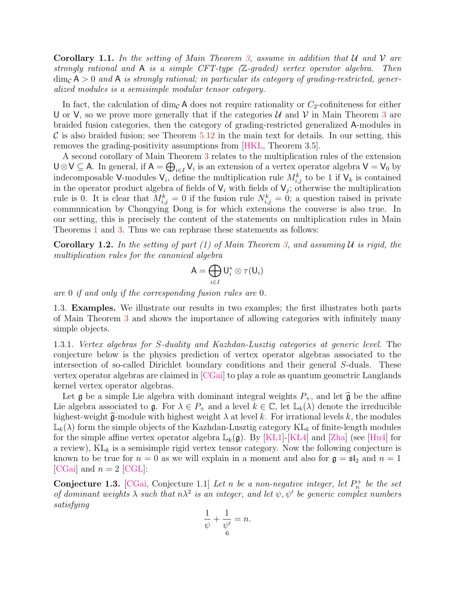**Corollary 1.1.** In the setting of Main Theorem [3,](#page-3-1) assume in addition that U and V are strongly rational and A is a simple CFT-type (Z-graded) vertex operator algebra. Then  $\dim_{\mathcal{C}} A > 0$  and A is strongly rational; in particular its category of grading-restricted, generalized modules is a semisimple modular tensor category.

In fact, the calculation of dim<sub>C</sub> A does not require rationality or  $C_2$ -cofiniteness for either U or V, so we prove more generally that if the categories  $U$  and  $V$  in Main Theorem [3](#page-3-1) are braided fusion categories, then the category of grading-restricted generalized A-modules in  $\mathcal C$  is also braided fusion; see Theorem [5.12](#page-51-0) in the main text for details. In our setting, this removes the grading-positivity assumptions from [\[HKL,](#page-56-0) Theorem 3.5].

A second corollary of Main Theorem [3](#page-3-1) relates to the multiplication rules of the extension  $\bigcup \otimes V \subseteq A$ . In general, if  $A = \bigoplus_{i \in I} V_i$  is an extension of a vertex operator algebra  $V = V_0$  by indecomposable V-modules  $V_i$ , define the multiplication rule  $M_{i,j}^k$  to be 1 if  $V_k$  is contained in the operator product algebra of fields of  $V_i$  with fields of  $V_j$ ; otherwise the multiplication rule is 0. It is clear that  $M_{i,j}^k = 0$  if the fusion rule  $N_{i,j}^k = 0$ ; a question raised in private communication by Chongying Dong is for which extensions the converse is also true. In our setting, this is precisely the content of the statements on multiplication rules in Main Theorems [1](#page-2-0) and [3.](#page-3-1) Thus we can rephrase these statements as follows:

**Corollary 1.2.** In the setting of part (1) of Main Theorem [3,](#page-3-1) and assuming U is rigid, the multiplication rules for the canonical algebra

$$
\mathsf{A}=\bigoplus_{i\in I}\mathsf{U}_i^*\otimes \tau(\mathsf{U}_i)
$$

are 0 if and only if the corresponding fusion rules are 0.

<span id="page-5-0"></span>1.3. Examples. We illustrate our results in two examples; the first illustrates both parts of Main Theorem [3](#page-3-1) and shows the importance of allowing categories with infinitely many simple objects.

1.3.1. Vertex algebras for S-duality and Kazhdan-Lusztig categories at generic level. The conjecture below is the physics prediction of vertex operator algebras associated to the intersection of so-called Dirichlet boundary conditions and their general S-duals. These vertex operator algebras are claimed in [\[CGai\]](#page-55-0) to play a role as quantum geometric Langlands kernel vertex operator algebras.

Let g be a simple Lie algebra with dominant integral weights  $P_+$ , and let  $\hat{\mathfrak{g}}$  be the affine Lie algebra associated to g. For  $\lambda \in P_+$  and a level  $k \in \mathbb{C}$ , let  $\mathbb{L}_k(\lambda)$  denote the irreducible highest-weight  $\hat{\mathfrak{g}}$ -module with highest weight  $\lambda$  at level k. For irrational levels k, the modules  $\mathbb{L}_k(\lambda)$  form the simple objects of the Kazhdan-Lusztig category KL<sub>k</sub> of finite-length modules for the simple affine vertex operator algebra  $\mathbb{L}_k(\mathfrak{g})$ . By [\[KL1\]](#page-56-5)-[\[KL4\]](#page-57-4) and [\[Zha\]](#page-57-5) (see [\[Hu4\]](#page-56-6) for a review),  $KL_k$  is a semisimple rigid vertex tensor category. Now the following conjecture is known to be true for  $n = 0$  as we will explain in a moment and also for  $\mathfrak{g} = \mathfrak{sl}_2$  and  $n = 1$ [\[CGai\]](#page-55-0) and  $n = 2$  [\[CGL\]](#page-55-10):

**Conjecture 1.3.** [\[CGai,](#page-55-0) Conjecture 1.1] Let n be a non-negative integer, let  $P_n^+$  be the set of dominant weights  $\lambda$  such that  $n\lambda^2$  is an integer, and let  $\psi, \psi'$  be generic complex numbers satisfying

$$
\frac{1}{\psi} + \frac{1}{\psi'} = n.
$$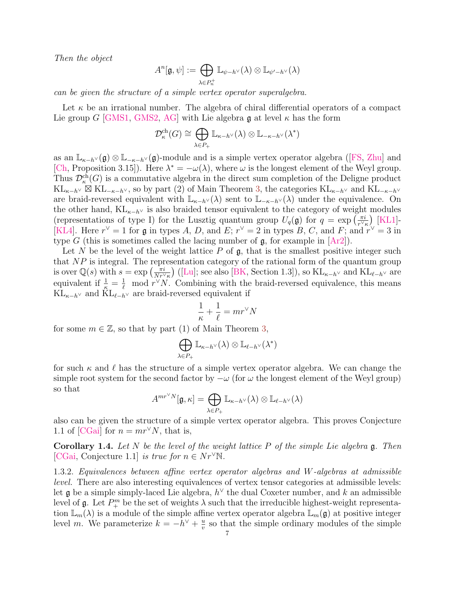Then the object

$$
A^n[\mathfrak{g},\psi]:=\bigoplus_{\lambda\in P_n^+}\mathbb{L}_{\psi-h^\vee}(\lambda)\otimes\mathbb{L}_{\psi'-h^\vee}(\lambda)
$$

can be given the structure of a simple vertex operator superalgebra.

Let  $\kappa$  be an irrational number. The algebra of chiral differential operators of a compact Lie group G [\[GMS1,](#page-55-11) [GMS2,](#page-55-12) [AG\]](#page-54-2) with Lie algebra g at level  $\kappa$  has the form

$$
\mathcal{D}_{\kappa}^{\mathrm{ch}}(G) \cong \bigoplus_{\lambda \in P_+} \mathbb{L}_{\kappa - h^{\vee}}(\lambda) \otimes \mathbb{L}_{-\kappa - h^{\vee}}(\lambda^*)
$$

asan  $\mathbb{L}_{\kappa-h} \vee (\mathfrak{g}) \otimes \mathbb{L}_{-\kappa-h} \vee (\mathfrak{g})$ -module and is a simple vertex operator algebra ([\[FS,](#page-55-4) [Zhu\]](#page-57-0) and [\[Ch,](#page-55-13) Proposition 3.15]). Here  $\lambda^* = -\omega(\lambda)$ , where  $\omega$  is the longest element of the Weyl group. Thus  $\mathcal{D}_{\kappa}^{\text{ch}}(G)$  is a commutative algebra in the direct sum completion of the Deligne product  $KL_{\kappa-h}$ <sup>V</sup>  $\boxtimes$  KL<sub>- $\kappa-h$ </sub><sup>V</sup>, so by part (2) of Main Theorem [3,](#page-3-1) the categories KL<sub> $\kappa-h$ </sub><sup>V</sup> and KL<sub>- $\kappa-h$ </sub> are braid-reversed equivalent with  $\mathbb{L}_{\kappa-h} \vee (\lambda)$  sent to  $\mathbb{L}_{-\kappa-h} \vee (\lambda)$  under the equivalence. On the other hand,  $KL_{\kappa-h}$  is also braided tensor equivalent to the category of weight modules (representations of type I) for the Lusztig quantum group  $U_q(\mathfrak{g})$  for  $q = \exp\left(\frac{\pi i}{r^{\vee}q}\right)$  $\frac{\pi i}{r^{\vee}\kappa}\Big)$  [\[KL1\]](#page-56-5)-[\[KL4\]](#page-57-4). Here  $r^{\vee} = 1$  for g in types A, D, and E;  $r^{\vee} = 2$  in types B, C, and F; and  $r^{\vee} = 3$  in type G (this is sometimes called the lacing number of  $\mathfrak{g}$ , for example in  $[Ar2]$ ).

Let  $N$  be the level of the weight lattice  $P$  of  $\mathfrak{g}$ , that is the smallest positive integer such that  $NP$  is integral. The representation category of the rational form of the quantum group is over  $\mathbb{Q}(s)$  with  $s = \exp\left(\frac{\pi i}{N r^{\gamma}}\right)$  $\frac{\pi i}{N r^{\vee} \kappa}$ ) ([\[Lu\]](#page-57-6); see also [\[BK,](#page-54-4) Section 1.3]), so  $KL_{\kappa-h^{\vee}}$  and  $KL_{\ell-h^{\vee}}$  are equivalent if  $\frac{1}{\kappa} = \frac{1}{\ell}$  mod  $r^{\vee}N$ . Combining with the braid-reversed equivalence, this means  $KL_{\kappa-h}$ ∨ and  $KL_{\ell-h}$ ∨ are braid-reversed equivalent if

$$
\frac{1}{\kappa} + \frac{1}{\ell} = mr^{\vee} N
$$

for some  $m \in \mathbb{Z}$ , so that by part (1) of Main Theorem [3,](#page-3-1)

$$
\bigoplus_{\lambda\in P_+}\mathbb{L}_{\kappa-h^\vee}(\lambda)\otimes\mathbb{L}_{\ell-h^\vee}(\lambda^*)
$$

for such  $\kappa$  and  $\ell$  has the structure of a simple vertex operator algebra. We can change the simple root system for the second factor by  $-\omega$  (for  $\omega$  the longest element of the Weyl group) so that

$$
A^{mr^\vee N}[\mathfrak{g},\kappa]=\bigoplus_{\lambda\in P_+}\mathbb{L}_{\kappa-h^\vee}(\lambda)\otimes\mathbb{L}_{\ell-h^\vee}(\lambda)
$$

also can be given the structure of a simple vertex operator algebra. This proves Conjecture 1.1 of [\[CGai\]](#page-55-0) for  $n = mr^{\vee}N$ , that is,

**Corollary 1.4.** Let N be the level of the weight lattice P of the simple Lie algebra  $\mathfrak{g}$ . Then [\[CGai,](#page-55-0) Conjecture 1.1] is true for  $n \in \mathbb{N}r^{\vee}N$ .

1.3.2. Equivalences between affine vertex operator algebras and W-algebras at admissible level. There are also interesting equivalences of vertex tensor categories at admissible levels: let  $\mathfrak g$  be a simple simply-laced Lie algebra,  $h^{\vee}$  the dual Coxeter number, and k an admissible level of  $\mathfrak g$ . Let  $P_+^m$  be the set of weights  $\lambda$  such that the irreducible highest-weight representation  $\mathbb{L}_m(\lambda)$  is a module of the simple affine vertex operator algebra  $\mathbb{L}_m(\mathfrak{g})$  at positive integer level m. We parameterize  $k = -h^{\vee} + \frac{u}{v}$  $\frac{u}{v}$  so that the simple ordinary modules of the simple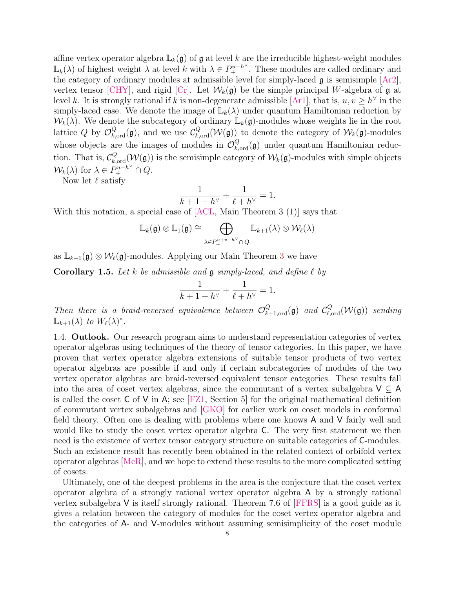affine vertex operator algebra  $\mathbb{L}_k(\mathfrak{g})$  of  $\mathfrak{g}$  at level k are the irreducible highest-weight modules  $\mathbb{L}_k(\lambda)$  of highest weight  $\lambda$  at level k with  $\lambda \in P_+^{u-h^\vee}$ . These modules are called ordinary and the category of ordinary modules at admissible level for simply-laced  $\mathfrak g$  is semisimple  $[Ar2]$ , vertex tensor [\[CHY\]](#page-55-14), and rigid [\[Cr\]](#page-55-15). Let  $W_k(\mathfrak{g})$  be the simple principal W-algebra of  $\mathfrak{g}$  at level k. It is strongly rational if k is non-degenerate admissible [\[Ar1\]](#page-54-5), that is,  $u, v \ge h^{\vee}$  in the simply-laced case. We denote the image of  $\mathbb{L}_k(\lambda)$  under quantum Hamiltonian reduction by  $W_k(\lambda)$ . We denote the subcategory of ordinary  $\mathbb{L}_k(\mathfrak{g})$ -modules whose weights lie in the root lattice Q by  $\mathcal{O}_{k,\text{ord}}^Q(\mathfrak{g})$ , and we use  $\mathcal{C}_{k,\text{ord}}^Q(\mathcal{W}(\mathfrak{g}))$  to denote the category of  $\mathcal{W}_k(\mathfrak{g})$ -modules whose objects are the images of modules in  $\mathcal{O}_{k,\text{ord}}^Q(\mathfrak{g})$  under quantum Hamiltonian reduction. That is,  $\mathcal{C}_{k,\text{ord}}^Q(\mathcal{W}(\mathfrak{g}))$  is the semisimple category of  $\mathcal{W}_k(\mathfrak{g})$ -modules with simple objects  $\mathcal{W}_k(\lambda)$  for  $\lambda \in P_+^{u-h^{\vee}} \cap Q$ .

Now let  $\ell$  satisfy

$$
\frac{1}{k+1+h^{\vee}} + \frac{1}{\ell+h^{\vee}} = 1.
$$

With this notation, a special case of [\[ACL,](#page-54-6) Main Theorem 3 (1)] says that

$$
\mathbb{L}_k(\mathfrak{g})\otimes \mathbb{L}_1(\mathfrak{g})\cong \bigoplus_{\lambda\in P_+^{u+v-h^\vee}\cap Q} \mathbb{L}_{k+1}(\lambda)\otimes \mathcal{W}_\ell(\lambda)
$$

as  $\mathbb{L}_{k+1}(\mathfrak{g}) \otimes \mathcal{W}_{\ell}(\mathfrak{g})$ -modules. Applying our Main Theorem [3](#page-3-1) we have

**Corollary 1.5.** Let k be admissible and  $\mathfrak{g}$  simply-laced, and define  $\ell$  by

$$
\frac{1}{k+1+h^{\vee}} + \frac{1}{\ell+h^{\vee}} = 1.
$$

Then there is a braid-reversed equivalence between  $\mathcal{O}_{k+1, \text{ord}}^Q(\mathfrak{g})$  and  $\mathcal{C}_{\ell, \text{ord}}^Q(\mathcal{W}(\mathfrak{g}))$  sending  $\mathbb{L}_{k+1}(\lambda)$  to  $W_{\ell}(\lambda)^{*}.$ 

<span id="page-7-0"></span>1.4. **Outlook.** Our research program aims to understand representation categories of vertex operator algebras using techniques of the theory of tensor categories. In this paper, we have proven that vertex operator algebra extensions of suitable tensor products of two vertex operator algebras are possible if and only if certain subcategories of modules of the two vertex operator algebras are braid-reversed equivalent tensor categories. These results fall into the area of coset vertex algebras, since the commutant of a vertex subalgebra  $V \subseteq A$ is called the coset  $\bar{C}$  of  $V$  in A; see [\[FZ1,](#page-55-16) Section 5] for the original mathematical definition of commutant vertex subalgebras and [\[GKO\]](#page-55-17) for earlier work on coset models in conformal field theory. Often one is dealing with problems where one knows A and V fairly well and would like to study the coset vertex operator algebra C. The very first statement we then need is the existence of vertex tensor category structure on suitable categories of C-modules. Such an existence result has recently been obtained in the related context of orbifold vertex operator algebras [\[McR\]](#page-57-7), and we hope to extend these results to the more complicated setting of cosets.

Ultimately, one of the deepest problems in the area is the conjecture that the coset vertex operator algebra of a strongly rational vertex operator algebra A by a strongly rational vertex subalgebra V is itself strongly rational. Theorem 7.6 of [\[FFRS\]](#page-55-18) is a good guide as it gives a relation between the category of modules for the coset vertex operator algebra and the categories of A- and V-modules without assuming semisimplicity of the coset module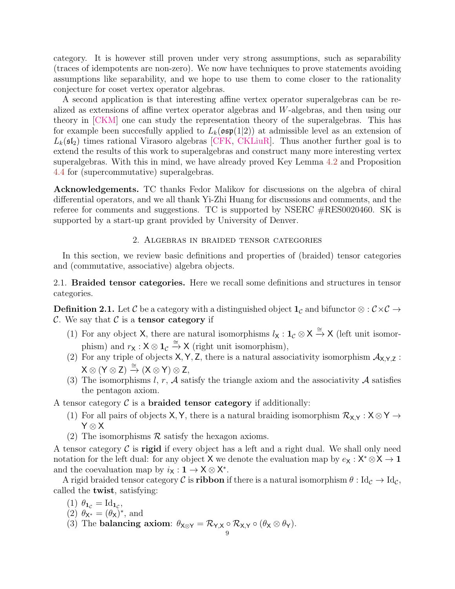category. It is however still proven under very strong assumptions, such as separability (traces of idempotents are non-zero). We now have techniques to prove statements avoiding assumptions like separability, and we hope to use them to come closer to the rationality conjecture for coset vertex operator algebras.

A second application is that interesting affine vertex operator superalgebras can be realized as extensions of affine vertex operator algebras and W-algebras, and then using our theory in [\[CKM\]](#page-55-7) one can study the representation theory of the superalgebras. This has for example been succesfully applied to  $L_k(\mathfrak{osp}(1|2))$  at admissible level as an extension of  $L_k(\mathfrak{sl}_2)$  times rational Virasoro algebras CFK, CKLiuR. Thus another further goal is to extend the results of this work to superalgebras and construct many more interesting vertex superalgebras. With this in mind, we have already proved Key Lemma [4.2](#page-30-0) and Proposition [4.4](#page-30-1) for (supercommutative) superalgebras.

<span id="page-8-0"></span>Acknowledgements. TC thanks Fedor Malikov for discussions on the algebra of chiral differential operators, and we all thank Yi-Zhi Huang for discussions and comments, and the referee for comments and suggestions. TC is supported by NSERC #RES0020460. SK is supported by a start-up grant provided by University of Denver.

# 2. Algebras in braided tensor categories

<span id="page-8-1"></span>In this section, we review basic definitions and properties of (braided) tensor categories and (commutative, associative) algebra objects.

<span id="page-8-2"></span>2.1. Braided tensor categories. Here we recall some definitions and structures in tensor categories.

**Definition 2.1.** Let C be a category with a distinguished object  $1<sub>C</sub>$  and bifunctor ⊗ :  $C \times C \rightarrow$ C. We say that  $\mathcal C$  is a tensor category if

- (1) For any object X, there are natural isomorphisms  $l_x : 1_c \otimes X \stackrel{\cong}{\to} X$  (left unit isomorphism) and  $r_\mathsf{X} : \mathsf{X} \otimes \mathsf{1}_{\mathcal{C}} \xrightarrow{\cong} \mathsf{X}$  (right unit isomorphism),
- (2) For any triple of objects  $X, Y, Z$ , there is a natural associativity isomorphism  $\mathcal{A}_{X,Y,Z}$ :  $X \otimes (Y \otimes Z) \stackrel{\cong}{\rightarrow} (X \otimes Y) \otimes Z,$
- (3) The isomorphisms l, r,  $A$  satisfy the triangle axiom and the associativity  $A$  satisfies the pentagon axiom.

A tensor category  $C$  is a **braided tensor category** if additionally:

- (1) For all pairs of objects X, Y, there is a natural braiding isomorphism  $\mathcal{R}_{X,Y}$  :  $X \otimes Y \rightarrow$ Y ⊗ X
- (2) The isomorphisms  $\mathcal R$  satisfy the hexagon axioms.

A tensor category  $\mathcal C$  is **rigid** if every object has a left and a right dual. We shall only need notation for the left dual: for any object X we denote the evaluation map by  $e_X : X^* \otimes X \to \mathbf{1}$ and the coevaluation map by  $i_X : \mathbf{1} \to \mathsf{X} \otimes \mathsf{X}^*$ .

A rigid braided tensor category C is **ribbon** if there is a natural isomorphism  $\theta$ : Id<sub>C</sub>  $\rightarrow$  Id<sub>C</sub>, called the twist, satisfying:

- (1)  $\theta_{\mathbf{1}_{\mathcal{C}}} = \mathrm{Id}_{\mathbf{1}_{\mathcal{C}}},$
- (2)  $\theta_{\mathsf{X}^*} = (\theta_{\mathsf{X}})^*$ , and
- (3) The balancing axiom:  $\theta_{X \otimes Y} = \mathcal{R}_{Y,X} \circ \mathcal{R}_{X,Y} \circ (\theta_X \otimes \theta_Y).$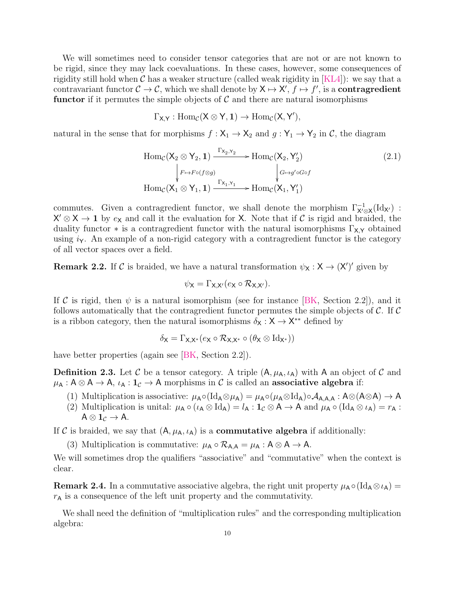We will sometimes need to consider tensor categories that are not or are not known to be rigid, since they may lack coevaluations. In these cases, however, some consequences of rigidity still hold when C has a weaker structure (called weak rigidity in  $[KL4]$ ): we say that a contravariant functor  $C \to C$ , which we shall denote by  $X \mapsto X'$ ,  $f \mapsto f'$ , is a **contragredient** functor if it permutes the simple objects of  $\mathcal C$  and there are natural isomorphisms

 $\Gamma_{X,Y} : \text{Hom}_{\mathcal{C}}(X \otimes Y, 1) \to \text{Hom}_{\mathcal{C}}(X, Y'),$ 

natural in the sense that for morphisms  $f: X_1 \to X_2$  and  $g: Y_1 \to Y_2$  in C, the diagram

$$
\operatorname{Hom}_{\mathcal{C}}(\mathsf{X}_2 \otimes \mathsf{Y}_2, \mathbf{1}) \xrightarrow{\Gamma_{\mathsf{X}_2, \mathsf{Y}_2}} \operatorname{Hom}_{\mathcal{C}}(\mathsf{X}_2, \mathsf{Y}_2') \qquad (2.1)
$$
\n
$$
\downarrow_{F \mapsto F \circ (f \otimes g)} \qquad \qquad \downarrow_{G \mapsto g' \circ G \circ f} \qquad \qquad \operatorname{Hom}_{\mathcal{C}}(\mathsf{X}_1 \otimes \mathsf{Y}_1, \mathbf{1}) \xrightarrow{\Gamma_{\mathsf{X}_1, \mathsf{Y}_1}} \operatorname{Hom}_{\mathcal{C}}(\mathsf{X}_1, \mathsf{Y}_1')
$$

commutes. Given a contragredient functor, we shall denote the morphism  $\Gamma_{X' \otimes X}^{-1}(Id_{X'})$ :  $X' \otimes X \to 1$  by  $e_X$  and call it the evaluation for X. Note that if C is rigid and braided, the duality functor  $*$  is a contragredient functor with the natural isomorphisms  $\Gamma_{\mathsf{X},\mathsf{Y}}$  obtained using  $i_{\Upsilon}$ . An example of a non-rigid category with a contragredient functor is the category of all vector spaces over a field.

<span id="page-9-0"></span>**Remark 2.2.** If C is braided, we have a natural transformation  $\psi_{\mathsf{X}} : \mathsf{X} \to (\mathsf{X}')'$  given by

$$
\psi_{\mathsf{X}} = \Gamma_{\mathsf{X},\mathsf{X}'}(e_{\mathsf{X}} \circ \mathcal{R}_{\mathsf{X},\mathsf{X}'}).
$$

If C is rigid, then  $\psi$  is a natural isomorphism (see for instance [\[BK,](#page-54-4) Section 2.2]), and it follows automatically that the contragredient functor permutes the simple objects of  $\mathcal{C}$ . If  $\mathcal{C}$ is a ribbon category, then the natural isomorphisms  $\delta_{\mathsf{X}} : \mathsf{X} \to \mathsf{X}^{**}$  defined by

$$
\delta_{\mathsf{X}} = \Gamma_{\mathsf{X},\mathsf{X}^*}(e_{\mathsf{X}} \circ \mathcal{R}_{\mathsf{X},\mathsf{X}^*} \circ (\theta_{\mathsf{X}} \otimes \mathrm{Id}_{\mathsf{X}^*}))
$$

have better properties (again see [\[BK,](#page-54-4) Section 2.2]).

**Definition 2.3.** Let C be a tensor category. A triple  $(A, \mu_A, \iota_A)$  with A an object of C and  $\mu_A : A \otimes A \to A$ ,  $\iota_A : 1_{\mathcal{C}} \to A$  morphisms in C is called an associative algebra if:

- (1) Multiplication is associative:  $\mu_A \circ (Id_A \otimes \mu_A) = \mu_A \circ (\mu_A \otimes Id_A) \circ A_{A,A,A} : A \otimes (A \otimes A) \to A$
- (2) Multiplication is unital:  $\mu_A \circ (\iota_A \otimes \text{Id}_A) = l_A : \mathbf{1}_{\mathcal{C}} \otimes A \to A$  and  $\mu_A \circ (\text{Id}_A \otimes \iota_A) = r_A :$  $A \otimes 1_{\mathcal{C}} \rightarrow A$ .

If C is braided, we say that  $(A, \mu_A, \iota_A)$  is a **commutative algebra** if additionally:

(3) Multiplication is commutative:  $\mu_A \circ \mathcal{R}_{A,A} = \mu_A : A \otimes A \rightarrow A$ .

We will sometimes drop the qualifiers "associative" and "commutative" when the context is clear.

**Remark 2.4.** In a commutative associative algebra, the right unit property  $\mu_A \circ (Id_A \otimes \iota_A) =$  $r_A$  is a consequence of the left unit property and the commutativity.

We shall need the definition of "multiplication rules" and the corresponding multiplication algebra: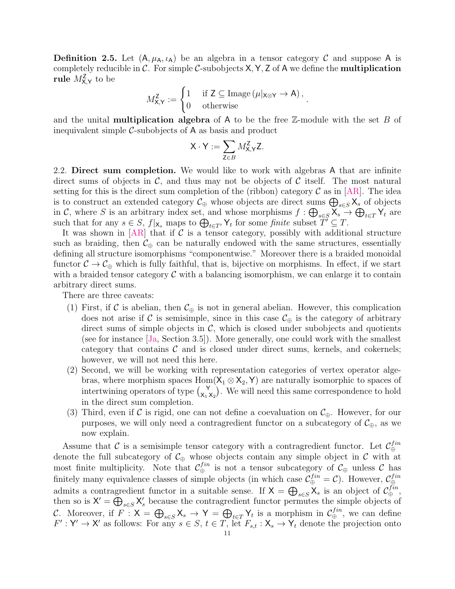**Definition 2.5.** Let  $(A, \mu_A, \iota_A)$  be an algebra in a tensor category C and suppose A is completely reducible in  $\mathcal{C}$ . For simple  $\mathcal{C}$ -subobjects  $X, Y, Z$  of A we define the **multiplication**  $rule~M_{\mathsf{X},\mathsf{Y}}^{\mathsf{Z}}$  to be

$$
M_{\mathsf{X},\mathsf{Y}}^{\mathsf{Z}} := \begin{cases} 1 & \text{if } \mathsf{Z} \subseteq \operatorname{Image}\left(\mu|_{\mathsf{X} \otimes \mathsf{Y}} \to \mathsf{A}\right), \\ 0 & \text{otherwise} \end{cases}.
$$

and the unital **multiplication algebra** of A to be the free  $\mathbb{Z}$ -module with the set B of inequivalent simple  $C$ -subobjects of  $A$  as basis and product

$$
X \cdot Y := \sum_{Z \in B} M_{X,Y}^Z Z.
$$

<span id="page-10-0"></span>2.2. Direct sum completion. We would like to work with algebras A that are infinite direct sums of objects in  $\mathcal{C}$ , and thus may not be objects of  $\mathcal{C}$  itself. The most natural setting for this is the direct sum completion of the (ribbon) category  $\mathcal C$  as in [\[AR\]](#page-54-7). The idea is to construct an extended category  $\mathcal{C}_{\oplus}$  whose objects are direct sums  $\bigoplus_{s\in S}\mathsf{X}_s$  of objects in C, where S is an arbitrary index set, and whose morphisms  $f: \bigoplus_{s \in S} X_s \to \bigoplus_{t \in T} Y_t$  are such that for any  $s \in S$ ,  $f|_{\mathsf{X}_s}$  maps to  $\bigoplus_{t \in T'} \mathsf{Y}_t$  for some finite subset  $\widetilde{T'} \subseteq T$ .

It was shown in  $[AR]$  that if C is a tensor category, possibly with additional structure such as braiding, then  $\mathcal{C}_{\oplus}$  can be naturally endowed with the same structures, essentially defining all structure isomorphisms "componentwise." Moreover there is a braided monoidal functor  $C \to C_{\oplus}$  which is fully faithful, that is, bijective on morphisms. In effect, if we start with a braided tensor category  $\mathcal C$  with a balancing isomorphism, we can enlarge it to contain arbitrary direct sums.

There are three caveats:

- (1) First, if C is abelian, then  $C_{\oplus}$  is not in general abelian. However, this complication does not arise if C is semisimple, since in this case  $\mathcal{C}_{\oplus}$  is the category of arbitrary direct sums of simple objects in  $\mathcal{C}$ , which is closed under subobjects and quotients (see for instance [\[Ja,](#page-56-7) Section 3.5]). More generally, one could work with the smallest category that contains  $\mathcal C$  and is closed under direct sums, kernels, and cokernels; however, we will not need this here.
- (2) Second, we will be working with representation categories of vertex operator algebras, where morphism spaces  $Hom(X_1 \otimes X_2, Y)$  are naturally isomorphic to spaces of intertwining operators of type  $\begin{pmatrix} Y \\ Y \end{pmatrix}$  $\mathbf{X}_{1}^{\mathbf{Y}}(\mathbf{x}_{2})$ . We will need this same correspondence to hold in the direct sum completion.
- (3) Third, even if C is rigid, one can not define a coevaluation on  $\mathcal{C}_{\oplus}$ . However, for our purposes, we will only need a contragredient functor on a subcategory of  $\mathcal{C}_{\oplus}$ , as we now explain.

Assume that C is a semisimple tensor category with a contragredient functor. Let  $\mathcal{C}_{\oplus}^{fin}$ ⊕ denote the full subcategory of  $\mathcal{C}_{\oplus}$  whose objects contain any simple object in  $\mathcal C$  with at most finite multiplicity. Note that  $\mathcal{C}_{\oplus}^{fin}$  is not a tensor subcategory of  $\mathcal{C}_{\oplus}$  unless  $\mathcal C$  has finitely many equivalence classes of simple objects (in which case  $\mathcal{C}_{\oplus}^{fin} = \mathcal{C}$ ). However,  $\mathcal{C}_{\oplus}^{fin}$ ⊕ admits a contragredient functor in a suitable sense. If  $X = \bigoplus_{s \in S} X_s$  is an object of  $\mathcal{C}_{\oplus}^{fin}$ , then so is  $X' = \bigoplus_{s \in S} X'_s$  because the contragredient functor permutes the simple objects of C. Moreover, if  $F: X = \bigoplus_{s \in S} X_s \to Y = \bigoplus_{t \in T} Y_t$  is a morphism in  $\mathcal{C}_{\oplus}^{fin}$ , we can define  $F': \mathsf{Y}' \to \mathsf{X}'$  as follows: For any  $s \in S$ ,  $t \in T$ , let  $F_{s,t} : \mathsf{X}_s \to \mathsf{Y}_t$  denote the projection onto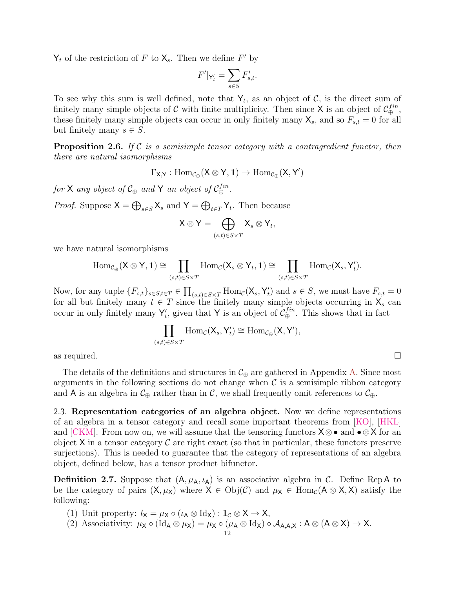$Y_t$  of the restriction of F to  $X_s$ . Then we define F' by

$$
F'|_{\mathsf{Y}'_t} = \sum_{s \in S} F'_{s,t}.
$$

To see why this sum is well defined, note that  $Y_t$ , as an object of C, is the direct sum of finitely many simple objects of C with finite multiplicity. Then since X is an object of  $\mathcal{C}_{\oplus}^{fin}$ , these finitely many simple objects can occur in only finitely many  $\mathsf{X}_s$ , and so  $F_{s,t} = 0$  for all but finitely many  $s \in S$ .

<span id="page-11-1"></span>**Proposition 2.6.** If C is a semisimple tensor category with a contragredient functor, then there are natural isomorphisms

$$
\Gamma_{X,Y}:\operatorname{Hom}_{\mathcal{C}_\oplus}(X\otimes Y,1)\to \operatorname{Hom}_{\mathcal{C}_\oplus}(X,Y')
$$

for X any object of  $\mathcal{C}_{\oplus}$  and Y an object of  $\mathcal{C}_{\oplus}^{fin}$ .

*Proof.* Suppose  $X = \bigoplus_{s \in S} X_s$  and  $Y = \bigoplus_{t \in T} Y_t$ . Then because

$$
\mathsf{X} \otimes \mathsf{Y} = \bigoplus_{(s,t) \in S \times T} \mathsf{X}_s \otimes \mathsf{Y}_t,
$$

we have natural isomorphisms

$$
\mathrm{Hom}_{\mathcal{C}_{\oplus}}(\mathsf{X} \otimes \mathsf{Y}, \mathbf{1}) \cong \prod_{(s,t) \in S \times T} \mathrm{Hom}_{\mathcal{C}}(\mathsf{X}_s \otimes \mathsf{Y}_t, \mathbf{1}) \cong \prod_{(s,t) \in S \times T} \mathrm{Hom}_{\mathcal{C}}(\mathsf{X}_s, \mathsf{Y}_t').
$$

Now, for any tuple  ${F_{s,t}}_{s \in S, t \in T} \in \prod_{(s,t) \in S \times T} \text{Hom}_{\mathcal{C}}(X_s, Y_t)$  and  $s \in S$ , we must have  $F_{s,t} = 0$ for all but finitely many  $t \in T$  since the finitely many simple objects occurring in  $X_s$  can occur in only finitely many  $Y'_t$ , given that Y is an object of  $\mathcal{C}_{\oplus}^{fin}$ . This shows that in fact

$$
\prod_{(s,t)\in S\times T} \text{Hom}_{\mathcal{C}}(\mathsf{X}_s,\mathsf{Y}'_t) \cong \text{Hom}_{\mathcal{C}_{\oplus}}(\mathsf{X},\mathsf{Y}'),
$$

as required.  $\square$ 

The details of the definitions and structures in  $\mathcal{C}_{\oplus}$  are gathered in Appendix [A.](#page-52-0) Since most arguments in the following sections do not change when  $\mathcal C$  is a semisimple ribbon category and A is an algebra in  $\mathcal{C}_{\oplus}$  rather than in C, we shall frequently omit references to  $\mathcal{C}_{\oplus}$ .

<span id="page-11-0"></span>2.3. Representation categories of an algebra object. Now we define representations of an algebra in a tensor category and recall some important theorems from [\[KO\]](#page-57-3), [\[HKL\]](#page-56-0) and [\[CKM\]](#page-55-7). From now on, we will assume that the tensoring functors  $X \otimes \bullet$  and  $\bullet \otimes X$  for an object  $X$  in a tensor category  $\mathcal C$  are right exact (so that in particular, these functors preserve surjections). This is needed to guarantee that the category of representations of an algebra object, defined below, has a tensor product bifunctor.

**Definition 2.7.** Suppose that  $(A, \mu_A, \iota_A)$  is an associative algebra in C. Define Rep A to be the category of pairs  $(X, \mu_X)$  where  $X \in Obj(\mathcal{C})$  and  $\mu_X \in Hom_{\mathcal{C}}(A \otimes X, X)$  satisfy the following:

- (1) Unit property:  $l_{\mathsf{X}} = \mu_{\mathsf{X}} \circ (\iota_{\mathsf{A}} \otimes \mathrm{Id}_{\mathsf{X}}) : \mathbf{1}_{\mathcal{C}} \otimes \mathsf{X} \to \mathsf{X},$
- (2) Associativity:  $\mu_X \circ (\text{Id}_A \otimes \mu_X) = \mu_X \circ (\mu_A \otimes \text{Id}_X) \circ \mathcal{A}_{A,A,X} : A \otimes (A \otimes X) \to X.$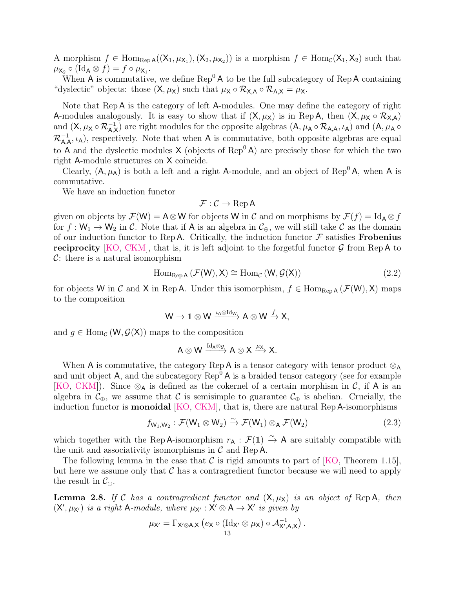A morphism  $f \in \text{Hom}_{\text{Rep }A}((X_1,\mu_{X_1}), (X_2,\mu_{X_2}))$  is a morphism  $f \in \text{Hom}_{\mathcal{C}}(X_1,X_2)$  such that  $\mu_{\mathsf{X}_2} \circ (\mathrm{Id}_{\mathsf{A}} \otimes f) = f \circ \mu_{\mathsf{X}_1}.$ 

When A is commutative, we define  $\text{Rep}^0 A$  to be the full subcategory of  $\text{Rep} A$  containing "dyslectic" objects: those  $(X, \mu_X)$  such that  $\mu_X \circ \mathcal{R}_{X,A} \circ \mathcal{R}_{A,X} = \mu_X$ .

Note that Rep A is the category of left A-modules. One may define the category of right A-modules analogously. It is easy to show that if  $(X, \mu_X)$  is in Rep A, then  $(X, \mu_X \circ \mathcal{R}_{X,A})$ and  $(X, \mu_X \circ \mathcal{R}_{A,X}^{-1})$  are right modules for the opposite algebras  $(A, \mu_A \circ \mathcal{R}_{A,A}, \iota_A)$  and  $(A, \mu_A \circ \mathcal{R}_{A,B})$  $\mathcal{R}_{A,A}^{-1}, \iota_A$ , respectively. Note that when A is commutative, both opposite algebras are equal to A and the dyslectic modules  $X$  (objects of  $\text{Rep}^0 A$ ) are precisely those for which the two right A-module structures on X coincide.

Clearly,  $(A, \mu_A)$  is both a left and a right A-module, and an object of Rep<sup>0</sup> A, when A is commutative.

We have an induction functor

$$
\mathcal{F}:\mathcal{C}\to\operatorname{Rep} A
$$

given on objects by  $\mathcal{F}(\mathsf{W}) = \mathsf{A} \otimes \mathsf{W}$  for objects W in C and on morphisms by  $\mathcal{F}(f) = \mathrm{Id}_{\mathsf{A}} \otimes f$ for  $f: W_1 \to W_2$  in C. Note that if A is an algebra in  $\mathcal{C}_{\oplus}$ , we will still take C as the domain of our induction functor to Rep A. Critically, the induction functor  $\mathcal F$  satisfies **Frobenius reciprocity** [\[KO,](#page-57-3) [CKM\]](#page-55-7), that is, it is left adjoint to the forgetful functor  $\mathcal{G}$  from Rep A to  $C:$  there is a natural isomorphism

$$
\operatorname{Hom}_{\operatorname{Rep} A} \left( \mathcal{F}(W), X \right) \cong \operatorname{Hom}_{\mathcal{C}} \left( W, \mathcal{G}(X) \right) \tag{2.2}
$$

for objects W in C and X in Rep A. Under this isomorphism,  $f \in \text{Hom}_{\text{Rep }A}(\mathcal{F}(W), X)$  maps to the composition

$$
W\to {\bf 1}\otimes W\xrightarrow{\iota_A\otimes\mathrm{Id}_W} A\otimes W\xrightarrow{f} X,
$$

and  $g \in \text{Hom}_{\mathcal{C}}(\mathsf{W}, \mathcal{G}(\mathsf{X}))$  maps to the composition

$$
A\otimes W\xrightarrow{\mathrm{Id}_A\otimes g}A\otimes X\xrightarrow{\mu_X}X.
$$

When A is commutative, the category Rep A is a tensor category with tensor product  $\otimes_A$ and unit object A, and the subcategory  $\text{Rep}^0$  A is a braided tensor category (see for example [\[KO,](#page-57-3) [CKM\]](#page-55-7)). Since  $\otimes_A$  is defined as the cokernel of a certain morphism in C, if A is an algebra in  $\mathcal{C}_{\oplus}$ , we assume that C is semisimple to guarantee  $\mathcal{C}_{\oplus}$  is abelian. Crucially, the induction functor is monoidal [\[KO,](#page-57-3) [CKM\]](#page-55-7), that is, there are natural Rep A-isomorphisms

$$
f_{W_1,W_2}: \mathcal{F}(W_1 \otimes W_2) \xrightarrow{\sim} \mathcal{F}(W_1) \otimes_A \mathcal{F}(W_2)
$$
 (2.3)

which together with the Rep A-isomorphism  $r_A : \mathcal{F}(1) \overset{\sim}{\to} A$  are suitably compatible with the unit and associativity isomorphisms in  $\mathcal C$  and Rep A.

The following lemma in the case that C is rigid amounts to part of [\[KO,](#page-57-3) Theorem 1.15]. but here we assume only that  $\mathcal C$  has a contragredient functor because we will need to apply the result in  $\mathcal{C}_{\oplus}$ .

**Lemma 2.8.** If C has a contragredient functor and  $(X, \mu_X)$  is an object of Rep A, then  $(X', \mu_{X'})$  is a right A-module, where  $\mu_{X'} : X' \otimes A \rightarrow X'$  is given by

$$
\mu_{\mathsf{X}'} = \Gamma_{\mathsf{X}' \otimes \mathsf{A}, \mathsf{X}} \left( e_{\mathsf{X}} \circ (\mathrm{Id}_{\mathsf{X}'} \otimes \mu_{\mathsf{X}}) \circ \mathcal{A}_{\mathsf{X}',\mathsf{A},\mathsf{X}}^{-1} \right).
$$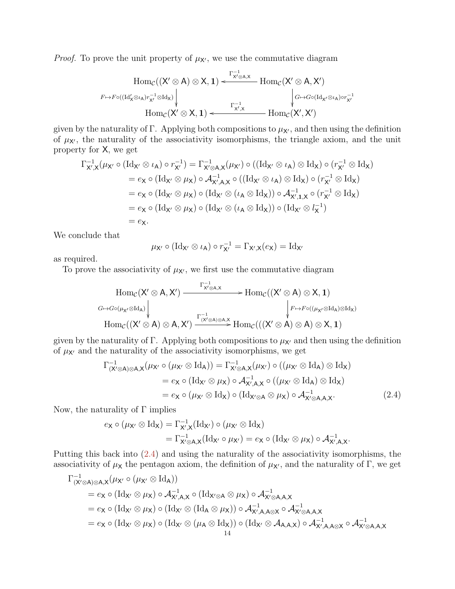*Proof.* To prove the unit property of  $\mu_{X'}$ , we use the commutative diagram

$$
\operatorname{Hom}_{\mathcal C}((X'\otimes A)\otimes X,1)\xleftarrow{\Gamma^{-1}_{X'\otimes A,X}}\operatorname{Hom}_{\mathcal C}(X'\otimes A,X')\\ \downarrow^{F\mapsto F\circ((\operatorname{Id}_X'\otimes\iota_A)r_{X'}^{-1}\otimes\operatorname{Id}_X)}\Biggl\vert\begin{matrix}G\mapsto G\circ(\operatorname{Id}_X\iota\otimes\iota_A)\circ r_{X'}^{-1}\\ \downarrow^{G\mapsto G\circ(\operatorname{Id}_X\iota\otimes\iota_A)\circ r_{X'}^{-1}\\ \downarrow^{F\mapsto F\circ((\operatorname{Id}_X'\otimes\iota_A)\circ r_{X'}^{-1}\otimes\operatorname{Id}_X)}\end{matrix}\right\}
$$

given by the naturality of Γ. Applying both compositions to  $\mu_{\mathbf{X}'}$ , and then using the definition of  $\mu_{\chi}$ , the naturality of the associativity isomorphisms, the triangle axiom, and the unit property for X, we get

$$
\Gamma_{X',X}^{-1}(\mu_{X'} \circ (\text{Id}_{X'} \otimes \iota_A) \circ r_{X'}^{-1}) = \Gamma_{X' \otimes A,X}^{-1}(\mu_{X'}) \circ ((\text{Id}_{X'} \otimes \iota_A) \otimes \text{Id}_X) \circ (r_{X'}^{-1} \otimes \text{Id}_X)
$$
  
\n
$$
= e_X \circ (\text{Id}_{X'} \otimes \mu_X) \circ \mathcal{A}_{X',A,X}^{-1} \circ ((\text{Id}_{X'} \otimes \iota_A) \otimes \text{Id}_X) \circ (r_{X'}^{-1} \otimes \text{Id}_X)
$$
  
\n
$$
= e_X \circ (\text{Id}_{X'} \otimes \mu_X) \circ (\text{Id}_{X'} \otimes (\iota_A \otimes \text{Id}_X)) \circ \mathcal{A}_{X',1,X}^{-1} \circ (r_{X'}^{-1} \otimes \text{Id}_X)
$$
  
\n
$$
= e_X \circ (\text{Id}_{X'} \otimes \mu_X) \circ (\text{Id}_{X'} \otimes (\iota_A \otimes \text{Id}_X)) \circ (\text{Id}_{X'} \otimes l_X^{-1})
$$
  
\n
$$
= e_X.
$$

We conclude that

<span id="page-13-0"></span>
$$
\mu_{\mathsf{X}'}\circ (\mathrm{Id}_{\mathsf{X}'}\otimes \iota_\mathsf{A})\circ r_{\mathsf{X}'}^{-1}=\Gamma_{\mathsf{X}',\mathsf{X}}(e_\mathsf{X})=\mathrm{Id}_{\mathsf{X}'}
$$

as required.

To prove the associativity of  $\mu_{X}$ , we first use the commutative diagram

$$
\begin{array}{ccc}\n\operatorname{Hom}_{\mathcal{C}}(X'\otimes A,X') @>{\Gamma_{X'\otimes A,X}^{-1}}>> \operatorname{Hom}_{\mathcal{C}}((X'\otimes A)\otimes X,1)\\ \nG\mapsto &\text{Hom}_{\mathcal{C}}((\mu_{X'}\otimes \operatorname{Id}_A)\Bigg| & & F\mapsto F\circ ((\mu_{X'}\otimes \operatorname{Id}_A)\otimes \operatorname{Id}_X)\\ \operatorname{Hom}_{\mathcal{C}}((X'\otimes A)\otimes A,X') @>{\Gamma_{(X'\otimes A)\otimes A,X}^{-1}}>> \operatorname{Hom}_{\mathcal{C}}(((X'\otimes A)\otimes A)\otimes X,1) \end{array}
$$

given by the naturality of Γ. Applying both compositions to  $\mu_X$  and then using the definition of  $\mu_{X'}$  and the naturality of the associativity isomorphisms, we get

$$
\Gamma^{-1}_{(X'\otimes A)\otimes A,X}(\mu_{X'}\circ (\mu_{X'}\otimes \text{Id}_A)) = \Gamma^{-1}_{X'\otimes A,X}(\mu_{X'})\circ ((\mu_{X'}\otimes \text{Id}_A)\otimes \text{Id}_X)
$$
  
\n
$$
= e_X\circ (\text{Id}_{X'}\otimes \mu_X)\circ \mathcal{A}_{X',A,X}^{-1}\circ ((\mu_{X'}\otimes \text{Id}_A)\otimes \text{Id}_X)
$$
  
\n
$$
= e_X\circ (\mu_{X'}\otimes \text{Id}_X)\circ (\text{Id}_{X'\otimes A}\otimes \mu_X)\circ \mathcal{A}_{X'\otimes A,A,X}^{-1}.
$$
 (2.4)

Now, the naturality of  $\Gamma$  implies

$$
e_{\mathsf{X}} \circ (\mu_{\mathsf{X}'} \otimes \mathrm{Id}_{\mathsf{X}}) = \Gamma_{\mathsf{X}',\mathsf{X}}^{-1}(\mathrm{Id}_{\mathsf{X}'}) \circ (\mu_{\mathsf{X}'} \otimes \mathrm{Id}_{\mathsf{X}})
$$
  
=  $\Gamma_{\mathsf{X}' \otimes \mathsf{A},\mathsf{X}}^{-1}(\mathrm{Id}_{\mathsf{X}'} \circ \mu_{\mathsf{X}'}) = e_{\mathsf{X}} \circ (\mathrm{Id}_{\mathsf{X}'} \otimes \mu_{\mathsf{X}}) \circ \mathcal{A}_{\mathsf{X}',\mathsf{A},\mathsf{X}}^{-1}.$ 

Putting this back into [\(2.4\)](#page-13-0) and using the naturality of the associativity isomorphisms, the associativity of  $\mu_X$  the pentagon axiom, the definition of  $\mu_{X'}$ , and the naturality of Γ, we get

$$
\begin{aligned} \Gamma^{-1}_{(X'\otimes A)\otimes A,X}(\mu_{X'}\circ (\mu_{X'}\otimes \mathrm{Id}_A)) \\ &=e_X\circ (\mathrm{Id}_{X'}\otimes \mu_X)\circ \mathcal{A}^{-1}_{X',A,X}\circ (\mathrm{Id}_{X'\otimes A}\otimes \mu_X)\circ \mathcal{A}^{-1}_{X'\otimes A,A,X} \\ &=e_X\circ (\mathrm{Id}_{X'}\otimes \mu_X)\circ (\mathrm{Id}_{X'}\otimes (\mathrm{Id}_A\otimes \mu_X))\circ \mathcal{A}^{-1}_{X',A,A\otimes X}\circ \mathcal{A}^{-1}_{X'\otimes A,A,X} \\ &=e_X\circ (\mathrm{Id}_{X'}\otimes \mu_X)\circ (\mathrm{Id}_{X'}\otimes (\mu_A\otimes \mathrm{Id}_X))\circ (\mathrm{Id}_{X'}\otimes \mathcal{A}_{A,A,X})\circ \mathcal{A}^{-1}_{X',A,A\otimes X}\circ \mathcal{A}^{-1}_{X'\otimes A,A,X} \end{aligned}
$$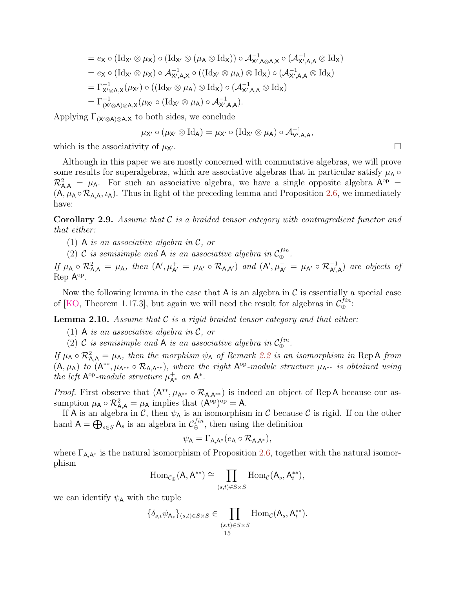$$
= e_{X} \circ (\mathrm{Id}_{X'} \otimes \mu_{X}) \circ (\mathrm{Id}_{X'} \otimes (\mu_{A} \otimes \mathrm{Id}_{X})) \circ \mathcal{A}_{X',A \otimes A,X}^{-1} \circ (\mathcal{A}_{X',A,A}^{-1} \otimes \mathrm{Id}_{X})
$$
  
\n
$$
= e_{X} \circ (\mathrm{Id}_{X'} \otimes \mu_{X}) \circ \mathcal{A}_{X',A,X}^{-1} \circ ((\mathrm{Id}_{X'} \otimes \mu_{A}) \otimes \mathrm{Id}_{X}) \circ (\mathcal{A}_{X',A,A}^{-1} \otimes \mathrm{Id}_{X})
$$
  
\n
$$
= \Gamma_{X' \otimes A,X}^{-1}(\mu_{X'}) \circ ((\mathrm{Id}_{X'} \otimes \mu_{A}) \otimes \mathrm{Id}_{X}) \circ (\mathcal{A}_{X',A,A}^{-1} \otimes \mathrm{Id}_{X})
$$
  
\n
$$
= \Gamma_{(X' \otimes A) \otimes A,X}^{-1}(\mu_{X'} \circ (\mathrm{Id}_{X'} \otimes \mu_{A}) \circ \mathcal{A}_{X',A,A}^{-1}).
$$

Applying  $\Gamma_{(X'\otimes A)\otimes A,X}$  to both sides, we conclude

$$
\mu_{\mathsf{X}'}\circ (\mu_{\mathsf{X}'}\otimes \mathrm{Id}_{\mathsf{A}})=\mu_{\mathsf{X}'}\circ (\mathrm{Id}_{\mathsf{X}'}\otimes \mu_{\mathsf{A}})\circ \mathcal{A}_{\mathsf{V}',\mathsf{A},\mathsf{A}}^{-1},
$$

which is the associativity of  $\mu_{\mathbf{X}'}$ .

Although in this paper we are mostly concerned with commutative algebras, we will prove some results for superalgebras, which are associative algebras that in particular satisfy  $\mu_A \circ$  $\mathcal{R}^2_{\mathsf{A},\mathsf{A}} = \mu_\mathsf{A}$ . For such an associative algebra, we have a single opposite algebra  $\mathsf{A}^{\mathrm{op}}$  =  $(A, \mu_A \circ R_{A,A}, \iota_A)$ . Thus in light of the preceding lemma and Proposition [2.6,](#page-11-1) we immediately have:

**Corollary 2.9.** Assume that  $\mathcal C$  is a braided tensor category with contragredient functor and that either:

- (1) A is an associative algebra in  $\mathcal{C}$ , or
- (2) C is semisimple and A is an associative algebra in  $C_{\oplus}^{fin}$ .

If  $\mu_A \circ \mathcal{R}^2_{A,A} = \mu_A$ , then  $(A', \mu_{A'}^+ = \mu_{A'} \circ \mathcal{R}_{A,A'})$  and  $(A', \mu_{A'}^- = \mu_{A'} \circ \mathcal{R}_{A',A}^{-1})$  are objects of Rep A<sup>op</sup>.

Now the following lemma in the case that  $A$  is an algebra in  $C$  is essentially a special case of [\[KO,](#page-57-3) Theorem 1.17.3], but again we will need the result for algebras in  $\mathcal{C}_{\oplus}^{fin}$ :

**Lemma 2.10.** Assume that  $\mathcal{C}$  is a rigid braided tensor category and that either:

- (1) A is an associative algebra in  $\mathcal{C}$ , or
- (2) C is semisimple and A is an associative algebra in  $C_{\oplus}^{fin}$ .

If  $\mu_A \circ R_{A,A}^2 = \mu_A$ , then the morphism  $\psi_A$  of Remark [2.2](#page-9-0) is an isomorphism in Rep A from  $(A, \mu_A)$  to  $(A^{**}, \mu_{A^{**}} \circ R_{A,A^{**}})$ , where the right  $A^{op}\text{-module}$  structure  $\mu_{A^{**}}$  is obtained using the left  $A^{op}\text{-}module structure \mu^+_{A^*}$  on  $A^*$ .

*Proof.* First observe that  $(A^{**}, \mu_{A^{**}} \circ R_{A,A^{**}})$  is indeed an object of Rep A because our assumption  $\mu_A \circ \mathcal{R}_{A,A}^2 = \mu_A$  implies that  $(A^{\text{op}})^{\text{op}} = A$ .

If A is an algebra in C, then  $\psi_A$  is an isomorphism in C because C is rigid. If on the other hand  $A = \bigoplus_{s \in S} A_s$  is an algebra in  $\mathcal{C}_{\oplus}^{fin}$ , then using the definition

$$
\psi_{\mathsf{A}} = \Gamma_{\mathsf{A},\mathsf{A}^*}(e_{\mathsf{A}} \circ \mathcal{R}_{\mathsf{A},\mathsf{A}^*}),
$$

where  $\Gamma_{AA^*}$  is the natural isomorphism of Proposition [2.6,](#page-11-1) together with the natural isomorphism

$$
\operatorname{Hom}_{\mathcal{C}_{\oplus}}(A, A^{**}) \cong \prod_{(s,t) \in S \times S} \operatorname{Hom}_{\mathcal{C}}(A_s, A_t^{**}),
$$

we can identify  $\psi_\mathsf{A}$  with the tuple

$$
\{\delta_{s,t}\psi_{\mathsf{A}_s}\}_{(s,t)\in S\times S}\in \prod_{\substack{(s,t)\in S\times S\\15}}\text{Hom}_{\mathcal{C}}(\mathsf{A}_s,\mathsf{A}_t^{**}).
$$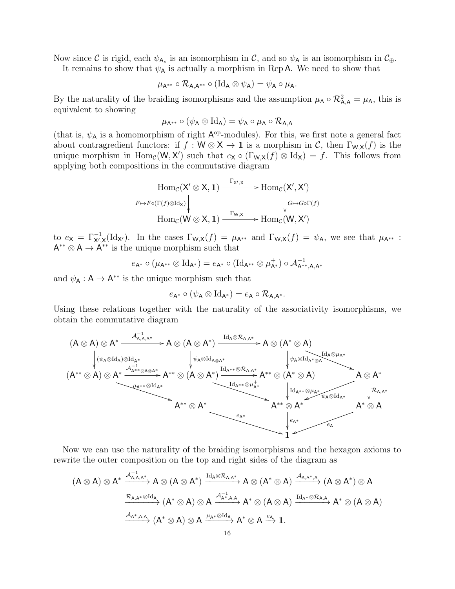Now since C is rigid, each  $\psi_{A_s}$  is an isomorphism in C, and so  $\psi_A$  is an isomorphism in  $\mathcal{C}_{\oplus}$ . It remains to show that  $\psi_A$  is actually a morphism in Rep A. We need to show that

$$
\mu_{A^{**}} \circ \mathcal{R}_{A,A^{**}} \circ (\mathrm{Id}_A \otimes \psi_A) = \psi_A \circ \mu_A.
$$

By the naturality of the braiding isomorphisms and the assumption  $\mu_A \circ \mathcal{R}^2_{A,A} = \mu_A$ , this is equivalent to showing

$$
\mu_{\mathsf{A}^{**}} \circ (\psi_\mathsf{A} \otimes \mathrm{Id}_\mathsf{A}) = \psi_\mathsf{A} \circ \mu_\mathsf{A} \circ \mathcal{R}_{\mathsf{A},\mathsf{A}}
$$

(that is,  $\psi_A$  is a homomorphism of right  $A^{op}$ -modules). For this, we first note a general fact about contragredient functors: if  $f : W \otimes X \to \mathbf{1}$  is a morphism in C, then  $\Gamma_{W,X}(f)$  is the unique morphism in  $\text{Hom}_{\mathcal{C}}(\mathsf{W}, \mathsf{X}')$  such that  $e_{\mathsf{X}} \circ (\Gamma_{\mathsf{W}, \mathsf{X}}(f) \otimes \text{Id}_{\mathsf{X}}) = f$ . This follows from applying both compositions in the commutative diagram

$$
\operatorname{Hom}_{\mathcal{C}}(X' \otimes X, 1) \xrightarrow{\Gamma_{X',X}} \operatorname{Hom}_{\mathcal{C}}(X', X')
$$
\n
$$
\downarrow_{F \mapsto F \circ (\Gamma(f) \otimes \operatorname{Id}_X)} \qquad \qquad \downarrow_{G \mapsto G \circ \Gamma(f)}
$$
\n
$$
\operatorname{Hom}_{\mathcal{C}}(W \otimes X, 1) \xrightarrow{\Gamma_{W,X}} \operatorname{Hom}_{\mathcal{C}}(W, X')
$$

to  $e_X = \Gamma_{X',X}^{-1}(\mathrm{Id}_{X'})$ . In the cases  $\Gamma_{W,X}(f) = \mu_{A^{**}}$  and  $\Gamma_{W,X}(f) = \psi_A$ , we see that  $\mu_{A^{**}}$ :  $A^{**} \otimes A \rightarrow A^{**}$  is the unique morphism such that

$$
e_{\mathsf{A}^*} \circ (\mu_{\mathsf{A}^{**}} \otimes \mathrm{Id}_{\mathsf{A}^*}) = e_{\mathsf{A}^*} \circ (\mathrm{Id}_{\mathsf{A}^{**}} \otimes \mu_{\mathsf{A}^*}^+) \circ \mathcal{A}_{\mathsf{A}^{**},\mathsf{A},\mathsf{A}^*}^{-1}
$$

and  $\psi_{\mathsf{A}} : \mathsf{A} \to \mathsf{A}^{**}$  is the unique morphism such that

$$
e_{\mathsf{A}^*} \circ (\psi_\mathsf{A} \otimes \mathrm{Id}_{\mathsf{A}^*}) = e_\mathsf{A} \circ \mathcal{R}_{\mathsf{A},\mathsf{A}^*}.
$$

Using these relations together with the naturality of the associativity isomorphisms, we obtain the commutative diagram



Now we can use the naturality of the braiding isomorphisms and the hexagon axioms to rewrite the outer composition on the top and right sides of the diagram as

$$
(A\otimes A)\otimes A^{*}\xrightarrow{\mathcal{A}_{A,A,A^{*}}^{-1}}A\otimes (A\otimes A^{*})\xrightarrow{\mathrm{Id}_{A}\otimes \mathcal{R}_{A,A^{*}}}\mathcal{A}\otimes (A^{*}\otimes A)\xrightarrow{\mathcal{A}_{A,A^{*},A}}(A\otimes A^{*})\otimes A\xrightarrow{\mathcal{R}_{A,A^{*}}\otimes \mathrm{Id}_{A}}(A^{*}\otimes A)\otimes A\xrightarrow{\mathcal{A}_{A^{*},A,A}^{-1}}A^{*}\otimes (A\otimes A)\xrightarrow{\mathcal{A}_{A^{*},A,A}}A^{*}\otimes (A\otimes A)\xrightarrow{\mathcal{A}_{A^{*},A,A}}(A^{*}\otimes A)\otimes A\xrightarrow{\mu_{A^{*}}\otimes \mathrm{Id}_{A}}A^{*}\otimes A\xrightarrow{e_{A}}1.
$$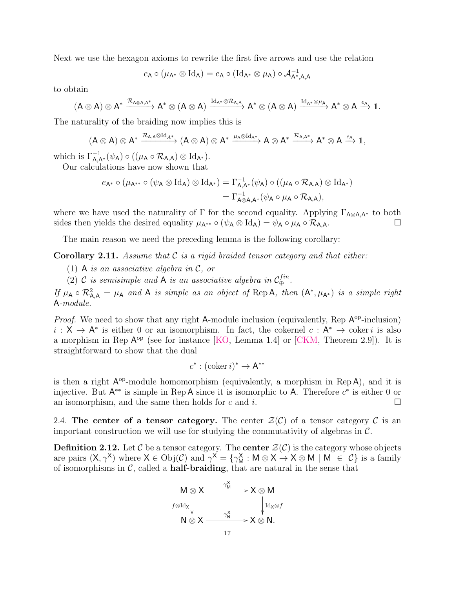Next we use the hexagon axioms to rewrite the first five arrows and use the relation

$$
e_{\mathsf{A}} \circ (\mu_{\mathsf{A}^*} \otimes \mathrm{Id}_{\mathsf{A}}) = e_{\mathsf{A}} \circ (\mathrm{Id}_{\mathsf{A}^*} \otimes \mu_{\mathsf{A}}) \circ \mathcal{A}_{\mathsf{A}^*,\mathsf{A},\mathsf{A}}^{-1}
$$

to obtain

$$
(A\otimes A)\otimes A^*\xrightarrow{\mathcal{R}_{A\otimes A,A^*}}A^*\otimes (A\otimes A)\xrightarrow{\mathrm{Id}_{A^*}\otimes \mathcal{R}_{A,A}}A^*\otimes (A\otimes A)\xrightarrow{\mathrm{Id}_{A^*}\otimes \mu_A}A^*\otimes A\xrightarrow{e_A}1.
$$

The naturality of the braiding now implies this is

$$
(A\otimes A)\otimes A^*\xrightarrow{\mathcal{R}_{A,A}\otimes \operatorname{Id}_{A^*}}(A\otimes A)\otimes A^*\xrightarrow{\mu_A\otimes \operatorname{Id}_{A^*}}A\otimes A^*\xrightarrow{\mathcal{R}_{A,A^*}}A^*\otimes A\xrightarrow{e_A}1,
$$

which is  $\Gamma_{\mathsf{A},\mathsf{A}^*}^{-1}(\psi_{\mathsf{A}}) \circ ((\mu_{\mathsf{A}} \circ \mathcal{R}_{\mathsf{A},\mathsf{A}}) \otimes \mathrm{Id}_{\mathsf{A}^*}).$ 

Our calculations have now shown that

$$
\begin{aligned} e_{\mathsf{A}^*} \circ (\mu_{\mathsf{A}^{**}} \circ (\psi_\mathsf{A} \otimes \mathrm{Id}_\mathsf{A}) \otimes \mathrm{Id}_{\mathsf{A}^*}) &= \Gamma_{\mathsf{A},\mathsf{A}^*}^{-1}(\psi_\mathsf{A}) \circ ((\mu_\mathsf{A} \circ \mathcal{R}_{\mathsf{A},\mathsf{A}}) \otimes \mathrm{Id}_{\mathsf{A}^*}) \\ &= \Gamma_{\mathsf{A} \otimes \mathsf{A},\mathsf{A}^*}^{-1}(\psi_\mathsf{A} \circ \mu_\mathsf{A} \circ \mathcal{R}_{\mathsf{A},\mathsf{A}}), \end{aligned}
$$

where we have used the naturality of  $\Gamma$  for the second equality. Applying  $\Gamma_{A\otimes A,A^*}$  to both sides then yields the desired equality  $\mu_{A^{**}} \circ (\psi_A \otimes \mathrm{Id}_A) = \psi_A \circ \mu_A \circ \mathcal{R}_{A,A}.$ 

The main reason we need the preceding lemma is the following corollary:

<span id="page-16-1"></span>**Corollary 2.11.** Assume that  $\mathcal C$  is a rigid braided tensor category and that either:

- (1) A is an associative algebra in  $\mathcal{C}$ , or
- (2) C is semisimple and A is an associative algebra in  $C_{\oplus}^{fin}$ .

If  $\mu_A \circ \mathcal{R}_{A,A}^2 = \mu_A$  and A is simple as an object of Rep A, then  $(A^*, \mu_{A^*})$  is a simple right A-module.

*Proof.* We need to show that any right A-module inclusion (equivalently, Rep  $A^{op}\text{-}inclusion$ )  $i: X \to A^*$  is either 0 or an isomorphism. In fact, the cokernel  $c: A^* \to \text{coker } i$  is also a morphism in Rep  $A^{op}$  (see for instance [\[KO,](#page-57-3) Lemma 1.4] or [\[CKM,](#page-55-7) Theorem 2.9]). It is straightforward to show that the dual

$$
c^*: (\mathrm{coker}\, i)^* \to \mathsf{A}^{**}
$$

is then a right  $A^{op}$ -module homomorphism (equivalently, a morphism in Rep A), and it is injective. But  $A^{**}$  is simple in Rep A since it is isomorphic to A. Therefore  $c^*$  is either 0 or an isomorphism, and the same then holds for c and i.

<span id="page-16-0"></span>2.4. The center of a tensor category. The center  $\mathcal{Z}(\mathcal{C})$  of a tensor category  $\mathcal C$  is an important construction we will use for studying the commutativity of algebras in  $\mathcal{C}$ .

**Definition 2.12.** Let C be a tensor category. The **center**  $\mathcal{Z}(\mathcal{C})$  is the category whose objects are pairs  $(X, \gamma^X)$  where  $X \in Obj(\mathcal{C})$  and  $\gamma^X = {\gamma_M^X : M \otimes X \to X \otimes M \mid M \in \mathcal{C}}$  is a family of isomorphisms in  $\mathcal{C}$ , called a **half-braiding**, that are natural in the sense that

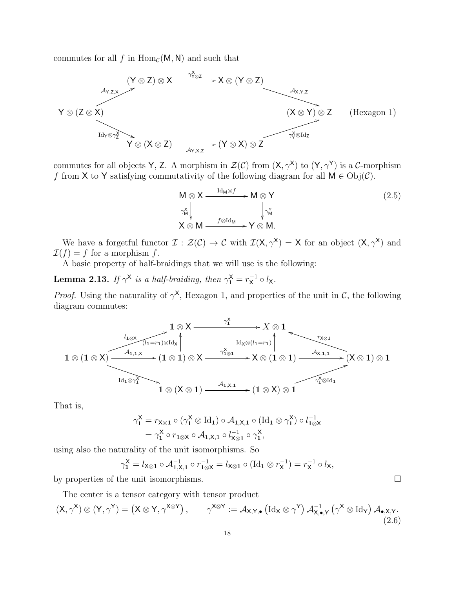commutes for all f in  $\text{Hom}_{\mathcal{C}}(\mathsf{M},\mathsf{N})$  and such that



commutes for all objects Y, Z. A morphism in  $\mathcal{Z}(\mathcal{C})$  from  $(X, \gamma^X)$  to  $(Y, \gamma^Y)$  is a C-morphism f from X to Y satisfying commutativity of the following diagram for all  $M \in Obj(\mathcal{C})$ .

$$
M \otimes X \xrightarrow{\text{Id}_{M} \otimes f} M \otimes Y
$$
  
\n
$$
\gamma_{M}^{\times}
$$
\n
$$
\gamma_{M}^{\times}
$$
\n
$$
X \otimes M \xrightarrow{f \otimes \text{Id}_{M}} Y \otimes M.
$$
\n(2.5)

We have a forgetful functor  $\mathcal{I}: \mathcal{Z}(\mathcal{C}) \to \mathcal{C}$  with  $\mathcal{I}(X, \gamma^X) = X$  for an object  $(X, \gamma^X)$  and  $\mathcal{I}(f) = f$  for a morphism f.

A basic property of half-braidings that we will use is the following:

<span id="page-17-0"></span>**Lemma 2.13.** If  $\gamma^{\mathsf{X}}$  is a half-braiding, then  $\gamma_1^{\mathsf{X}} = r_{\mathsf{X}}^{-1}$  $\overline{x}^1 \circ l_{\mathsf{X}}$ .

*Proof.* Using the naturality of  $\gamma^{\mathsf{X}}$ , Hexagon 1, and properties of the unit in C, the following diagram commutes:

$$
\frac{1 \otimes X \xrightarrow{\gamma_1^X} X \otimes 1}{\text{Id}_{\chi \otimes (l_1 = r_1) \otimes \text{Id}_X}
$$
\n
$$
1 \otimes (1 \otimes X) \xrightarrow{\mathcal{A}_{1,1,X}} (1 \otimes 1) \otimes X \xrightarrow{\gamma_1^X \otimes 1} X \otimes (1 \otimes 1) \xrightarrow{\mathcal{A}_{X,1,1}} (X \otimes 1) \otimes 1
$$
\n
$$
\xrightarrow{\text{Id}_1 \otimes \gamma_1^X} 1 \otimes (X \otimes 1) \xrightarrow{\mathcal{A}_{1,X,1}} (1 \otimes X) \otimes 1
$$

That is,

<span id="page-17-1"></span>
$$
\gamma_1^X = r_{X \otimes 1} \circ (\gamma_1^X \otimes \mathrm{Id}_1) \circ \mathcal{A}_{1,X,1} \circ (\mathrm{Id}_1 \otimes \gamma_1^X) \circ l_{1 \otimes X}^{-1}
$$
  
=  $\gamma_1^X \circ r_{1 \otimes X} \circ \mathcal{A}_{1,X,1} \circ l_{X \otimes 1}^{-1} \circ \gamma_1^X$ ,

using also the naturality of the unit isomorphisms. So

 $\gamma_1^\mathsf{X} = l_{\mathsf{X}\otimes\mathbf{1}} \circ \mathcal{A}_{\mathbf{1},\mathsf{X},\mathbf{1}}^{-1} \circ r_{\mathbf{1}\otimes\mathsf{X}}^{-1} = l_{\mathsf{X}\otimes\mathbf{1}} \circ (\mathrm{Id}_\mathbf{1}\otimes r_\mathsf{X}^{-1})$  $f_{\mathsf{X}}^{-1}$ ) =  $r_{\mathsf{X}}^{-1}$  $\bar{x}^{-1} \circ l_{\mathsf{X}},$ 

by properties of the unit isomorphisms.

The center is a tensor category with tensor product  $(X, \gamma^X) \otimes (Y, \gamma^Y) = (X \otimes Y, \gamma^{X \otimes Y}), \qquad \gamma^{X \otimes Y} := \mathcal{A}_{X,Y,\bullet} (\mathrm{Id}_X \otimes \gamma^Y) \mathcal{A}_{X,\bullet}^{-1}$  $_{\mathsf{X},\bullet,\mathsf{Y}}^{-1}\left(\gamma^{\mathsf{X}}\otimes\mathrm{Id}_{\mathsf{Y}}\right)\mathcal{A}_{\bullet,\mathsf{X},\mathsf{Y}}.$ (2.6)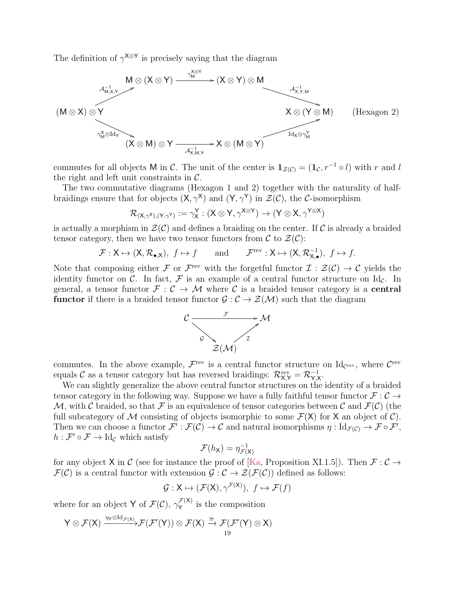The definition of  $\gamma^{\mathsf{X} \otimes \mathsf{Y}}$  is precisely saying that the diagram



commutes for all objects M in C. The unit of the center is  $\mathbf{1}_{\mathcal{Z}(\mathcal{C})} = (\mathbf{1}_{\mathcal{C}}, r^{-1} \circ l)$  with r and l the right and left unit constraints in  $\mathcal{C}$ .

The two commutative diagrams (Hexagon 1 and 2) together with the naturality of halfbraidings ensure that for objects  $(X, \gamma^X)$  and  $(Y, \gamma^Y)$  in  $\mathcal{Z}(\mathcal{C})$ , the C-isomorphism

$$
\mathcal{R}_{(\mathsf{X},\gamma^{\mathsf{X}}),(\mathsf{Y},\gamma^{\mathsf{Y}})}:=\gamma_{\mathsf{X}}^{\mathsf{Y}}:(\mathsf{X}\otimes \mathsf{Y},\gamma^{\mathsf{X}\otimes \mathsf{Y}})\to (\mathsf{Y}\otimes \mathsf{X},\gamma^{\mathsf{Y}\otimes \mathsf{X}})
$$

is actually a morphism in  $\mathcal{Z}(\mathcal{C})$  and defines a braiding on the center. If  $\mathcal{C}$  is already a braided tensor category, then we have two tensor functors from  $\mathcal{C}$  to  $\mathcal{Z}(\mathcal{C})$ :

$$
\mathcal{F}: X \mapsto (X, \mathcal{R}_{\bullet, X}), f \mapsto f
$$
 and  $\mathcal{F}^{\text{rev}}: X \mapsto (X, \mathcal{R}_{X, \bullet}^{-1}), f \mapsto f.$ 

Note that composing either F or  $\mathcal{F}^{\text{rev}}$  with the forgetful functor  $\mathcal{I} : \mathcal{Z}(\mathcal{C}) \to \mathcal{C}$  yields the identity functor on C. In fact, F is an example of a central functor structure on  $\mathrm{Id}_{\mathcal{C}}$ . In general, a tensor functor  $\mathcal{F}: \mathcal{C} \to \mathcal{M}$  where  $\mathcal{C}$  is a braided tensor category is a **central functor** if there is a braided tensor functor  $\mathcal{G}: \mathcal{C} \to \mathcal{Z}(\mathcal{M})$  such that the diagram



commutes. In the above example,  $\mathcal{F}^{\text{rev}}$  is a central functor structure on Id<sub>C</sub><sup>rev</sup>, where  $\mathcal{C}^{\text{rev}}$ equals C as a tensor category but has reversed braidings:  $\mathcal{R}_{X,Y}^{\text{rev}} = \mathcal{R}_{Y,X}^{-1}$ .

We can slightly generalize the above central functor structures on the identity of a braided tensor category in the following way. Suppose we have a fully faithful tensor functor  $\mathcal{F} : \mathcal{C} \to$ M, with C braided, so that F is an equivalence of tensor categories between C and  $\mathcal{F}(\mathcal{C})$  (the full subcategory of M consisting of objects isomorphic to some  $\mathcal{F}(X)$  for X an object of C). Then we can choose a functor  $\mathcal{F}': \mathcal{F}(\mathcal{C}) \to \mathcal{C}$  and natural isomorphisms  $\eta: \mathrm{Id}_{\mathcal{F}(\mathcal{C})} \to \mathcal{F} \circ \mathcal{F}',$  $h: \mathcal{F}' \circ \mathcal{F} \to \mathrm{Id}_{\mathcal{C}}$  which satisfy

$$
\mathcal{F}(h_{\mathsf{X}}) = \eta_{\mathcal{F}(\mathsf{X})}^{-1}
$$

for any object X in C (see for instance the proof of [\[Ka,](#page-56-8) Proposition XI.1.5]). Then  $\mathcal{F} : \mathcal{C} \to$  $\mathcal{F}(\mathcal{C})$  is a central functor with extension  $\mathcal{G}: \mathcal{C} \to \mathcal{Z}(\mathcal{F}(\mathcal{C}))$  defined as follows:

$$
\mathcal{G}: \mathsf{X} \mapsto (\mathcal{F}(\mathsf{X}), \gamma^{\mathcal{F}(\mathsf{X})}), \ f \mapsto \mathcal{F}(f)
$$

where for an object Y of  $\mathcal{F}(\mathcal{C})$ ,  $\gamma_{\mathbf{Y}}^{\mathcal{F}(\mathsf{X})}$  $Y^{(\lambda)}$  is the composition

$$
\mathsf{Y} \otimes \mathcal{F}(\mathsf{X}) \xrightarrow{\eta_{\mathsf{Y}} \otimes \operatorname{Id}_{\mathcal{F}(\mathsf{X})}} \mathcal{F}(\mathcal{F}'(\mathsf{Y})) \otimes \mathcal{F}(\mathsf{X}) \xrightarrow{\cong} \mathcal{F}(\mathcal{F}'(\mathsf{Y}) \otimes \mathsf{X})
$$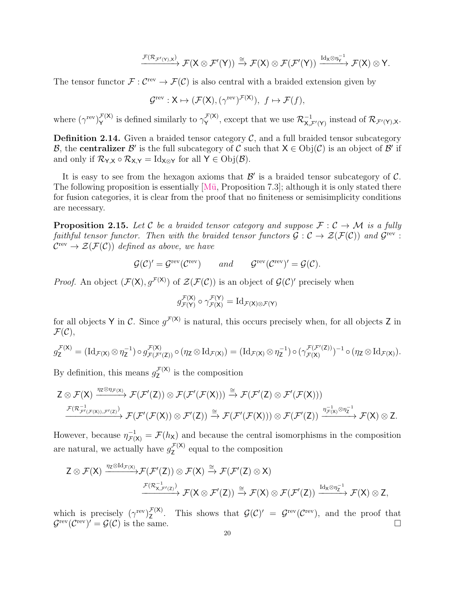$$
\xrightarrow{\mathcal{F}(\mathcal{R}_{\mathcal{F}'(Y),X})} \mathcal{F}(X \otimes \mathcal{F}'(Y)) \xrightarrow{\cong} \mathcal{F}(X) \otimes \mathcal{F}(\mathcal{F}'(Y)) \xrightarrow{\mathrm{Id}_X \otimes \eta_Y^{-1}} \mathcal{F}(X) \otimes Y.
$$

The tensor functor  $\mathcal{F}: C^{\text{rev}} \to \mathcal{F}(\mathcal{C})$  is also central with a braided extension given by

$$
\mathcal{G}^{\mathrm{rev}}:\mathsf{X}\mapsto (\mathcal{F}(\mathsf{X}),(\gamma^{\mathrm{rev}})^{\mathcal{F}(\mathsf{X})}),\ f\mapsto \mathcal{F}(f),
$$

where  $(\gamma^{\text{rev}})_Y^{\mathcal{F}(X)}$  $\mathcal{F}^{(\mathsf{X})}_{\mathsf{Y}}$  is defined similarly to  $\gamma_{\mathsf{Y}}^{\mathcal{F}(\mathsf{X})}$  $\mathcal{F}_{\mathsf{Y}}^{(\mathsf{X})}$ , except that we use  $\mathcal{R}_{\mathsf{X},\mathcal{F}'(\mathsf{Y})}^{-1}$  instead of  $\mathcal{R}_{\mathcal{F}'(\mathsf{Y}),\mathsf{X}}$ .

**Definition 2.14.** Given a braided tensor category  $\mathcal{C}$ , and a full braided tensor subcategory B, the centralizer B' is the full subcategory of C such that  $X \in Obj(\mathcal{C})$  is an object of B' if and only if  $\mathcal{R}_{Y,X} \circ \mathcal{R}_{X,Y} = \mathrm{Id}_{X \otimes Y}$  for all  $Y \in \mathrm{Obj}(\mathcal{B})$ .

It is easy to see from the hexagon axioms that  $\mathcal{B}'$  is a braided tensor subcategory of  $\mathcal{C}$ . The following proposition is essentially  $[M\ddot{u}, Proposition 7.3]$ ; although it is only stated there for fusion categories, it is clear from the proof that no finiteness or semisimplicity conditions are necessary.

<span id="page-19-0"></span>**Proposition 2.15.** Let C be a braided tensor category and suppose  $\mathcal{F}: \mathcal{C} \to \mathcal{M}$  is a fully faithful tensor functor. Then with the braided tensor functors  $\mathcal{G}: \mathcal{C} \to \mathcal{Z}(\mathcal{F}(\mathcal{C}))$  and  $\mathcal{G}^{\text{rev}}$ :  $\mathcal{C}^{\text{rev}} \to \mathcal{Z}(\mathcal{F}(\mathcal{C}))$  defined as above, we have

$$
\mathcal{G}(\mathcal{C})' = \mathcal{G}^{\text{rev}}(\mathcal{C}^{\text{rev}}) \qquad and \qquad \mathcal{G}^{\text{rev}}(\mathcal{C}^{\text{rev}})' = \mathcal{G}(\mathcal{C}).
$$

*Proof.* An object  $(\mathcal{F}(\mathsf{X}), g^{\mathcal{F}(\mathsf{X})})$  of  $\mathcal{Z}(\mathcal{F}(\mathcal{C}))$  is an object of  $\mathcal{G}(\mathcal{C})'$  precisely when

$$
g_{\mathcal{F}(\mathsf{Y})}^{\mathcal{F}(\mathsf{X})} \circ \gamma_{\mathcal{F}(\mathsf{X})}^{\mathcal{F}(\mathsf{Y})} = \mathrm{Id}_{\mathcal{F}(\mathsf{X}) \otimes \mathcal{F}(\mathsf{Y})}
$$

for all objects Y in C. Since  $g^{\mathcal{F}(X)}$  is natural, this occurs precisely when, for all objects Z in  $\mathcal{F}(\mathcal{C}),$ 

$$
g_{\mathsf{Z}}^{\mathcal{F}(\mathsf{X})} = (\mathrm{Id}_{\mathcal{F}(\mathsf{X})} \otimes \eta_{\mathsf{Z}}^{-1}) \circ g_{\mathcal{F}(\mathcal{F}'(\mathsf{Z}))}^{\mathcal{F}(\mathsf{X})} \circ (\eta_{\mathsf{Z}} \otimes \mathrm{Id}_{\mathcal{F}(\mathsf{X})}) = (\mathrm{Id}_{\mathcal{F}(\mathsf{X})} \otimes \eta_{\mathsf{Z}}^{-1}) \circ (\gamma_{\mathcal{F}(\mathsf{X})}^{\mathcal{F}(\mathcal{F}'(\mathsf{Z}))})^{-1} \circ (\eta_{\mathsf{Z}} \otimes \mathrm{Id}_{\mathcal{F}(\mathsf{X})}).
$$

By definition, this means  $g_{\mathbf{z}}^{\mathcal{F}(\mathsf{X})}$  $\sum_{\mathsf{Z}}^{(\lambda)}$  is the composition

$$
\begin{array}{c}\displaystyle Z\otimes \mathcal{F}(X) \xrightarrow{\eta_{Z}\otimes \eta_{\mathcal{F}(X)}} \mathcal{F}(\mathcal{F}'(Z))\otimes \mathcal{F}(\mathcal{F}'(\mathcal{F}(X)))\xrightarrow{\cong} \mathcal{F}(\mathcal{F}'(Z)\otimes \mathcal{F}'(\mathcal{F}(X)))\\ \xrightarrow{\mathcal{F}(\mathcal{R}_{\mathcal{F}'(\mathcal{F}(X)),\mathcal{F}'(Z)})} \mathcal{F}(\mathcal{F}'(\mathcal{F}(X))\otimes \mathcal{F}'(Z))\xrightarrow{\cong} \mathcal{F}(\mathcal{F}'(\mathcal{F}(X)))\otimes \mathcal{F}(\mathcal{F}'(Z))\xrightarrow{\eta_{\mathcal{F}(X)}^{-1}\otimes \eta_{Z}^{-1}} \mathcal{F}(X)\otimes Z.\end{array}
$$

However, because  $\eta_{\mathcal{F}(X)}^{-1} = \mathcal{F}(h_X)$  and because the central isomorphisms in the composition are natural, we actually have  $g_{\mathbf{Z}}^{\mathcal{F}(\mathsf{X})}$  $\zeta^{(k)}$  equal to the composition

$$
\begin{aligned} Z \otimes \mathcal{F}(X) \xrightarrow{\eta_Z \otimes \mathrm{Id}_{\mathcal{F}(X)}} & \mathcal{F}(\mathcal{F}'(Z)) \otimes \mathcal{F}(X) \xrightarrow{\cong} \mathcal{F}(\mathcal{F}'(Z) \otimes X) \\ & \xrightarrow{\mathcal{F}(\mathcal{R}_{X,\mathcal{F}'(Z)}^{-1})} \mathcal{F}(X \otimes \mathcal{F}'(Z)) \xrightarrow{\cong} \mathcal{F}(X) \otimes \mathcal{F}(\mathcal{F}'(Z)) \xrightarrow{\mathrm{Id}_X \otimes \eta_Z^{-1}} \mathcal{F}(X) \otimes Z, \end{aligned}
$$

which is precisely  $(\gamma^{\text{rev}})_{7}^{\mathcal{F}(X)}$  $Z_Z^{\mathcal{F}(X)}$ . This shows that  $\mathcal{G}(\mathcal{C})' = \mathcal{G}^{\text{rev}}(\mathcal{C}^{\text{rev}})$ , and the proof that  $\mathcal{G}^{\text{rev}}(\mathcal{C}^{\text{rev}})$  $\mathcal{G}(\mathcal{C})$  is the same.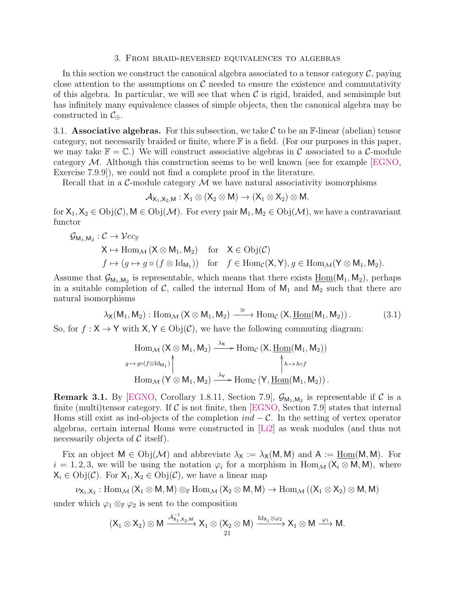#### 3. From braid-reversed equivalences to algebras

<span id="page-20-0"></span>In this section we construct the canonical algebra associated to a tensor category  $\mathcal{C}$ , paying close attention to the assumptions on  $\mathcal C$  needed to ensure the existence and commutativity of this algebra. In particular, we will see that when  $\mathcal C$  is rigid, braided, and semisimple but has infinitely many equivalence classes of simple objects, then the canonical algebra may be constructed in  $\mathcal{C}_{\oplus}$ .

<span id="page-20-1"></span>3.1. Associative algebras. For this subsection, we take C to be an F-linear (abelian) tensor category, not necessarily braided or finite, where F is a field. (For our purposes in this paper, we may take  $\mathbb{F} = \mathbb{C}$ .) We will construct associative algebras in C associated to a C-module category  $M$ . Although this construction seems to be well known (see for example  $[EGNO,$ Exercise 7.9.9]), we could not find a complete proof in the literature.

Recall that in a  $\mathcal{C}\text{-module category }\mathcal{M}$  we have natural associativity isomorphisms

$$
\mathcal{A}_{X_1,X_2,M}:X_1\otimes (X_2\otimes M)\to (X_1\otimes X_2)\otimes M.
$$

for  $X_1, X_2 \in Obj(\mathcal{C}), M \in Obj(\mathcal{M})$ . For every pair  $M_1, M_2 \in Obj(\mathcal{M})$ , we have a contravariant functor

$$
G_{\mathsf{M}_1,\mathsf{M}_2}: C \to \mathcal{V}ec_{\mathbb{F}}
$$
  

$$
\mathsf{X} \mapsto \text{Hom}_{\mathcal{M}} (\mathsf{X} \otimes \mathsf{M}_1, \mathsf{M}_2) \quad \text{for} \quad \mathsf{X} \in \text{Obj}(\mathcal{C})
$$
  

$$
f \mapsto (g \mapsto g \circ (f \otimes \text{Id}_{\mathsf{M}_1})) \quad \text{for} \quad f \in \text{Hom}_{\mathcal{C}}(\mathsf{X}, \mathsf{Y}), g \in \text{Hom}_{\mathcal{M}}(\mathsf{Y} \otimes \mathsf{M}_1, \mathsf{M}_2).
$$

Assume that  $\mathcal{G}_{M_1,M_2}$  is representable, which means that there exists  $\underline{\text{Hom}}(M_1, M_2)$ , perhaps in a suitable completion of  $\mathcal{C}$ , called the internal Hom of  $M_1$  and  $M_2$  such that there are natural isomorphisms

<span id="page-20-2"></span>
$$
\lambda_X(M_1,M_2): \operatorname{Hom}_{\mathcal{M}}\left(X \otimes M_1, M_2\right) \xrightarrow{\cong} \operatorname{Hom}_{\mathcal{C}}\left(X, \underline{\operatorname{Hom}}(M_1, M_2)\right). \tag{3.1}
$$

So, for  $f : X \to Y$  with  $X, Y \in Obj(\mathcal{C})$ , we have the following commuting diagram:

$$
\operatorname{Hom}_{\mathcal{M}} (\mathsf{X} \otimes \mathsf{M}_1, \mathsf{M}_2) \xrightarrow{\lambda_{\mathsf{X}}} \operatorname{Hom}_{\mathcal{C}} (\mathsf{X}, \underline{\operatorname{Hom}}(\mathsf{M}_1, \mathsf{M}_2))
$$
\n
$$
g \mapsto g \circ (f \otimes \operatorname{Id}_{\mathsf{M}_1}) \uparrow \qquad \qquad \qquad \uparrow h \mapsto h \circ f
$$
\n
$$
\operatorname{Hom}_{\mathcal{M}} (\mathsf{Y} \otimes \mathsf{M}_1, \mathsf{M}_2) \xrightarrow{\lambda_{\mathsf{Y}}} \operatorname{Hom}_{\mathcal{C}} (\mathsf{Y}, \underline{\operatorname{Hom}}(\mathsf{M}_1, \mathsf{M}_2)) \, .
$$

<span id="page-20-3"></span>**Remark 3.1.** By [\[EGNO,](#page-55-1) Corollary 1.8.11, Section 7.9],  $\mathcal{G}_{M_1,M_2}$  is representable if  $\mathcal{C}$  is a finite (multi)tensor category. If  $\mathcal C$  is not finite, then [\[EGNO,](#page-55-1) Section 7.9] states that internal Homs still exist as ind-objects of the completion  $ind - C$ . In the setting of vertex operator algebras, certain internal Homs were constructed in [\[Li2\]](#page-57-9) as weak modules (and thus not necessarily objects of  $\mathcal C$  itself).

Fix an object  $M \in Obj(\mathcal{M})$  and abbreviate  $\lambda_X := \lambda_X(M, M)$  and  $A := \underline{Hom}(M, M)$ . For  $i = 1, 2, 3$ , we will be using the notation  $\varphi_i$  for a morphism in  $\text{Hom}_{\mathcal{M}}(\mathsf{X}_i \otimes \mathsf{M}, \mathsf{M})$ , where  $X_i \in \mathrm{Obj}(\mathcal{C})$ . For  $X_1, X_2 \in \mathrm{Obj}(\mathcal{C})$ , we have a linear map

$$
\nu_{X_1,X_2}:\mathrm{Hom}_{\mathcal{M}}\left(X_1\otimes M,M\right)\otimes_{\mathbb{F}}\mathrm{Hom}_{\mathcal{M}}\left(X_2\otimes M,M\right)\rightarrow \mathrm{Hom}_{\mathcal{M}}\left(\left(X_1\otimes X_2\right)\otimes M,M\right)
$$

under which  $\varphi_1 \otimes_{\mathbb{F}} \varphi_2$  is sent to the composition

$$
(X_1\otimes X_2)\otimes M\xrightarrow{\mathcal{A}_{X_1,X_2,M}^{-1}}X_1\otimes(X_2\otimes M)\xrightarrow{\mathrm{Id}_{X_1}\otimes\varphi_2}X_1\otimes M\xrightarrow{\phi_1}M.
$$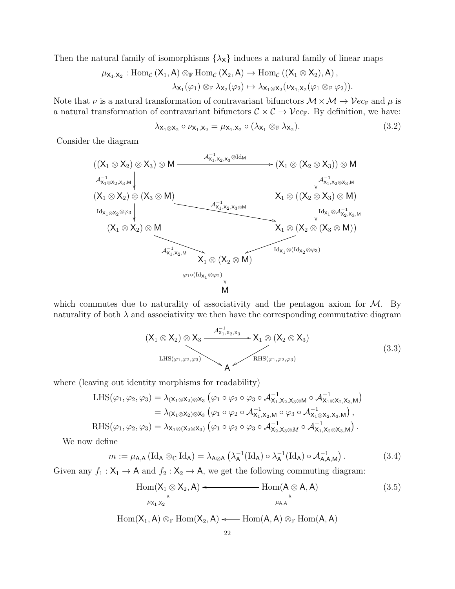Then the natural family of isomorphisms  $\{\lambda_{\mathsf{X}}\}$  induces a natural family of linear maps

$$
\mu_{X_1,X_2}: \text{Hom}_{\mathcal{C}}\left(X_1,A\right) \otimes_{\mathbb{F}} \text{Hom}_{\mathcal{C}}\left(X_2,A\right) \to \text{Hom}_{\mathcal{C}}\left(\left(X_1 \otimes X_2\right),A\right),\\ \lambda_{X_1}(\varphi_1) \otimes_{\mathbb{F}} \lambda_{X_2}(\varphi_2) \mapsto \lambda_{X_1 \otimes X_2}(\nu_{X_1,X_2}(\varphi_1 \otimes_{\mathbb{F}} \varphi_2)).
$$

Note that  $\nu$  is a natural transformation of contravariant bifunctors  $\mathcal{M} \times \mathcal{M} \to \mathcal{V}ec_{\mathbb{F}}$  and  $\mu$  is a natural transformation of contravariant bifunctors  $C \times C \rightarrow \mathcal{V}ec_{\mathbb{F}}$ . By definition, we have:

$$
\lambda_{\mathsf{X}_1 \otimes \mathsf{X}_2} \circ \nu_{\mathsf{X}_1, \mathsf{X}_2} = \mu_{\mathsf{X}_1, \mathsf{X}_2} \circ (\lambda_{\mathsf{X}_1} \otimes_{\mathbb{F}} \lambda_{\mathsf{X}_2}). \tag{3.2}
$$

Consider the diagram

<span id="page-21-0"></span>
$$
\begin{array}{c}\n((X_1 \otimes X_2) \otimes X_3) \otimes M \xrightarrow{\mathcal{A}_{X_1,X_2,X_3}^{-1} \otimes Id_M} (X_1 \otimes (X_2 \otimes X_3)) \otimes M \\
&\downarrow \mathcal{A}_{X_1 \otimes X_2,X_3,M}^{-1} \downarrow \downarrow \mathcal{A}_{X_1,X_2 \otimes X_3,M}^{-1} \\
(X_1 \otimes X_2) \otimes (X_3 \otimes M) \xrightarrow{\mathcal{A}_{X_1,X_2,X_3 \otimes M}^{-1}} (X_1 \otimes X_2) \otimes M \\
&\downarrow \mathcal{A}_{X_1,X_2 \otimes X_3,M}^{-1} \\
(X_1 \otimes X_2) \otimes M \xrightarrow{\mathcal{A}_{X_1,X_2,M}^{-1}} (X_1 \otimes (X_2 \otimes X_3) \otimes M) \\
&\downarrow \text{Id}_{X_1} \otimes \mathcal{A}_{X_2,X_3,M}^{-1} \\
&\downarrow \text{Id}_{X_1} \otimes \mathcal{A}_{X_2,X_3,M}^{-1} \\
&\downarrow \text{Id}_{X_1} \otimes \mathcal{A}_{X_2,X_3,M}^{-1} \\
&\downarrow \text{Id}_{X_1} \otimes \mathcal{A}_{X_2,X_3,M}^{-1} \\
&\downarrow \text{Id}_{X_1} \otimes \mathcal{A}_{X_2,X_3,M}^{-1} \\
&\downarrow \text{Id}_{X_1} \otimes \mathcal{A}_{X_2,X_3,M}^{-1} \\
&\downarrow \text{Id}_{X_1} \otimes \mathcal{A}_{X_2,X_3,M}^{-1} \\
&\downarrow \text{Id}_{X_1} \otimes \mathcal{A}_{X_2,X_3,M}^{-1} \\
&\downarrow \text{Id}_{X_1} \otimes \mathcal{A}_{X_2,X_3,M}^{-1} \\
&\downarrow \text{Id}_{X_1} \otimes \mathcal{A}_{X_2,X_3,M}^{-1} \\
&\downarrow \text{Id}_{X_1} \otimes \mathcal{A}_{X_2,X_3,M}^{-1} \\
&\downarrow \text{Id}_{X_1} \otimes \mathcal{A}_{X_2,X_3,M}^{-1} \\
&\downarrow \text{Id}_{X_1} \otimes \mathcal{A}_{X_2,X_3,M}^{-1} \\
&\downarrow \text{Id}_{X_1} \otimes \mathcal{A}_{X_2,X_3,M}
$$

which commutes due to naturality of associativity and the pentagon axiom for  $M$ . By naturality of both  $\lambda$  and associativity we then have the corresponding commutative diagram

$$
(X_1 \otimes X_2) \otimes X_3 \xrightarrow{\mathcal{A}_{X_1, X_2, X_3}^{-1}} X_1 \otimes (X_2 \otimes X_3)
$$
  
LHS $(\varphi_1, \varphi_2, \varphi_3)$ 

where (leaving out identity morphisms for readability)

$$
\begin{split} \mathrm{LHS}(\varphi_1, \varphi_2, \varphi_3) &= \lambda_{(\mathsf{X}_1 \otimes \mathsf{X}_2) \otimes \mathsf{X}_3} \left( \varphi_1 \circ \varphi_2 \circ \varphi_3 \circ \mathcal{A}_{\mathsf{X}_1, \mathsf{X}_2, \mathsf{X}_3 \otimes \mathsf{M}}^{-1} \circ \mathcal{A}_{\mathsf{X}_1 \otimes \mathsf{X}_2, \mathsf{X}_3, \mathsf{M}}^{-1} \right) \\ &= \lambda_{(\mathsf{X}_1 \otimes \mathsf{X}_2) \otimes \mathsf{X}_3} \left( \varphi_1 \circ \varphi_2 \circ \mathcal{A}_{\mathsf{X}_1, \mathsf{X}_2, \mathsf{M}}^{-1} \circ \varphi_3 \circ \mathcal{A}_{\mathsf{X}_1 \otimes \mathsf{X}_2, \mathsf{X}_3, \mathsf{M}}^{-1} \right), \\ \mathrm{RHS}(\varphi_1, \varphi_2, \varphi_3) &= \lambda_{\mathsf{X}_1 \otimes (\mathsf{X}_2 \otimes \mathsf{X}_3)} \left( \varphi_1 \circ \varphi_2 \circ \varphi_3 \circ \mathcal{A}_{\mathsf{X}_2, \mathsf{X}_3 \otimes \mathsf{M}}^{-1} \circ \mathcal{A}_{\mathsf{X}_1, \mathsf{X}_2 \otimes \mathsf{X}_3, \mathsf{M}}^{-1} \right). \end{split}
$$

We now define

$$
m := \mu_{\mathsf{A},\mathsf{A}} \left( \mathrm{Id}_{\mathsf{A}} \otimes_{\mathbb{C}} \mathrm{Id}_{\mathsf{A}} \right) = \lambda_{\mathsf{A} \otimes \mathsf{A}} \left( \lambda_{\mathsf{A}}^{-1} (\mathrm{Id}_{\mathsf{A}}) \circ \lambda_{\mathsf{A}}^{-1} (\mathrm{Id}_{\mathsf{A}}) \circ \mathcal{A}_{\mathsf{A},\mathsf{A},\mathsf{M}}^{-1} \right). \tag{3.4}
$$

Given any  $f_1: X_1 \to A$  and  $f_2: X_2 \to A$ , we get the following commuting diagram:

$$
\text{Hom}(X_1 \otimes X_2, A) \leftarrow \text{Hom}(A \otimes A, A)
$$
\n
$$
\xrightarrow{\mu_{X_1, X_2}} \uparrow
$$
\n
$$
\text{Hom}(X_1, A) \otimes_{\mathbb{F}} \text{Hom}(X_2, A) \leftarrow \text{Hom}(A, A) \otimes_{\mathbb{F}} \text{Hom}(A, A)
$$
\n
$$
(3.5)
$$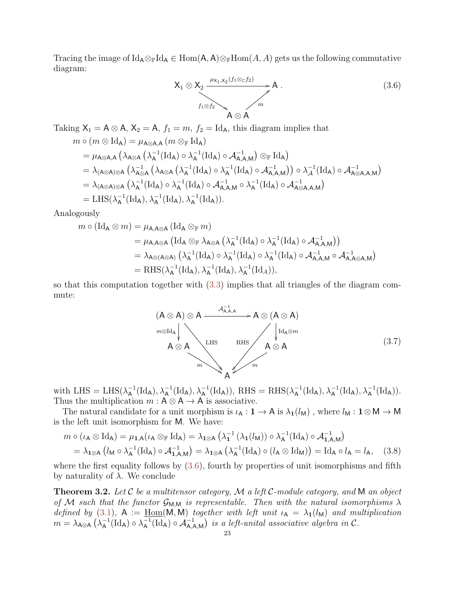Tracing the image of Id<sub>A</sub>⊗<sub>F</sub>Id<sub>A</sub> ∈ Hom(A, A)⊗<sub>F</sub>Hom(A, A) gets us the following commutative diagram:

<span id="page-22-1"></span>
$$
X_1 \otimes X_2 \xrightarrow{ \mu_{X_1, X_2}(f_1 \otimes_{\mathbb{C}} f_2) } A .
$$
\n
$$
f_1 \otimes f_2 \xrightarrow{\qquad \qquad } A \otimes A
$$
\n(3.6)

Taking  $X_1 = A \otimes A$ ,  $X_2 = A$ ,  $f_1 = m$ ,  $f_2 = Id_A$ , this diagram implies that  $m \circ (m \otimes \text{Id}_{A}) = \mu_{A \otimes A, A} (m \otimes_{\mathbb{F}} \text{Id}_{A})$  $=\mu_\mathsf{A\otimes A,A}\left(\lambda_\mathsf{A\otimes A}\left(\lambda_\mathsf{A}^{-1}\right)\right)$  $_{\mathsf{A}}^{-1}(\mathrm{Id}_{\mathsf{A}})\circ \lambda_{\mathsf{A}}^{-1}$  $\mathsf{A}^{-1}(\mathrm{Id}_\mathsf{A}) \circ \mathcal{A}_{\mathsf{A},\mathsf{A},\mathsf{M}}^{-1}\big) \otimes_\mathbb{F} \mathrm{Id}_\mathsf{A}$  $= \lambda_{\sf (A\otimes A)\otimes A}\left(\lambda^{-1}_{\sf A\otimes A}\right)$  $_{\mathsf{A}\otimes\mathsf{A}}^{-1}\left(\lambda_{\mathsf{A}\otimes\mathsf{A}}\left(\lambda_{\mathsf{A}}^{-1}\right.\right)$  $_{\mathsf{A}}^{-1}(\mathrm{Id}_{\mathsf{A}})\circ \lambda_{\mathsf{A}}^{-1}$  $\lambda_A^{-1}(\mathrm{Id}_A)\circ \mathcal{A}_{\mathsf{A},\mathsf{A},\mathsf{M}}^{-1}\big)\big)\circ \lambda_\mathcal{A}^{-1}(\mathrm{Id}_A)\circ \mathcal{A}_{\mathsf{A}\otimes \mathsf{A},\mathsf{A},\mathsf{M}}^{-1}\big)$  $= \lambda_{\sf (A\otimes A)\otimes A}\left(\lambda_{\sf A}^{-1}\right)$  $_{\mathsf{A}}^{-1}(\mathrm{Id}_{\mathsf{A}})\circ \lambda_{\mathsf{A}}^{-1}$  $\mathcal{A}^{-1}(\mathrm{Id}_\mathsf{A}) \circ \mathcal{A}^{-1}_{\mathsf{A},\mathsf{A},\mathsf{M}} \circ \lambda^{-1}_\mathsf{A}$  $\mathcal{A}^{-1}(\mathrm{Id}_\mathsf{A}) \circ \mathcal{A}^{-1}_{\mathsf{A} \otimes \mathsf{A}, \mathsf{A}, \mathsf{M}}$  $=$  LHS( $\lambda_{\mathsf{A}}^{-1}$  $\lambda_A^{-1}(\mathrm{Id}_A), \lambda_A^{-1}(\mathrm{Id}_A), \lambda_A^{-1}(\mathrm{Id}_A)).$ 

Analogously

$$
m \circ (\mathrm{Id}_{A} \otimes m) = \mu_{A, A \otimes A} (\mathrm{Id}_{A} \otimes_{\mathbb{F}} m)
$$
  
\n
$$
= \mu_{A, A \otimes A} (\mathrm{Id}_{A} \otimes_{\mathbb{F}} \lambda_{A \otimes A} (\lambda_{A}^{-1} (\mathrm{Id}_{A}) \circ \lambda_{A}^{-1} (\mathrm{Id}_{A}) \circ \mathcal{A}_{A, A, M}^{-1}))
$$
  
\n
$$
= \lambda_{A \otimes (A \otimes A)} (\lambda_{A}^{-1} (\mathrm{Id}_{A}) \circ \lambda_{A}^{-1} (\mathrm{Id}_{A}) \circ \lambda_{A}^{-1} (\mathrm{Id}_{A}) \circ \mathcal{A}_{A, A, M}^{-1} \circ \mathcal{A}_{A, A \otimes A, M}^{-1})
$$
  
\n
$$
= \mathrm{RHS}(\lambda_{A}^{-1} (\mathrm{Id}_{A}), \lambda_{A}^{-1} (\mathrm{Id}_{A}), \lambda_{A}^{-1} (\mathrm{Id}_{A})),
$$

so that this computation together with [\(3.3\)](#page-21-0) implies that all triangles of the diagram commute:



with LHS = LHS( $\lambda_A^{-1}$  $\lambda_A^{-1}(\mathrm{Id}_A), \lambda_A^{-1}(\mathrm{Id}_A), \lambda_A^{-1}(\mathrm{Id}_A)), \text{ RHS} = \text{RHS}(\lambda_A^{-1})$  $\lambda_A^{-1}(\mathrm{Id}_A), \lambda_A^{-1}(\mathrm{Id}_A), \lambda_A^{-1}(\mathrm{Id}_A)).$ Thus the multiplication  $m : A \otimes A \rightarrow A$  is associative.

The natural candidate for a unit morphism is  $\iota_A : \mathbf{1} \to A$  is  $\lambda_1(l_M)$ , where  $l_M : \mathbf{1} \otimes M \to M$ is the left unit isomorphism for M. We have:

$$
m \circ (\iota_{A} \otimes \mathrm{Id}_{A}) = \mu_{1,A}(\iota_{A} \otimes_{\mathbb{F}} \mathrm{Id}_{A}) = \lambda_{1 \otimes A} \left( \lambda_{1}^{-1} \left( \lambda_{1}(l_{M}) \right) \circ \lambda_{A}^{-1} (\mathrm{Id}_{A}) \circ \mathcal{A}_{1,A,M}^{-1} \right)
$$
  
=  $\lambda_{1 \otimes A} \left( l_{M} \circ \lambda_{A}^{-1} (\mathrm{Id}_{A}) \circ \mathcal{A}_{1,A,M}^{-1} \right) = \lambda_{1 \otimes A} \left( \lambda_{A}^{-1} (\mathrm{Id}_{A}) \circ (l_{A} \otimes \mathrm{Id}_{M}) \right) = \mathrm{Id}_{A} \circ l_{A} = l_{A}, \quad (3.8)$ 

where the first equality follows by  $(3.6)$ , fourth by properties of unit isomorphisms and fifth by naturality of  $\lambda$ . We conclude

<span id="page-22-0"></span>**Theorem 3.2.** Let  $C$  be a multitensor category,  $M$  a left  $C$ -module category, and  $M$  an object of M such that the functor  $\mathcal{G}_{M,M}$  is representable. Then with the natural isomorphisms  $\lambda$ defined by [\(3.1\)](#page-20-2),  $A := \underline{\text{Hom}}(M, M)$  together with left unit  $\iota_A = \lambda_1(l_M)$  and multiplication  $m = \lambda_\mathsf{A\otimes A}\, \bigl( \lambda_\mathsf{A}^{-1}$  $\overline{A}^1(\mathrm{Id}_A) \circ \lambda^{-1}_A$  $\mathcal{A}_{\mathsf{A}}^{-1}(\mathrm{Id}_{\mathsf{A}}) \circ \mathcal{A}_{\mathsf{A},\mathsf{A},\mathsf{M}}^{-1}$  is a left-unital associative algebra in C.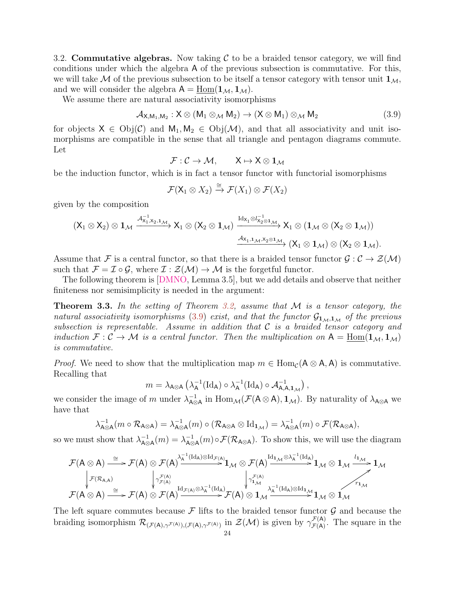<span id="page-23-0"></span>3.2. Commutative algebras. Now taking  $\mathcal C$  to be a braided tensor category, we will find conditions under which the algebra A of the previous subsection is commutative. For this, we will take M of the previous subsection to be itself a tensor category with tensor unit  $1_M$ , and we will consider the algebra  $A = \underline{\text{Hom}}(1_{\mathcal{M}}, 1_{\mathcal{M}})$ .

We assume there are natural associativity isomorphisms

<span id="page-23-2"></span>
$$
\mathcal{A}_{X,M_1,M_2}: X \otimes (M_1 \otimes_M M_2) \to (X \otimes M_1) \otimes_M M_2 \tag{3.9}
$$

for objects  $X \in Obj(\mathcal{C})$  and  $M_1, M_2 \in Obj(\mathcal{M})$ , and that all associativity and unit isomorphisms are compatible in the sense that all triangle and pentagon diagrams commute. Let

$$
\mathcal{F}:\mathcal{C}\to\mathcal{M},\qquad X\mapsto X\otimes 1_{\mathcal{M}}
$$

be the induction functor, which is in fact a tensor functor with functorial isomorphisms

$$
\mathcal{F}(\mathsf{X}_1 \otimes X_2) \xrightarrow{\cong} \mathcal{F}(X_1) \otimes \mathcal{F}(X_2)
$$

given by the composition

$$
(X_1\otimes X_2)\otimes 1_{\mathcal M} \xrightarrow{\mathcal A^{-1}_{X_1,X_2,1_{\mathcal M}}}_{X_1\otimes (X_2\otimes 1_{\mathcal M})} X_1\otimes (X_2\otimes 1_{\mathcal M}) \xrightarrow{\mathrm{Id}_{X_1}\otimes I_{X_2\otimes 1_{\mathcal M}}}_{X_1\otimes (1_{\mathcal M}\otimes (X_2\otimes 1_{\mathcal M}))} (X_1\otimes 1_{\mathcal M})\otimes (X_2\otimes 1_{\mathcal M}).
$$

Assume that F is a central functor, so that there is a braided tensor functor  $\mathcal{G}: \mathcal{C} \to \mathcal{Z}(\mathcal{M})$ such that  $\mathcal{F} = \mathcal{I} \circ \mathcal{G}$ , where  $\mathcal{I} : \mathcal{Z}(\mathcal{M}) \to \mathcal{M}$  is the forgetful functor.

The following theorem is [\[DMNO,](#page-55-2) Lemma 3.5], but we add details and observe that neither finiteness nor semisimplicity is needed in the argument:

<span id="page-23-1"></span>**Theorem 3.3.** In the setting of Theorem [3.2,](#page-22-0) assume that  $M$  is a tensor category, the natural associativity isomorphisms [\(3.9\)](#page-23-2) exist, and that the functor  $\mathcal{G}_{1_{M},1_{M}}$  of the previous subsection is representable. Assume in addition that  $C$  is a braided tensor category and induction  $\mathcal{F}: \mathcal{C} \to \mathcal{M}$  is a central functor. Then the multiplication on  $A = \underline{\text{Hom}}(\mathbf{1}_{\mathcal{M}}, \mathbf{1}_{\mathcal{M}})$ is commutative.

*Proof.* We need to show that the multiplication map  $m \in \text{Hom}_{\mathcal{C}}(\mathsf{A} \otimes \mathsf{A}, \mathsf{A})$  is commutative. Recalling that

$$
m = \lambda_{A \otimes A} \left( \lambda_A^{-1} (\mathrm{Id}_A) \circ \lambda_A^{-1} (\mathrm{Id}_A) \circ \mathcal{A}_{A,A,1_{\mathcal{M}}}^{-1} \right),
$$

we consider the image of m under  $\lambda_{A\alpha}^{-1}$  $\lambda_{\text{A}\otimes A}^{-1}$  in  $\text{Hom}_{\mathcal{M}}(\mathcal{F}(\text{A}\otimes\text{A}),1_{\mathcal{M}})$ . By naturality of  $\lambda_{\text{A}\otimes A}$  we have that

$$
\lambda_{\mathsf{A}\otimes\mathsf{A}}^{-1}(m\circ \mathcal{R}_{\mathsf{A}\otimes\mathsf{A}})=\lambda_{\mathsf{A}\otimes\mathsf{A}}^{-1}(m)\circ (\mathcal{R}_{\mathsf{A}\otimes\mathsf{A}}\otimes \mathrm{Id}_{\mathbf{1}_{\mathcal{M}}})=\lambda_{\mathsf{A}\otimes\mathsf{A}}^{-1}(m)\circ \mathcal{F}(\mathcal{R}_{\mathsf{A}\otimes\mathsf{A}}),
$$

so we must show that  $\lambda_{\mathbf{A}\alpha}^{-1}$  $\frac{-1}{\mathsf{A}\otimes\mathsf{A}}(m)=\lambda^{-1}_{\mathsf{A}\otimes\mathsf{A}}$  $\overline{\mathcal{A}}_{\otimes A}(m) \circ \mathcal{F}(\mathcal{R}_{A \otimes A})$ . To show this, we will use the diagram

$$
\mathcal{F}(A\otimes A)\stackrel{\cong}{\longrightarrow} \mathcal{F}(A)\otimes \mathcal{F}(A) \stackrel{\lambda_A^{-1}(\mathrm{Id}_A)\otimes \mathrm{Id}_{\mathcal{F}(A)}}{\longrightarrow} 1_\mathcal{M}\otimes \mathcal{F}(A) \stackrel{\mathrm{Id}_{1_\mathcal{M}}\otimes \lambda_A^{-1}(\mathrm{Id}_A)}{\longrightarrow} 1_\mathcal{M}\otimes 1_\mathcal{M} \stackrel{\iota_{1_\mathcal{M}}}{\longrightarrow} 1_\mathcal{M}
$$
\n
$$
\downarrow_{\mathcal{F}(A)}^{\mathcal{F}(A)}\downarrow_{\mathcal{F}(A)}^{\mathcal{F}(A)}\downarrow_{\mathcal{F}(A)}^{\mathcal{F}(A)}\downarrow_{\mathcal{F}(A)}^{\mathcal{F}(A)}\downarrow_{\mathcal{F}(A)}^{\mathcal{F}(A)}\downarrow_{\mathcal{F}(A)}^{\mathcal{F}(A)}\downarrow_{\mathcal{F}(A)}^{\mathcal{F}(A)}\downarrow_{\mathcal{F}(A)}^{\mathcal{F}(A)}\downarrow_{\mathcal{F}(A)}^{\mathcal{F}(A)}\downarrow_{\mathcal{F}(A)}^{\mathcal{F}(A)}\downarrow_{\mathcal{F}(A)}^{\mathcal{F}(A)}\downarrow_{\mathcal{F}(A)}^{\mathcal{F}(A)}\downarrow_{\mathcal{F}(A)}^{\mathcal{F}(A)}\downarrow_{\mathcal{F}(A)}^{\mathcal{F}(A)}\downarrow_{\mathcal{F}(A)}^{\mathcal{F}(A)}\downarrow_{\mathcal{F}(A)}^{\mathcal{F}(A)}\downarrow_{\mathcal{F}(A)}^{\mathcal{F}(A)}\downarrow_{\mathcal{F}(A)}^{\mathcal{F}(A)}\downarrow_{\mathcal{F}(A)}^{\mathcal{F}(A)}\downarrow_{\mathcal{F}(A)}^{\mathcal{F}(A)}\downarrow_{\mathcal{F}(A)}^{\mathcal{F}(A)}\downarrow_{\mathcal{F}(A)}^{\mathcal{F}(A)}\downarrow_{\mathcal{F}(A)}^{\mathcal{F}(A)}\downarrow_{\mathcal{F}(A)}^{\mathcal{F}(A)}\downarrow_{\mathcal{F}(A)}^{\mathcal{F}(A)}\downarrow_{\mathcal{F}(A)}^{\mathcal{F}(A)}\downarrow_{\mathcal{F}(A)}^{\mathcal{F}(A)}\downarrow_{\mathcal{F}(A)}^{\mathcal
$$

The left square commutes because  $\mathcal F$  lifts to the braided tensor functor  $\mathcal G$  and because the braiding isomorphism  $\mathcal{R}_{(\mathcal{F}(A), \gamma^{\mathcal{F}(A)}), (\mathcal{F}(A), \gamma^{\mathcal{F}(A)})}$  in  $\mathcal{Z}(\mathcal{M})$  is given by  $\gamma^{\mathcal{F}(A)}_{\mathcal{F}(A)}$  $\mathcal{F}^{(A)}_{(\mathcal{A})}$ . The square in the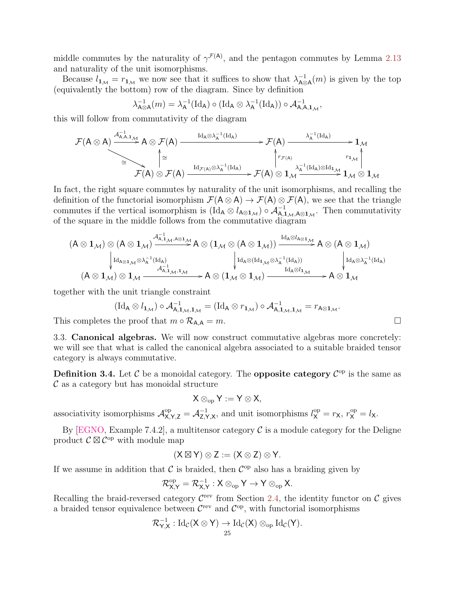middle commutes by the naturality of  $\gamma^{\mathcal{F}(A)}$ , and the pentagon commutes by Lemma [2.13](#page-17-0) and naturality of the unit isomorphisms.

Because  $l_{1_{\mathcal{M}}} = r_{1_{\mathcal{M}}}$  we now see that it suffices to show that  $\lambda_{A\otimes}^{-1}$  $\overline{A}^{-1}_{A\otimes A}(m)$  is given by the top (equivalently the bottom) row of the diagram. Since by definition

$$
\lambda_{\mathsf{A}\otimes\mathsf{A}}^{-1}(m)=\lambda_{\mathsf{A}}^{-1}(\mathrm{Id}_{\mathsf{A}})\circ(\mathrm{Id}_{\mathsf{A}}\otimes\lambda_{\mathsf{A}}^{-1}(\mathrm{Id}_{\mathsf{A}}))\circ\mathcal{A}_{\mathsf{A},\mathsf{A},\mathsf{1}_{\mathcal{M}}}^{-1},
$$

this will follow from commutativity of the diagram

$$
\mathcal{F}(A\otimes A)\xrightarrow{\mathcal{A}^{-1}_{A,A,1_{\mathcal{M}}}}A\otimes \mathcal{F}(A)\xrightarrow{\mathrm{Id}_{A}\otimes \lambda_{A}^{-1}(\mathrm{Id}_{A})}\mathcal{F}(A)\xrightarrow{\lambda_{A}^{-1}(\mathrm{Id}_{A})}\mathbb{1}_{\mathcal{M}}\\ \cong\qquad \qquad \downarrow\mathcal{F}(A)\otimes \mathcal{F}(A)\xrightarrow{\mathrm{Id}_{\mathcal{F}(A)}\otimes \lambda_{A}^{-1}(\mathrm{Id}_{A})}\mathcal{F}(A)\otimes 1_{\mathcal{M}}\xrightarrow{r_{1_{\mathcal{M}}}}\mathbb{1}_{\mathcal{M}}\otimes 1_{\mathcal{M}}
$$

In fact, the right square commutes by naturality of the unit isomorphisms, and recalling the definition of the functorial isomorphism  $\mathcal{F}(\mathsf{A} \otimes \mathsf{A}) \to \mathcal{F}(\mathsf{A}) \otimes \mathcal{F}(\mathsf{A})$ , we see that the triangle commutes if the vertical isomorphism is  $(\text{Id}_A \otimes l_{A\otimes 1_M}) \circ A_{A,1_M,A\otimes 1_M}^{-1}$ . Then commutativity of the square in the middle follows from the commutative diagram

$$
(A\otimes 1_{\mathcal{M}})\otimes (A\otimes 1_{\mathcal{M}})\xrightarrow{ \mathcal{A}_{A,1_{\mathcal{M}},A\otimes 1_{\mathcal{M}} }^{1_{\mathcal{A}}}\mathcal{A}\otimes (1_{\mathcal{M}}\otimes (A\otimes 1_{\mathcal{M}}))}\xrightarrow{Id_{A\otimes I_{A\otimes 1_{\mathcal{M}}}}A\otimes (A\otimes 1_{\mathcal{M}})\atop \downarrow \mathrm{Id}_{A\otimes 1_{\mathcal{M}}}\otimes \lambda_{A}^{-1}(\mathrm{Id}_{A})}\xrightarrow[\mathrm{Id}_{A\otimes 1_{\mathcal{M}}}\mathrm{Id}_{A\otimes 1_{\mathcal{M}}}] \underset{Id_{A}\otimes \lambda_{A}^{-1}(\mathrm{Id}_{A})}{\downarrow \mathrm{Id}_{A\otimes 1_{\mathcal{M}}}}\mathcal{A}\otimes (A\otimes 1_{\mathcal{M}})\xrightarrow{\mathrm{Id}_{A\otimes \mathcal{A}_{A}}^{-1}(\mathrm{Id}_{A})}\xrightarrow[\mathrm{Id}_{A}\otimes I_{\mathcal{M}}] \longrightarrow A\otimes 1_{\mathcal{M}}
$$

together with the unit triangle constraint

$$
(\mathrm{Id}_{\mathsf{A}} \otimes l_{1_{\mathcal{M}}}) \circ \mathcal{A}_{\mathsf{A},1_{\mathcal{M}},1_{\mathcal{M}}}^{-1} = (\mathrm{Id}_{\mathsf{A}} \otimes r_{1_{\mathcal{M}}}) \circ \mathcal{A}_{\mathsf{A},1_{\mathcal{M}},1_{\mathcal{M}}}^{-1} = r_{\mathsf{A} \otimes 1_{\mathcal{M}}}.
$$
\nwhere  $\mathsf{A} \otimes l_{\mathcal{M}}$  is the proof that  $m \circ \mathcal{R}_{\mathsf{A},\mathsf{A}} = m$ .

This completes the proof that  $m \circ \mathcal{R}_{A,A}$ 

<span id="page-24-0"></span>3.3. Canonical algebras. We will now construct commutative algebras more concretely: we will see that what is called the canonical algebra associated to a suitable braided tensor category is always commutative.

**Definition 3.4.** Let  $\mathcal C$  be a monoidal category. The **opposite category**  $\mathcal C^{\rm op}$  is the same as  $\mathcal C$  as a category but has monoidal structure

$$
X\otimes_{\mathrm{op}} Y:=Y\otimes X,
$$

associativity isomorphisms  $\mathcal{A}_{X,Y,Z}^{\text{op}} = \mathcal{A}_{Z,Y}^{-1}$  $z_{\mathsf{X}}^{-1}$ , and unit isomorphisms  $l_{\mathsf{X}}^{\mathrm{op}} = r_{\mathsf{X}}, r_{\mathsf{X}}^{\mathrm{op}} = l_{\mathsf{X}}$ .

By [\[EGNO,](#page-55-1) Example 7.4.2], a multitensor category  $\mathcal C$  is a module category for the Deligne product  $\mathcal{C} \boxtimes \mathcal{C}^{\mathrm{op}}$  with module map

$$
(X \boxtimes Y) \otimes Z := (X \otimes Z) \otimes Y.
$$

If we assume in addition that  $\mathcal C$  is braided, then  $\mathcal C^{op}$  also has a braiding given by

$$
\mathcal{R}^{\mathrm{op}}_{X,Y} = \mathcal{R}^{-1}_{X,Y} : X \otimes_{\mathrm{op}} Y \to Y \otimes_{\mathrm{op}} X.
$$

Recalling the braid-reversed category  $\mathcal{C}^{\text{rev}}$  from Section [2.4,](#page-16-0) the identity functor on  $\mathcal{C}$  gives a braided tensor equivalence between  $\mathcal{C}^{\text{rev}}$  and  $\mathcal{C}^{\text{op}}$ , with functorial isomorphisms

$$
\mathcal{R}_{Y,X}^{-1} : \mathrm{Id}_{\mathcal{C}}(X \otimes Y) \to \mathrm{Id}_{\mathcal{C}}(X) \otimes_{\mathrm{op}} \mathrm{Id}_{\mathcal{C}}(Y).
$$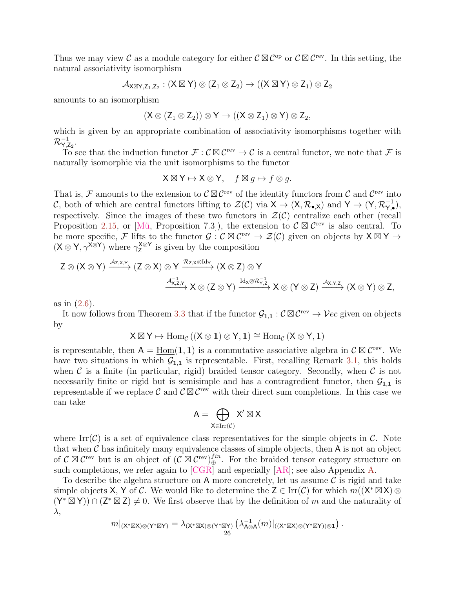Thus we may view C as a module category for either  $\mathcal{C} \boxtimes \mathcal{C}^{\mathrm{op}}$  or  $\mathcal{C} \boxtimes \mathcal{C}^{\mathrm{rev}}$ . In this setting, the natural associativity isomorphism

$$
\mathcal{A}_{X\boxtimes Y,Z_1,Z_2}:(X\boxtimes Y)\otimes (Z_1\otimes Z_2)\rightarrow ((X\boxtimes Y)\otimes Z_1)\otimes Z_2
$$

amounts to an isomorphism

$$
(X\otimes (Z_1\otimes Z_2))\otimes Y\to ((X\otimes Z_1)\otimes Y)\otimes Z_2,
$$

which is given by an appropriate combination of associativity isomorphisms together with  $\mathcal{R}_{\mathsf{Y},\mathsf{Z}_2}^{-1}.$ 

To see that the induction functor  $\mathcal{F}: \mathcal{C} \boxtimes \mathcal{C}^{\text{rev}} \to \mathcal{C}$  is a central functor, we note that  $\mathcal{F}$  is naturally isomorphic via the unit isomorphisms to the functor

$$
\mathsf{X} \boxtimes \mathsf{Y} \mapsto \mathsf{X} \otimes \mathsf{Y}, \quad f \boxtimes g \mapsto f \otimes g.
$$

That is, F amounts to the extension to  $\mathcal{C} \boxtimes \mathcal{C}^{\text{rev}}$  of the identity functors from C and  $\mathcal{C}^{\text{rev}}$  into C, both of which are central functors lifting to  $\mathcal{Z}(\mathcal{C})$  via  $X \to (X, \mathcal{R}_{\bullet,X})$  and  $Y \to (Y, \mathcal{R}_{Y,\bullet}^{-1})$ , respectively. Since the images of these two functors in  $\mathcal{Z}(\mathcal{C})$  centralize each other (recall Proposition [2.15,](#page-19-0) or [Mü, Proposition 7.3]), the extension to  $\mathcal{C} \boxtimes \mathcal{C}^{\text{rev}}$  is also central. To be more specific, F lifts to the functor  $\mathcal{G}: \mathcal{C} \boxtimes \mathcal{C}^{\text{rev}} \to \mathcal{Z}(\mathcal{C})$  given on objects by  $X \boxtimes Y \to$  $(X \otimes Y, \gamma^{X \otimes Y})$  where  $\gamma_Z^{X \otimes Y}$  $\frac{\lambda}{2}^{\infty}$  is given by the composition

$$
\begin{array}{c}\displaystyle Z\otimes (X\otimes Y)\xrightarrow{\mathcal{A}_{Z,X,Y}}(Z\otimes X)\otimes Y\xrightarrow{\mathcal{R}_{Z,X}\otimes \mathrm{Id}_Y}(X\otimes Z)\otimes Y\\ \xrightarrow{\mathcal{A}_{X,Z,Y}^{-1}}\displaystyle X\otimes (Z\otimes Y)\xrightarrow{\mathrm{Id}_X\otimes \mathcal{R}_{Y,Z}^{-1}}\displaystyle X\otimes (Y\otimes Z)\xrightarrow{\mathcal{A}_{X,Y,Z}}(X\otimes Y)\otimes Z,\end{array}
$$

as in [\(2.6\)](#page-17-1).

It now follows from Theorem [3.3](#page-23-1) that if the functor  $\mathcal{G}_{1,1} : \mathcal{C} \boxtimes \mathcal{C}^{\text{rev}} \to \mathcal{V}ec$  given on objects by

$$
X \boxtimes Y \mapsto \operatorname{Hom}_{\mathcal{C}}\left( (X \otimes 1) \otimes Y, 1 \right) \cong \operatorname{Hom}_{\mathcal{C}}\left( X \otimes Y, 1 \right)
$$

is representable, then  $A = \underline{\text{Hom}}(1, 1)$  is a commutative associative algebra in  $\mathcal{C} \boxtimes \mathcal{C}^{\text{rev}}$ . We have two situations in which  $G_{1,1}$  is representable. First, recalling Remark [3.1,](#page-20-3) this holds when  $\mathcal C$  is a finite (in particular, rigid) braided tensor category. Secondly, when  $\mathcal C$  is not necessarily finite or rigid but is semisimple and has a contragredient functor, then  $\mathcal{G}_{1,1}$  is representable if we replace C and  $\mathcal{C} \boxtimes \mathcal{C}^{\text{rev}}$  with their direct sum completions. In this case we can take

$$
A=\bigoplus_{X\in \mathrm{Irr}(\mathcal{C})}X'\boxtimes X
$$

where Irr( $\mathcal{C}$ ) is a set of equivalence class representatives for the simple objects in  $\mathcal{C}$ . Note that when  $\mathcal C$  has infinitely many equivalence classes of simple objects, then  $A$  is not an object of  $\mathcal{C} \boxtimes \mathcal{C}^{\text{rev}}$  but is an object of  $(\mathcal{C} \boxtimes \mathcal{C}^{\text{rev}})_\oplus^{fin}$ . For the braided tensor category structure on such completions, we refer again to [\[CGR\]](#page-55-21) and especially [\[AR\]](#page-54-7); see also Appendix [A.](#page-52-0)

To describe the algebra structure on A more concretely, let us assume  $\mathcal C$  is rigid and take simple objects X, Y of C. We would like to determine the  $Z \in \text{Irr}(\mathcal{C})$  for which  $m((X^* \boxtimes X) \otimes$  $(Y^* \boxtimes Y)$   $\cap$   $(Z^* \boxtimes Z) \neq 0$ . We first observe that by the definition of m and the naturality of λ,

$$
m|_{(\mathsf{X}^*\boxtimes \mathsf{X})\otimes (\mathsf{Y}^*\boxtimes \mathsf{Y})} = \lambda_{(\mathsf{X}^*\boxtimes \mathsf{X})\otimes (\mathsf{Y}^*\boxtimes \mathsf{Y})} \left(\lambda_{\mathsf{A}\otimes \mathsf{A}}^{-1}(m)|_{((\mathsf{X}^*\boxtimes \mathsf{X})\otimes (\mathsf{Y}^*\boxtimes \mathsf{Y}))\otimes \mathbf{1}}\right).
$$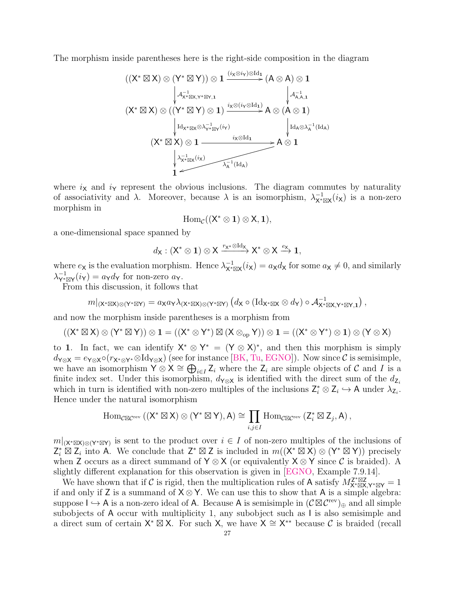The morphism inside parentheses here is the right-side composition in the diagram

$$
\begin{array}{c}\left((X^{*}\boxtimes X)\otimes (Y^{*}\boxtimes Y)\right)\otimes 1\xrightarrow[]{(i_{X}\otimes i_{Y})\otimes \mathrm{Id}_{1}}(A\otimes A)\otimes 1\\ &\downarrow \mathcal{A}_{X^{*}\boxtimes X,Y^{*}\boxtimes Y,1}^{-1} \qquad \qquad \downarrow \mathcal{A}_{A,A,1}^{-1}\\ &\downarrow \mathcal{A}_{X^{*}\boxtimes X,Y^{*}\boxtimes Y,1}^{-1}\qquad \qquad \downarrow \mathcal{A}_{A,A,1}^{-1}\\ &\downarrow \mathrm{Id}_{X^{*}\boxtimes X}\otimes \lambda_{Y^{*}\boxtimes Y}^{-1}(i_{Y})} \qquad \qquad \downarrow \mathrm{Id}_{A}\otimes \lambda_{A}^{-1}(\mathrm{Id}_{A})\\ &\downarrow \mathrm{Id}_{X^{*}\boxtimes X}\otimes 1\xrightarrow[]{i_{X}\otimes \mathrm{Id}_{1}} A\otimes 1\\ &\downarrow \lambda_{X^{*}\boxtimes X}^{-1}(i_{X})\qquad \qquad \downarrow \mathrm{Id}_{A}\otimes \lambda_{A}^{-1}(\mathrm{Id}_{A})\\ &\downarrow 1\xrightarrow[]{\downarrow \lambda_{X^{*}\boxtimes X}^{-1}(i_{X})}\qquad \qquad \lambda_{A}^{-1}(\mathrm{Id}_{A})\end{array}
$$

where  $i_{\mathsf{X}}$  and  $i_{\mathsf{Y}}$  represent the obvious inclusions. The diagram commutes by naturality of associativity and  $\lambda$ . Moreover, because  $\lambda$  is an isomorphism,  $\lambda_{\mathbf{X}^* \boxtimes \mathbf{X}}^{-1}(i_{\mathbf{X}})$  is a non-zero morphism in

$$
\operatorname{Hom}_{\mathcal C}((X^*\otimes 1)\otimes X,1),
$$

a one-dimensional space spanned by

$$
d_{\mathsf{X}}:({\mathsf{X}}^*\otimes \mathbf{1})\otimes {\mathsf{X}}\xrightarrow{r_{\mathsf{X}}^*\otimes \operatorname{Id}_{{\mathsf{X}}}}{\mathsf{X}}^*\otimes {\mathsf{X}}\xrightarrow{e_{{\mathsf{X}}}}\mathbf{1},
$$

where  $e_X$  is the evaluation morphism. Hence  $\lambda_{X^* \boxtimes X}^{-1}(i_X) = a_X d_X$  for some  $a_X \neq 0$ , and similarly  $\lambda_{\mathsf{Y}^* \boxtimes \mathsf{Y}}^{-1}(i_{\mathsf{Y}}) = a_{\mathsf{Y}} d_{\mathsf{Y}}$  for non-zero  $a_{\mathsf{Y}}$ .

From this discussion, it follows that

$$
m|_{(\mathsf{X}^*\boxtimes \mathsf{X})\otimes (\mathsf{Y}^*\boxtimes \mathsf{Y})}=a_{\mathsf{X}}a_{\mathsf{Y}}\lambda_{(\mathsf{X}^*\boxtimes \mathsf{X})\otimes (\mathsf{Y}^*\boxtimes \mathsf{Y})}\left(d_{\mathsf{X}}\circ (\mathrm{Id}_{\mathsf{X}^*\boxtimes \mathsf{X}}\otimes d_{\mathsf{Y}})\circ \mathcal{A}_{\mathsf{X}^*\boxtimes \mathsf{X},\mathsf{Y}^*\boxtimes \mathsf{Y},\mathbf{1}}^{-1}\right),
$$

and now the morphism inside parentheses is a morphism from

$$
((X^*\boxtimes X)\otimes (Y^*\boxtimes Y))\otimes 1=((X^*\otimes Y^*)\boxtimes (X\otimes_{\mathrm{op}} Y))\otimes 1=((X^*\otimes Y^*)\otimes 1)\otimes (Y\otimes X)
$$

to 1. In fact, we can identify  $X^* \otimes Y^* = (Y \otimes X)^*$ , and then this morphism is simply  $d_{\mathsf{Y} \otimes \mathsf{X}} = e_{\mathsf{Y} \otimes \mathsf{X}} \circ (r_{\mathsf{X}^* \otimes \mathsf{Y}^*} \otimes \mathrm{Id}_{\mathsf{Y} \otimes \mathsf{X}})$  (see for instance [\[BK,](#page-54-4) [Tu,](#page-57-10) [EGNO\]](#page-55-1)). Now since  $\mathcal C$  is semisimple, we have an isomorphism  $\overline{Y} \otimes X \cong \bigoplus_{i \in I} Z_i$  where the  $Z_i$  are simple objects of C and I is a finite index set. Under this isomorphism,  $d_{\mathsf{Y} \otimes \mathsf{X}}$  is identified with the direct sum of the  $d_{\mathsf{Z}_i}$ which in turn is identified with non-zero multiples of the inclusions  $\mathsf{Z}_{i}^{*} \otimes \mathsf{Z}_{i} \hookrightarrow \mathsf{A}$  under  $\lambda_{\mathsf{Z}_{i}}$ . Hence under the natural isomorphism

$$
\mathrm{Hom}_{\mathcal{C}\boxtimes \mathcal{C}^{\mathrm{rev}}}\left((X^*\boxtimes X)\otimes (Y^*\boxtimes Y),A\right)\cong \prod_{i,j\in I}\mathrm{Hom}_{\mathcal{C}\boxtimes \mathcal{C}^{\mathrm{rev}}}\left(Z_i^*\boxtimes Z_j,A\right),
$$

 $m|_{(X^*\boxtimes X)\otimes (Y^*\boxtimes Y)}$  is sent to the product over  $i\in I$  of non-zero multiples of the inclusions of  $Z_i^* \boxtimes Z_i$  into A. We conclude that  $Z^* \boxtimes Z$  is included in  $m((X^* \boxtimes X) \otimes (Y^* \boxtimes Y))$  precisely when Z occurs as a direct summand of  $Y \otimes X$  (or equivalently  $X \otimes Y$  since C is braided). A slightly different explanation for this observation is given in [\[EGNO,](#page-55-1) Example 7.9.14].

We have shown that if C is rigid, then the multiplication rules of A satisfy  $M_{\mathbf{X}^*\boxtimes\mathbf{X},\mathbf{Y}^*\boxtimes\mathbf{Y}}^{\mathbf{Z}^*\boxtimes\mathbf{Z}} = 1$ if and only if Z is a summand of  $X \otimes Y$ . We can use this to show that A is a simple algebra: suppose  $I \hookrightarrow A$  is a non-zero ideal of A. Because A is semisimple in  $(\mathcal{C} \boxtimes \mathcal{C}^{\text{rev}})_\oplus$  and all simple subobjects of A occur with multiplicity 1, any subobject such as I is also semisimple and a direct sum of certain  $X^* \boxtimes X$ . For such X, we have  $X \cong X^{**}$  because C is braided (recall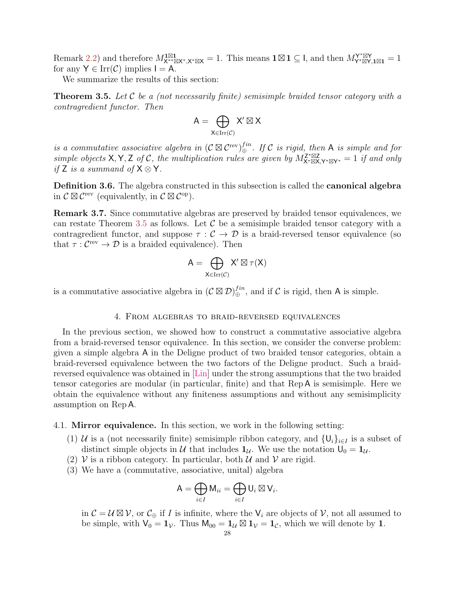Remark [2.2\)](#page-9-0) and therefore  $M_{\mathsf{X}^{**}\boxtimes \mathsf{X}^*,\mathsf{X}^*\boxtimes \mathsf{X}}^{\mathbf{1}\boxtimes \mathbf{1}} = 1$ . This means  $\mathbf{1} \boxtimes \mathbf{1} \subseteq \mathsf{I}$ , and then  $M_{\mathsf{Y}^*\boxtimes \mathsf{Y},\mathbf{1}\boxtimes \mathbf{1}}^{\mathsf{Y}^*\boxtimes \mathsf{Y}} = 1$ for any  $Y \in \text{Irr}(\mathcal{C})$  implies  $I = A$ .

We summarize the results of this section:

<span id="page-27-2"></span>**Theorem 3.5.** Let C be a (not necessarily finite) semisimple braided tensor category with a contragredient functor. Then

$$
A=\bigoplus_{X\in \mathrm{Irr}(\mathcal{C})} X'\boxtimes X
$$

is a commutative associative algebra in  $(C \boxtimes C^{\text{rev}})_\oplus^{fin}$ . If C is rigid, then A is simple and for simple objects X, Y, Z of C, the multiplication rules are given by  $M_{X^* \boxtimes X,Y^* \boxtimes Y^*}^{Z^* \boxtimes Z} = 1$  if and only if Z is a summand of  $X \otimes Y$ .

Definition 3.6. The algebra constructed in this subsection is called the canonical algebra in  $\mathcal{C} \boxtimes \mathcal{C}^{\text{rev}}$  (equivalently, in  $\mathcal{C} \boxtimes \mathcal{C}^{\text{op}}$ ).

<span id="page-27-3"></span>Remark 3.7. Since commutative algebras are preserved by braided tensor equivalences, we can restate Theorem [3.5](#page-27-2) as follows. Let  $\mathcal C$  be a semisimple braided tensor category with a contragredient functor, and suppose  $\tau : \mathcal{C} \to \mathcal{D}$  is a braid-reversed tensor equivalence (so that  $\tau : C^{\text{rev}} \to \mathcal{D}$  is a braided equivalence). Then

$$
A=\bigoplus_{X\in \operatorname{Irr}(\mathcal{C})}X'\boxtimes \tau(X)
$$

is a commutative associative algebra in  $(C \boxtimes \mathcal{D})_{\oplus}^{fin}$ , and if C is rigid, then A is simple.

## 4. From algebras to braid-reversed equivalences

<span id="page-27-0"></span>In the previous section, we showed how to construct a commutative associative algebra from a braid-reversed tensor equivalence. In this section, we consider the converse problem: given a simple algebra A in the Deligne product of two braided tensor categories, obtain a braid-reversed equivalence between the two factors of the Deligne product. Such a braidreversed equivalence was obtained in [\[Lin\]](#page-57-2) under the strong assumptions that the two braided tensor categories are modular (in particular, finite) and that Rep A is semisimple. Here we obtain the equivalence without any finiteness assumptions and without any semisimplicity assumption on Rep A.

<span id="page-27-1"></span>4.1. Mirror equivalence. In this section, we work in the following setting:

- (1) U is a (not necessarily finite) semisimple ribbon category, and  $\{U_i\}_{i\in I}$  is a subset of distinct simple objects in U that includes  $1_{\mathcal{U}}$ . We use the notation  $U_0 = 1_{\mathcal{U}}$ .
- (2) V is a ribbon category. In particular, both  $\mathcal U$  and  $\mathcal V$  are rigid.
- (3) We have a (commutative, associative, unital) algebra

$$
\mathsf{A}=\bigoplus_{i\in I} \mathsf{M}_{ii}=\bigoplus_{i\in I} \mathsf{U}_i\boxtimes \mathsf{V}_i.
$$

in  $\mathcal{C} = \mathcal{U} \boxtimes \mathcal{V}$ , or  $\mathcal{C}_{\oplus}$  if I is infinite, where the  $V_i$  are objects of  $\mathcal{V}$ , not all assumed to be simple, with  $V_0 = 1_V$ . Thus  $M_{00} = 1_U \boxtimes 1_V = 1_C$ , which we will denote by 1.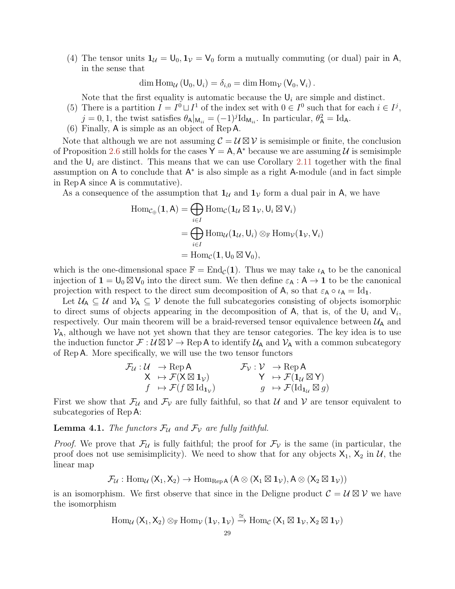(4) The tensor units  $\mathbf{1}_{\mathcal{U}} = \mathsf{U}_0, \mathbf{1}_{\mathcal{V}} = \mathsf{V}_0$  form a mutually commuting (or dual) pair in A, in the sense that

dim Hom<sub>U</sub> ( $U_0, U_i$ ) =  $\delta_{i,0}$  = dim Hom<sub>V</sub> ( $V_0, V_i$ ).

Note that the first equality is automatic because the  $U_i$  are simple and distinct.

- (5) There is a partition  $I = I^0 \sqcup I^1$  of the index set with  $0 \in I^0$  such that for each  $i \in I^j$ ,
	- $j = 0, 1$ , the twist satisfies  $\theta_{\mathsf{A}}|_{\mathsf{M}_{ii}} = (-1)^{j} \mathrm{Id}_{\mathsf{M}_{ii}}$ . In particular,  $\theta_{\mathsf{A}}^2 = \mathrm{Id}_{\mathsf{A}}$ .
- (6) Finally, A is simple as an object of Rep A.

Note that although we are not assuming  $\mathcal{C} = \mathcal{U} \boxtimes \mathcal{V}$  is semisimple or finite, the conclusion of Proposition [2.6](#page-11-1) still holds for the cases  $Y = A$ ,  $A^*$  because we are assuming U is semisimple and the  $U_i$  are distinct. This means that we can use Corollary [2.11](#page-16-1) together with the final assumption on  $A$  to conclude that  $A^*$  is also simple as a right A-module (and in fact simple in Rep A since A is commutative).

As a consequence of the assumption that  $1_{\mathcal{U}}$  and  $1_{\mathcal{V}}$  form a dual pair in A, we have

$$
\begin{aligned} \text{Hom}_{\mathcal{C}_{\oplus}}(\mathbf{1}, \mathsf{A}) &= \bigoplus_{i \in I} \text{Hom}_{\mathcal{C}}(\mathbf{1}_{\mathcal{U}} \boxtimes \mathbf{1}_{\mathcal{V}}, \mathsf{U}_{i} \boxtimes \mathsf{V}_{i}) \\ &= \bigoplus_{i \in I} \text{Hom}_{\mathcal{U}}(\mathbf{1}_{\mathcal{U}}, \mathsf{U}_{i}) \otimes_{\mathbb{F}} \text{Hom}_{\mathcal{V}}(\mathbf{1}_{\mathcal{V}}, \mathsf{V}_{i}) \\ &= \text{Hom}_{\mathcal{C}}(\mathbf{1}, \mathsf{U}_{0} \boxtimes \mathsf{V}_{0}), \end{aligned}
$$

which is the one-dimensional space  $\mathbb{F} = \text{End}_{\mathcal{C}}(1)$ . Thus we may take  $\iota_A$  to be the canonical injection of  $1 = U_0 \boxtimes V_0$  into the direct sum. We then define  $\varepsilon_A : A \to 1$  to be the canonical projection with respect to the direct sum decomposition of A, so that  $\varepsilon_A \circ \iota_A = Id_1$ .

Let  $U_A \subseteq U$  and  $V_A \subseteq V$  denote the full subcategories consisting of objects isomorphic to direct sums of objects appearing in the decomposition of A, that is, of the  $U_i$  and  $V_i$ , respectively. Our main theorem will be a braid-reversed tensor equivalence between  $\mathcal{U}_A$  and  $V_A$ , although we have not yet shown that they are tensor categories. The key idea is to use the induction functor  $\mathcal{F}:\mathcal{U}\boxtimes\mathcal{V}\to{\rm Rep}\,\mathsf{A}$  to identify  $\mathcal{U}_\mathsf{A}$  and  $\mathcal{V}_\mathsf{A}$  with a common subcategory of Rep A. More specifically, we will use the two tensor functors

$$
\mathcal{F}_\mathcal{U}: \mathcal{U} \rightarrow \text{Rep } \mathsf{A} \qquad \qquad \mathcal{F}_\mathcal{V}: \mathcal{V} \rightarrow \text{Rep } \mathsf{A} \qquad \qquad \mathcal{K} \mapsto \mathcal{F}(\mathsf{X} \boxtimes \mathbf{1}_\mathcal{V}) \qquad \qquad \mathsf{Y} \mapsto \mathcal{F}(\mathbf{1}_\mathcal{U} \boxtimes \mathsf{Y}) \qquad \qquad \mathcal{F} \mapsto \mathcal{F}(\mathsf{Id}_{\mathbf{1}_\mathcal{U}} \boxtimes \mathsf{g}) \qquad \qquad \mathcal{G} \mapsto \mathcal{F}(\mathsf{Id}_{\mathbf{1}_\mathcal{U}} \boxtimes \mathsf{g})
$$

First we show that  $\mathcal{F}_{\mathcal{U}}$  and  $\mathcal{F}_{\mathcal{V}}$  are fully faithful, so that  $\mathcal{U}$  and  $\mathcal{V}$  are tensor equivalent to subcategories of Rep A:

<span id="page-28-0"></span>**Lemma 4.1.** The functors  $\mathcal{F}_{\mathcal{U}}$  and  $\mathcal{F}_{\mathcal{V}}$  are fully faithful.

*Proof.* We prove that  $\mathcal{F}_{\mathcal{U}}$  is fully faithful; the proof for  $\mathcal{F}_{\mathcal{V}}$  is the same (in particular, the proof does not use semisimplicity). We need to show that for any objects  $X_1$ ,  $X_2$  in U, the linear map

$$
\mathcal{F}_{\mathcal{U}}: \mathrm{Hom}_{\mathcal{U}}\left(X_1, X_2\right) \rightarrow \mathrm{Hom}_{\mathrm{Rep} \,A}\left(A \otimes \left(X_1 \boxtimes \mathbf{1}_{\mathcal{V}}\right), A \otimes \left(X_2 \boxtimes \mathbf{1}_{\mathcal{V}}\right)\right)
$$

is an isomorphism. We first observe that since in the Deligne product  $\mathcal{C} = \mathcal{U} \boxtimes \mathcal{V}$  we have the isomorphism

$$
\operatorname{Hom}_{\mathcal{U}}\left(X_1,X_2\right)\otimes_{\mathbb{F}}\operatorname{Hom}_{\mathcal{V}}\left(\mathbf{1}_{\mathcal{V}},\mathbf{1}_{\mathcal{V}}\right)\xrightarrow{\cong}\operatorname{Hom}_{\mathcal{C}}\left(X_1\boxtimes \mathbf{1}_{\mathcal{V}},X_2\boxtimes \mathbf{1}_{\mathcal{V}}\right)
$$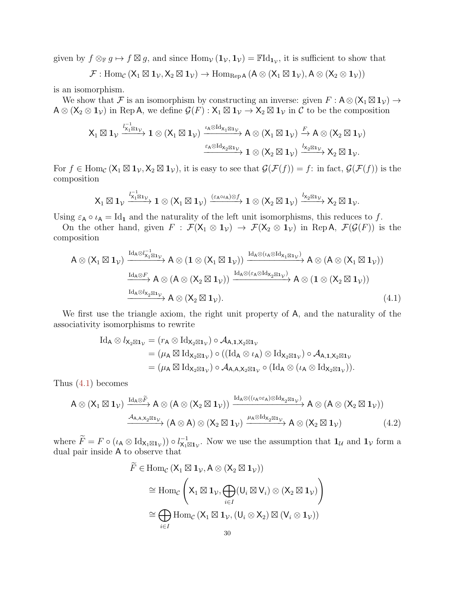given by  $f \otimes_{\mathbb{F}} g \mapsto f \boxtimes g$ , and since  $\text{Hom}_{\mathcal{V}}(\mathbf{1}_{\mathcal{V}}, \mathbf{1}_{\mathcal{V}}) = \mathbb{F} \text{Id}_{\mathbf{1}_{\mathcal{V}}}$ , it is sufficient to show that

 $\mathcal{F}: \text{Hom}_{\mathcal{C}}(\mathsf{X}_1 \boxtimes \mathbf{1}_{\mathcal{V}}, \mathsf{X}_2 \boxtimes \mathbf{1}_{\mathcal{V}}) \to \text{Hom}_{\text{Rep A}}(\mathsf{A} \otimes (\mathsf{X}_1 \boxtimes \mathbf{1}_{\mathcal{V}}), \mathsf{A} \otimes (\mathsf{X}_2 \otimes \mathbf{1}_{\mathcal{V}}))$ 

is an isomorphism.

We show that F is an isomorphism by constructing an inverse: given  $F: A \otimes (X_1 \boxtimes 1_V) \rightarrow$  $A \otimes (X_2 \otimes 1_{\mathcal{V}})$  in Rep A, we define  $\mathcal{G}(F) : X_1 \boxtimes 1_{\mathcal{V}} \to X_2 \boxtimes 1_{\mathcal{V}}$  in C to be the composition

$$
\mathsf{X}_1\boxtimes \mathbf{1}_{\mathcal{V}}\xrightarrow[]{l_{X_1\boxtimes 1_{\mathcal{V}}^{\negthinspace -1}}\mathbf{1}\otimes (\mathsf{X}_1\boxtimes \mathbf{1}_{\mathcal{V}})} \xrightarrow[]{\iota_{\mathsf{A}}\otimes \mathrm{Id}_{\mathsf{X}_1\boxtimes \mathbf{1}_{\mathcal{V}}}} \mathsf{A}\otimes (\mathsf{X}_1\boxtimes \mathbf{1}_{\mathcal{V}})\xrightarrow[]{F} \mathsf{A}\otimes (\mathsf{X}_2\boxtimes \mathbf{1}_{\mathcal{V}})\\xrightarrow[]{\iota_{\mathsf{A}}\otimes \mathrm{Id}_{\mathsf{X}_2\boxtimes \mathbf{1}_{\mathcal{V}}}} \mathbf{1}\otimes (\mathsf{X}_2\boxtimes \mathbf{1}_{\mathcal{V}})\xrightarrow[]{l_{X_2\boxtimes \mathbf{1}_{\mathcal{V}}}} \mathsf{X}_2\boxtimes \mathbf{1}_{\mathcal{V}}.
$$

For  $f \in \text{Hom}_{\mathcal{C}} (\mathsf{X}_1 \boxtimes \mathsf{1}_{\mathcal{V}}, \mathsf{X}_2 \boxtimes \mathsf{1}_{\mathcal{V}})$ , it is easy to see that  $\mathcal{G}(\mathcal{F}(f)) = f$ : in fact,  $\mathcal{G}(\mathcal{F}(f))$  is the composition

$$
\mathsf{X}_1\boxtimes \mathbf{1}_{\mathcal{V}}\xrightarrow{l_{\chi_1\boxtimes \mathbf{1}_{\mathcal{V}}}} \mathbf{1}\otimes (\mathsf{X}_1\boxtimes \mathbf{1}_{\mathcal{V}})\xrightarrow{(\varepsilon_A\circ \iota_A)\otimes f} \mathbf{1}\otimes (\mathsf{X}_2\boxtimes \mathbf{1}_{\mathcal{V}})\xrightarrow{l_{\chi_2\boxtimes \mathbf{1}_{\mathcal{V}}}} \mathsf{X}_2\boxtimes \mathbf{1}_{\mathcal{V}}.
$$

Using  $\varepsilon_A \circ \iota_A = Id_1$  and the naturality of the left unit isomorphisms, this reduces to f.

On the other hand, given  $F : \mathcal{F}(\mathsf{X}_1 \otimes \mathsf{1}_\mathcal{V}) \to \mathcal{F}(\mathsf{X}_2 \otimes \mathsf{1}_\mathcal{V})$  in Rep A,  $\mathcal{F}(\mathcal{G}(F))$  is the composition

$$
A \otimes (X_1 \boxtimes 1_{\mathcal{V}}) \xrightarrow{\mathrm{Id}_A \otimes I_{X_1 \boxtimes 1_{\mathcal{V}}}} A \otimes (1 \otimes (X_1 \boxtimes 1_{\mathcal{V}})) \xrightarrow{\mathrm{Id}_A \otimes (\iota_A \otimes \mathrm{Id}_{X_1 \boxtimes 1_{\mathcal{V}}})} A \otimes (A \otimes (X_1 \boxtimes 1_{\mathcal{V}}))
$$

$$
\xrightarrow{\mathrm{Id}_A \otimes F} A \otimes (A \otimes (X_2 \boxtimes 1_{\mathcal{V}})) \xrightarrow{\mathrm{Id}_A \otimes (\varepsilon_A \otimes \mathrm{Id}_{X_2 \boxtimes 1_{\mathcal{V}}})} A \otimes (1 \otimes (X_2 \boxtimes 1_{\mathcal{V}}))
$$

$$
\xrightarrow{\mathrm{Id}_A \otimes I_{X_2 \boxtimes 1_{\mathcal{V}}}} A \otimes (X_2 \boxtimes 1_{\mathcal{V}}).
$$
(4.1)

We first use the triangle axiom, the right unit property of A, and the naturality of the associativity isomorphisms to rewrite

<span id="page-29-0"></span>
$$
\mathrm{Id}_{A}\otimes l_{X_{2}\boxtimes 1_{\mathcal{V}}}=(r_{A}\otimes \mathrm{Id}_{X_{2}\boxtimes 1_{\mathcal{V}}})\circ \mathcal{A}_{A,1,X_{2}\boxtimes 1_{\mathcal{V}}}\\ =(\mu_{A}\boxtimes \mathrm{Id}_{X_{2}\boxtimes 1_{\mathcal{V}}})\circ ((\mathrm{Id}_{A}\otimes \iota_{A})\otimes \mathrm{Id}_{X_{2}\boxtimes 1_{\mathcal{V}}})\circ \mathcal{A}_{A,1,X_{2}\boxtimes 1_{\mathcal{V}}}\\ =(\mu_{A}\boxtimes \mathrm{Id}_{X_{2}\boxtimes 1_{\mathcal{V}}})\circ \mathcal{A}_{A,A,X_{2}\boxtimes 1_{\mathcal{V}}}\circ (\mathrm{Id}_{A}\otimes (\iota_{A}\otimes \mathrm{Id}_{X_{2}\boxtimes 1_{\mathcal{V}}})).
$$

Thus [\(4.1\)](#page-29-0) becomes

$$
A \otimes (X_1 \boxtimes \mathbf{1}_{\mathcal{V}}) \xrightarrow{\mathrm{Id}_A \otimes \widetilde{F}} A \otimes (A \otimes (X_2 \boxtimes \mathbf{1}_{\mathcal{V}})) \xrightarrow{\mathrm{Id}_A \otimes ((\iota_A \circ \varepsilon_A) \otimes \mathrm{Id}_{X_2 \boxtimes \mathbf{1}_{\mathcal{V}}})} A \otimes (A \otimes (X_2 \boxtimes \mathbf{1}_{\mathcal{V}}))
$$
  

$$
\xrightarrow{\mathcal{A}_{A,A,X_2 \boxtimes \mathbf{1}_{\mathcal{V}}}} (A \otimes A) \otimes (X_2 \boxtimes \mathbf{1}_{\mathcal{V}}) \xrightarrow{\mu_A \otimes \mathrm{Id}_{X_2 \boxtimes \mathbf{1}_{\mathcal{V}}}} A \otimes (X_2 \boxtimes \mathbf{1}_{\mathcal{V}})
$$
(4.2)

where  $\widetilde{F} = F \circ (\iota_A \otimes \mathrm{Id}_{X_1 \boxtimes \mathbf{1}_{\mathcal{V}}})) \circ l_{X_1 \boxtimes \mathbf{1}_{\mathcal{V}}}^{-1}$ . Now we use the assumption that  $\mathbf{1}_{\mathcal{U}}$  and  $\mathbf{1}_{\mathcal{V}}$  form a dual pair inside A to observe that

<span id="page-29-1"></span>
$$
\widetilde{F} \in \text{Hom}_{\mathcal{C}} (\mathsf{X}_1 \boxtimes \mathbf{1}_{\mathcal{V}}, A \otimes (\mathsf{X}_2 \boxtimes \mathbf{1}_{\mathcal{V}}))
$$
\n
$$
\cong \text{Hom}_{\mathcal{C}} \left( \mathsf{X}_1 \boxtimes \mathbf{1}_{\mathcal{V}}, \bigoplus_{i \in I} (\mathsf{U}_i \boxtimes \mathsf{V}_i) \otimes (\mathsf{X}_2 \boxtimes \mathbf{1}_{\mathcal{V}}) \right)
$$
\n
$$
\cong \bigoplus_{i \in I} \text{Hom}_{\mathcal{C}} (\mathsf{X}_1 \boxtimes \mathbf{1}_{\mathcal{V}}, (\mathsf{U}_i \otimes \mathsf{X}_2) \boxtimes (\mathsf{V}_i \otimes \mathbf{1}_{\mathcal{V}}))
$$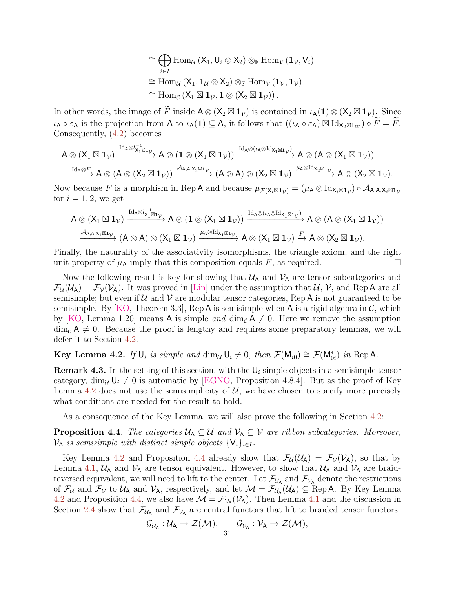$$
\cong \bigoplus_{i \in I} \text{Hom}_{\mathcal{U}} (\mathsf{X}_1, \mathsf{U}_i \otimes \mathsf{X}_2) \otimes_{\mathbb{F}} \text{Hom}_{\mathcal{V}} (\mathbf{1}_{\mathcal{V}}, \mathsf{V}_i)
$$
  

$$
\cong \text{Hom}_{\mathcal{U}} (\mathsf{X}_1, \mathbf{1}_{\mathcal{U}} \otimes \mathsf{X}_2) \otimes_{\mathbb{F}} \text{Hom}_{\mathcal{V}} (\mathbf{1}_{\mathcal{V}}, \mathbf{1}_{\mathcal{V}})
$$
  

$$
\cong \text{Hom}_{\mathcal{C}} (\mathsf{X}_1 \boxtimes \mathbf{1}_{\mathcal{V}}, \mathbf{1} \otimes (\mathsf{X}_2 \boxtimes \mathbf{1}_{\mathcal{V}})).
$$

In other words, the image of  $\widetilde{F}$  inside  $A \otimes (X_2 \boxtimes \mathbf{1}_V)$  is contained in  $\iota_A(\mathbf{1}) \otimes (X_2 \boxtimes \mathbf{1}_V)$ . Since  $\iota_{\mathsf{A}} \circ \varepsilon_{\mathsf{A}}$  is the projection from A to  $\iota_{\mathsf{A}}(1) \subseteq \mathsf{A}$ , it follows that  $((\iota_{\mathsf{A}} \circ \varepsilon_{\mathsf{A}}) \boxtimes \mathrm{Id}_{\mathsf{X}_2 \boxtimes \mathsf{1}_W}) \circ \widetilde{F} = \widetilde{F}$ . Consequently, [\(4.2\)](#page-29-1) becomes

$$
A\otimes(X_1\boxtimes 1_{\mathcal{V}})\xrightarrow{\mathrm{Id}_A\otimes I_{X_1\boxtimes 1_{\mathcal{V}}^{\negthinspace-1}}}A\otimes (1\otimes (X_1\boxtimes 1_{\mathcal{V}}))\xrightarrow{\mathrm{Id}_A\otimes (\iota_A\otimes \mathrm{Id}_{X_1\boxtimes 1_{\mathcal{V}}})}A\otimes (A\otimes (X_1\boxtimes 1_{\mathcal{V}}))\xrightarrow{\mathrm{Id}_A\otimes F}A\otimes (A\otimes (X_2\boxtimes 1_{\mathcal{V}}))\xrightarrow{\mathcal{A}_{A,A,X_2\boxtimes 1_{\mathcal{V}}}}(A\otimes A)\otimes (X_2\boxtimes 1_{\mathcal{V}})\xrightarrow{\mu_A\otimes \mathrm{Id}_{X_2\boxtimes 1_{\mathcal{V}}}}A\otimes (X_2\boxtimes 1_{\mathcal{V}}).
$$

Now because F is a morphism in Rep A and because  $\mu_{\mathcal{F}(\mathsf{X}_i \boxtimes \mathbf{1}_{\mathcal{V}})} = (\mu_{\mathsf{A}} \otimes \mathrm{Id}_{\mathsf{X}_i \boxtimes \mathbf{1}_{\mathcal{V}}}) \circ \mathcal{A}_{\mathsf{A},\mathsf{A},\mathsf{X}_i \boxtimes \mathbf{1}_{\mathcal{V}}}$ for  $i = 1, 2$ , we get

$$
A\otimes(X_1\boxtimes\mathbf{1}_{\mathcal{V}})\xrightarrow{\mathrm{Id}_A\otimes l_{X_1\boxtimes 1_{\mathcal{V}}}}A\otimes(\mathbf{1}\otimes(X_1\boxtimes\mathbf{1}_{\mathcal{V}}))\xrightarrow{\mathrm{Id}_A\otimes(\iota_A\otimes\mathrm{Id}_{X_1\boxtimes 1_{\mathcal{V}}})}A\otimes(A\otimes(X_1\boxtimes\mathbf{1}_{\mathcal{V}}))\xrightarrow{A_{A,A,X_1\boxtimes 1_{\mathcal{V}}}}(A\otimes A)\otimes(X_1\boxtimes\mathbf{1}_{\mathcal{V}})\xrightarrow{\mu_A\otimes\mathrm{Id}_{X_1\boxtimes 1_{\mathcal{V}}}}A\otimes(X_1\boxtimes\mathbf{1}_{\mathcal{V}})\xrightarrow{F}A\otimes(X_2\boxtimes\mathbf{1}_{\mathcal{V}}).
$$

Finally, the naturality of the associativity isomorphisms, the triangle axiom, and the right unit property of  $\mu_A$  imply that this composition equals F, as required.

Now the following result is key for showing that  $U_A$  and  $V_A$  are tensor subcategories and  $\mathcal{F}_{\mathcal{U}}(\mathcal{U}_{A}) = \mathcal{F}_{\mathcal{V}}(\mathcal{V}_{A})$ . It was proved in [\[Lin\]](#page-57-2) under the assumption that  $\mathcal{U}, \mathcal{V}$ , and Rep A are all semisimple; but even if  $U$  and  $V$  are modular tensor categories, Rep A is not guaranteed to be semisimple. By [\[KO,](#page-57-3) Theorem 3.3], Rep A is semisimple when A is a rigid algebra in  $\mathcal{C}$ , which by [\[KO,](#page-57-3) Lemma 1.20] means A is simple and dim<sub>C</sub>  $A \neq 0$ . Here we remove the assumption  $\dim_{\mathcal{C}} A \neq 0$ . Because the proof is lengthy and requires some preparatory lemmas, we will defer it to Section [4.2.](#page-31-0)

<span id="page-30-0"></span>**Key Lemma 4.2.** If  $\bigcup_i$  is simple and  $\dim_{\mathcal{U}} \bigcup_i \neq 0$ , then  $\mathcal{F}(\mathsf{M}_{i0}) \cong \mathcal{F}(\mathsf{M}_{0i}^*)$  in Rep A.

**Remark 4.3.** In the setting of this section, with the  $U_i$  simple objects in a semisimple tensor category,  $\dim_{\mathcal{U}} \mathsf{U}_i \neq 0$  is automatic by [\[EGNO,](#page-55-1) Proposition 4.8.4]. But as the proof of Key Lemma [4.2](#page-30-0) does not use the semisimplicity of  $U$ , we have chosen to specify more precisely what conditions are needed for the result to hold.

As a consequence of the Key Lemma, we will also prove the following in Section [4.2:](#page-31-0)

<span id="page-30-1"></span>**Proposition 4.4.** The categories  $U_A \subseteq U$  and  $V_A \subseteq V$  are ribbon subcategories. Moreover,  $V_A$  is semisimple with distinct simple objects  $\{V_i\}_{i\in I}$ .

Key Lemma [4.2](#page-30-0) and Proposition [4.4](#page-30-1) already show that  $\mathcal{F}_{\mathcal{U}}(\mathcal{U}_{A}) = \mathcal{F}_{\mathcal{V}}(\mathcal{V}_{A})$ , so that by Lemma [4.1,](#page-28-0)  $U_A$  and  $V_A$  are tensor equivalent. However, to show that  $U_A$  and  $V_A$  are braidreversed equivalent, we will need to lift to the center. Let  $\mathcal{F}_{\mathcal{U}_A}$  and  $\mathcal{F}_{\mathcal{V}_A}$  denote the restrictions of  $\mathcal{F}_{\mathcal{U}}$  and  $\mathcal{F}_{\mathcal{V}}$  to  $\mathcal{U}_{\mathsf{A}}$  and  $\mathcal{V}_{\mathsf{A}}$ , respectively, and let  $\mathcal{M} = \mathcal{F}_{\mathcal{U}_{\mathsf{A}}}(\mathcal{U}_{\mathsf{A}}) \subseteq \text{Rep } \mathsf{A}$ . By Key Lemma [4.2](#page-30-0) and Proposition [4.4,](#page-30-1) we also have  $\mathcal{M} = \mathcal{F}_{V_A}(V_A)$ . Then Lemma [4.1](#page-28-0) and the discussion in Section [2.4](#page-16-0) show that  $\mathcal{F}_{\mathcal{U}_{A}}$  and  $\mathcal{F}_{\mathcal{V}_{A}}$  are central functors that lift to braided tensor functors

$$
\mathcal{G}_{\mathcal{U}_A}: \mathcal{U}_A \to \mathcal{Z}(\mathcal{M}), \quad \mathcal{G}_{\mathcal{V}_A}: \mathcal{V}_A \to \mathcal{Z}(\mathcal{M}),
$$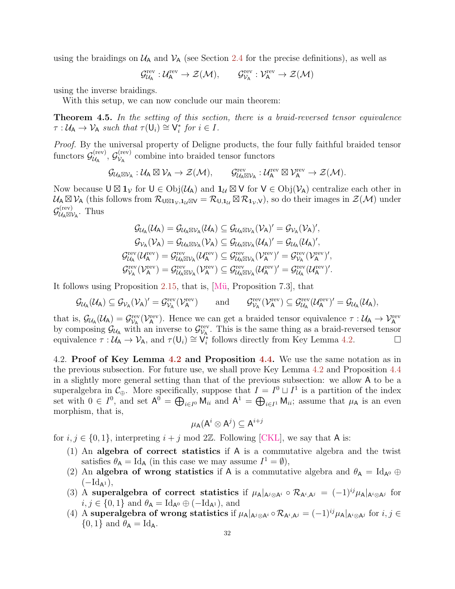using the braidings on  $U_A$  and  $V_A$  (see Section [2.4](#page-16-0) for the precise definitions), as well as

$$
\mathcal{G}^{\mathrm{rev}}_{\mathcal{U}_A}:\mathcal{U}_A^{\mathrm{rev}}\to \mathcal{Z}(\mathcal{M}), \qquad \mathcal{G}^{\mathrm{rev}}_{\mathcal{V}_A}:\mathcal{V}_A^{\mathrm{rev}}\to \mathcal{Z}(\mathcal{M})
$$

using the inverse braidings.

With this setup, we can now conclude our main theorem:

<span id="page-31-1"></span>**Theorem 4.5.** In the setting of this section, there is a braid-reversed tensor equivalence  $\tau: \mathcal{U}_{\mathsf{A}} \to \mathcal{V}_{\mathsf{A}}$  such that  $\tau(\mathsf{U}_i) \cong \check{\mathsf{V}}_i^*$  for  $i \in I$ .

Proof. By the universal property of Deligne products, the four fully faithful braided tensor functors  $\mathcal{G}_{\mathcal{U}_{\Lambda}}^{\text{(rev)}}$  $\overset{\mathrm{(rev)}}{\nu_\mathsf{A}},\ \mathcal{G}^\mathrm{(rev)}_{\mathcal{V}_\mathsf{A}}$  $v_A^{\text{(rev)}}$  combine into braided tensor functors

$$
\mathcal{G}_{\mathcal{U}_A \boxtimes \mathcal{V}_A} : \mathcal{U}_A \boxtimes \mathcal{V}_A \to \mathcal{Z}(\mathcal{M}), \qquad \mathcal{G}^{\mathrm{rev}}_{\mathcal{U}_A \boxtimes \mathcal{V}_A} : \mathcal{U}_A^{\mathrm{rev}} \boxtimes \mathcal{V}_A^{\mathrm{rev}} \to \mathcal{Z}(\mathcal{M}).
$$

Now because  $\bigcup \boxtimes \mathbf{1}_{\mathcal{V}}$  for  $\bigcup \in \mathrm{Obj}(\mathcal{U}_{\mathsf{A}})$  and  $\mathbf{1}_{\mathcal{U}} \boxtimes \mathsf{V}$  for  $\mathsf{V} \in \mathrm{Obj}(\mathcal{V}_{\mathsf{A}})$  centralize each other in  $\mathcal{U}_{\mathsf{A}} \boxtimes \mathcal{V}_{\mathsf{A}}$  (this follows from  $\mathcal{R}_{\mathsf{U} \boxtimes \mathbf{1}_{\mathcal{V}},\mathbf{1}_{\mathcal{U}} \boxtimes \mathcal{V}} = \mathcal{R}_{\mathsf{U},\mathbf{1}_{\mathcal{U}}} \boxtimes \mathcal{R}_{\mathbf{1}_{\mathcal{V}},\mathcal{V}}$ ), so do their images in  $\mathcal{Z}(\mathcal{M})$  under  $\mathcal{G}^{(\text{rev})}_{\mathcal{U}_A \boxtimes \mathcal{V}_A}$ . Thus

$$
\begin{aligned} \mathcal{G}_{\mathcal{U}_\text{A}}(\mathcal{U}_\text{A})&=\mathcal{G}_{\mathcal{U}_\text{A}\boxtimes\mathcal{V}_\text{A}}(\mathcal{U}_\text{A})\subseteq\mathcal{G}_{\mathcal{U}_\text{A}\boxtimes\mathcal{V}_\text{A}}(\mathcal{V}_\text{A})'=\mathcal{G}_{\mathcal{V}_\text{A}}(\mathcal{V}_\text{A})',\\ \mathcal{G}_{\mathcal{V}_\text{A}}(\mathcal{V}_\text{A})&=\mathcal{G}_{\mathcal{U}_\text{A}\boxtimes\mathcal{V}_\text{A}}(\mathcal{V}_\text{A})\subseteq\mathcal{G}_{\mathcal{U}_\text{A}\boxtimes\mathcal{V}_\text{A}}(\mathcal{U}_\text{A})'=\mathcal{G}_{\mathcal{U}_\text{A}}(\mathcal{U}_\text{A})',\\ \mathcal{G}^{\text{rev}}_{\mathcal{U}_\text{A}}(\mathcal{U}^{\text{rev}}_\text{A})&=\mathcal{G}^{\text{rev}}_{\mathcal{U}_\text{A}\boxtimes\mathcal{V}_\text{A}}(\mathcal{U}^{\text{rev}}_\text{A})\subseteq\mathcal{G}^{\text{rev}}_{\mathcal{U}_\text{A}\boxtimes\mathcal{V}_\text{A}}(\mathcal{V}^{\text{rev}}_\text{A})'= \mathcal{G}^{\text{rev}}_{\mathcal{V}_\text{A}}(\mathcal{V}^{\text{rev}}_\text{A})',\\ \mathcal{G}^{\text{rev}}_{\mathcal{V}_\text{A}}(\mathcal{V}^{\text{rev}}_\text{A})&=\mathcal{G}^{\text{rev}}_{\mathcal{U}_\text{A}\boxtimes\mathcal{V}_\text{A}}(\mathcal{V}^{\text{rev}}_\text{A})\subseteq\mathcal{G}^{\text{rev}}_{\mathcal{U}_\text{A}\boxtimes\mathcal{V}_\text{A}}(\mathcal{U}^{\text{rev}}_\text{A})'=\mathcal{G}^{\text{rev}}_{\mathcal{U}_\text{A}}(\mathcal{U}^{\text{rev}}_\text{A})'. \end{aligned}
$$

It follows using Proposition [2.15,](#page-19-0) that is, [\[M¨u,](#page-57-8) Proposition 7.3], that

$$
\mathcal{G}_{\mathcal{U}_A}(\mathcal{U}_A) \subseteq \mathcal{G}_{\mathcal{V}_A}(\mathcal{V}_A)' = \mathcal{G}^{\mathrm{rev}}_{\mathcal{V}_A}(\mathcal{V}_A^{\mathrm{rev}}) \qquad \mathrm{and} \qquad \mathcal{G}^{\mathrm{rev}}_{\mathcal{V}_A}(\mathcal{V}_A^{\mathrm{rev}}) \subseteq \mathcal{G}^{\mathrm{rev}}_{\mathcal{U}_A}(\mathcal{U}_A^{\mathrm{rev}})' = \mathcal{G}_{\mathcal{U}_A}(\mathcal{U}_A),
$$

that is,  $\mathcal{G}_{\mathcal{U}_{\mathsf{A}}}(\mathcal{U}_{\mathsf{A}}) = \mathcal{G}_{\mathcal{V}_{\mathsf{A}}}^{\text{rev}}(\mathcal{V}_{\mathsf{A}}^{\text{rev}})$ . Hence we can get a braided tensor equivalence  $\tau : \mathcal{U}_{\mathsf{A}} \to \mathcal{V}_{\mathsf{A}}^{\text{rev}}$ by composing  $\mathcal{G}_{\mathcal{U}_{\mathsf{A}}}$  with an inverse to  $\mathcal{G}_{\mathcal{V}_{\mathsf{A}}}^{\text{rev}}$ . This is the same thing as a braid-reversed tensor equivalence  $\tau : U_A \to V_A$ , and  $\tau(U_i) \cong V_i^*$  follows directly from Key Lemma [4.2.](#page-30-0)

<span id="page-31-0"></span>[4.2](#page-30-0). Proof of Key Lemma 4.2 and Proposition [4.4.](#page-30-1) We use the same notation as in the previous subsection. For future use, we shall prove Key Lemma [4.2](#page-30-0) and Proposition [4.4](#page-30-1) in a slightly more general setting than that of the previous subsection: we allow A to be a superalgebra in  $\mathcal{C}_{\oplus}$ . More specifically, suppose that  $I = I^0 \sqcup I^1$  is a partition of the index set with  $0 \in I^0$ , and set  $A^0 = \bigoplus_{i \in I^0} M_{ii}$  and  $A^1 = \bigoplus_{i \in I^1} M_{ii}$ ; assume that  $\mu_A$  is an even morphism, that is,

$$
\mu_\mathsf{A} (\mathsf{A}^i \otimes \mathsf{A}^j) \subseteq \mathsf{A}^{i+j}
$$

for  $i, j \in \{0, 1\}$ , interpreting  $i + j \mod 2\mathbb{Z}$ . Following [\[CKL\]](#page-55-22), we say that A is:

- (1) An algebra of correct statistics if A is a commutative algebra and the twist satisfies  $\theta_{\mathsf{A}} = \mathrm{Id}_{\mathsf{A}}$  (in this case we may assume  $I^1 = \emptyset$ ),
- (2) An algebra of wrong statistics if A is a commutative algebra and  $\theta_A = Id_{A^0} \oplus$  $(-Id_{A^1}),$
- (3) A superalgebra of correct statistics if  $\mu_A|_{A^j \otimes A^i} \circ \mathcal{R}_{A^i, A^j} = (-1)^{ij} \mu_A|_{A^i \otimes A^j}$  for  $i, j \in \{0, 1\}$  and  $\theta_{\mathsf{A}} = \mathrm{Id}_{\mathsf{A}^0} \oplus (-\mathrm{Id}_{\mathsf{A}^1})$ , and
- (4) A superalgebra of wrong statistics if  $\mu_A|_{A^j \otimes A^i} \circ \mathcal{R}_{A^i, A^j} = (-1)^{ij} \mu_A|_{A^i \otimes A^j}$  for  $i, j \in$  $\{0,1\}$  and  $\theta_{\mathsf{A}} = \mathrm{Id}_{\mathsf{A}}$ .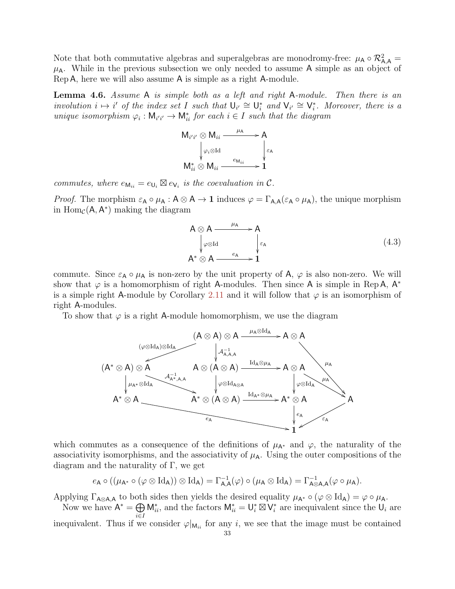Note that both commutative algebras and superalgebras are monodromy-free:  $\mu_A \circ \mathcal{R}^2_{A,A} =$  $\mu_A$ . While in the previous subsection we only needed to assume A simple as an object of Rep A, here we will also assume A is simple as a right A-module.

<span id="page-32-1"></span>Lemma 4.6. Assume A is simple both as a left and right A-module. Then there is an involution  $i \mapsto i'$  of the index set I such that  $\bigcup_{i'}^{\infty} \cong \bigcup_{i}^*$  and  $\bigvee_{i'} \cong \bigvee_{i}^*$ . Moreover, there is a unique isomorphism  $\varphi_i : \mathsf{M}_{i'i'} \to \mathsf{M}_{ii}^*$  for each  $i \in I$  such that the diagram



commutes, where  $e_{\mathsf{M}_{ii}} = e_{\mathsf{U}_i} \boxtimes e_{\mathsf{V}_i}$  is the coevaluation in  $\mathcal{C}$ .

*Proof.* The morphism  $\varepsilon_A \circ \mu_A : A \otimes A \to 1$  induces  $\varphi = \Gamma_{A,A}(\varepsilon_A \circ \mu_A)$ , the unique morphism in  $\text{Hom}_{\mathcal{C}}(\mathsf{A}, \mathsf{A}^*)$  making the diagram

<span id="page-32-0"></span>
$$
A \otimes A \longrightarrow A
$$
  
\n
$$
\downarrow \varphi \otimes \text{Id}
$$
  
\n
$$
A^* \otimes A \longrightarrow e_A
$$
  
\n
$$
\downarrow \varepsilon_A
$$
  
\n
$$
(4.3)
$$

commute. Since  $\varepsilon_A \circ \mu_A$  is non-zero by the unit property of A,  $\varphi$  is also non-zero. We will show that  $\varphi$  is a homomorphism of right A-modules. Then since A is simple in Rep A, A<sup>\*</sup> is a simple right A-module by Corollary [2.11](#page-16-1) and it will follow that  $\varphi$  is an isomorphism of right A-modules.

To show that  $\varphi$  is a right A-module homomorphism, we use the diagram



which commutes as a consequence of the definitions of  $\mu_{A^*}$  and  $\varphi$ , the naturality of the associativity isomorphisms, and the associativity of  $\mu_A$ . Using the outer compositions of the diagram and the naturality of  $\Gamma$ , we get

$$
e_{\mathsf{A}} \circ ((\mu_{\mathsf{A}^*} \circ (\varphi \otimes \mathrm{Id}_{\mathsf{A}})) \otimes \mathrm{Id}_{\mathsf{A}}) = \Gamma_{\mathsf{A},\mathsf{A}}^{-1}(\varphi) \circ (\mu_{\mathsf{A}} \otimes \mathrm{Id}_{\mathsf{A}}) = \Gamma_{\mathsf{A} \otimes \mathsf{A},\mathsf{A}}^{-1}(\varphi \circ \mu_{\mathsf{A}}).
$$

Applying  $\Gamma_{A\otimes A,A}$  to both sides then yields the desired equality  $\mu_{A^*} \circ (\varphi \otimes \text{Id}_A) = \varphi \circ \mu_A$ .

Now we have  $A^* = \bigoplus M_{ii}^*$ , and the factors  $M_{ii}^* = U_i^* \boxtimes V_i^*$  are inequivalent since the  $U_i$  are i∈I inequivalent. Thus if we consider  $\varphi|_{\mathsf{M}_{ii}}$  for any i, we see that the image must be contained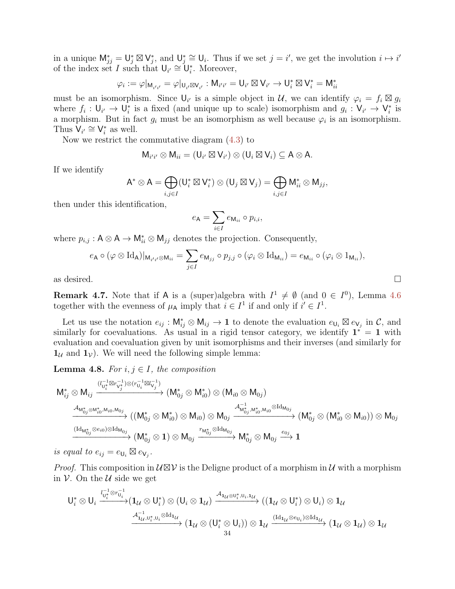in a unique  $\mathsf{M}_{jj}^* = \mathsf{U}_j^* \boxtimes \mathsf{V}_j^*$ , and  $\mathsf{U}_j^* \cong \mathsf{U}_i$ . Thus if we set  $j = i'$ , we get the involution  $i \mapsto i'$ of the index set I such that  $\bigcup_{i'} \cong \bigcup_{i'}^*$ . Moreover,

$$
\varphi_i:=\varphi|_{\mathsf{M}_{i'i'}}=\varphi|_{\mathsf{U}_{i'}\boxtimes\mathsf{V}_{i'}}:\mathsf{M}_{i'i'}=\mathsf{U}_{i'}\boxtimes\mathsf{V}_{i'}\to\mathsf{U}_{i}^*\boxtimes\mathsf{V}_{i}^*=\mathsf{M}_{ii}^*
$$

must be an isomorphism. Since  $\mathsf{U}_{i'}$  is a simple object in  $\mathcal{U}$ , we can identify  $\varphi_i = f_i \boxtimes g_i$ where  $f_i: \mathsf{U}_{i'} \to \mathsf{U}_i^*$  is a fixed (and unique up to scale) isomorphism and  $g_i: \mathsf{V}_{i'} \to \mathsf{V}_i^*$  is a morphism. But in fact  $g_i$  must be an isomorphism as well because  $\varphi_i$  is an isomorphism. Thus  $V_{i'} \cong V_i^*$  as well.

Now we restrict the commutative diagram [\(4.3\)](#page-32-0) to

$$
M_{i'i'} \otimes M_{ii} = (U_{i'} \boxtimes V_{i'}) \otimes (U_i \boxtimes V_i) \subseteq A \otimes A.
$$

If we identify

$$
\mathsf{A}^* \otimes \mathsf{A} = \bigoplus_{i,j \in I} (\mathsf{U}_i^* \boxtimes \mathsf{V}_i^*) \otimes (\mathsf{U}_j \boxtimes \mathsf{V}_j) = \bigoplus_{i,j \in I} \mathsf{M}_{ii}^* \otimes \mathsf{M}_{jj},
$$

then under this identification,

$$
e_{\mathsf{A}} = \sum_{i \in I} e_{\mathsf{M}_{ii}} \circ p_{i,i},
$$

where  $p_{i,j} : A \otimes A \to \mathsf{M}_{ii}^* \otimes \mathsf{M}_{jj}$  denotes the projection. Consequently,

$$
e_{\mathsf{A}} \circ (\varphi \otimes \mathrm{Id}_{\mathsf{A}})|_{\mathsf{M}_{i'i'} \otimes \mathsf{M}_{ii}} = \sum_{j \in I} e_{\mathsf{M}_{jj}} \circ p_{j,j} \circ (\varphi_i \otimes \mathrm{Id}_{\mathsf{M}_{ii}}) = e_{\mathsf{M}_{ii}} \circ (\varphi_i \otimes 1_{\mathsf{M}_{ii}}),
$$
  
as desired.

<span id="page-33-1"></span>**Remark 4.7.** Note that if A is a (super)algebra with  $I^1 \neq \emptyset$  (and  $0 \in I^0$ ), Lemma [4.6](#page-32-1) together with the evenness of  $\mu_A$  imply that  $i \in I^1$  if and only if  $i' \in I^1$ .

Let us use the notation  $e_{ij}$ :  $\mathsf{M}_{ij}^* \otimes \mathsf{M}_{ij} \to \mathbf{1}$  to denote the evaluation  $e_{\mathsf{U}_i} \boxtimes e_{\mathsf{V}_j}$  in  $\mathcal{C}$ , and similarly for coevaluations. As usual in a rigid tensor category, we identify  $\mathbf{1}^* = \mathbf{1}$  with evaluation and coevaluation given by unit isomorphisms and their inverses (and similarly for  $1_{\mathcal{U}}$  and  $1_{\mathcal{V}}$ ). We will need the following simple lemma:

<span id="page-33-0"></span>**Lemma 4.8.** For  $i, j \in I$ , the composition

$$
\begin{CD} M_{ij}^* \otimes M_{ij} & \xrightarrow{(l_{U_i^*}^{-1} \boxtimes r_{V_j^*}^{-1}) \otimes (r_{U_i}^{-1} \boxtimes l_{V_j}^{-1})} (M_{0j}^* \otimes M_{i0}^*) \otimes (M_{i0} \otimes M_{0j}) \\ & \xrightarrow{\mathcal{A}_{M_{0j}^* \otimes M_{i0}^*, M_{i0}, M_{0j}}} ((M_{0j}^* \otimes M_{i0}^*) \otimes M_{i0}) \otimes M_{0j} \xrightarrow{\mathcal{A}_{M_{0j}^*, M_{i0}^*, M_{i0}^* \otimes \mathrm{Id}_{M_{0j}}} (M_{0j}^* \otimes M_{i0})) \otimes M_{0j} \\ & \xrightarrow{(Id_{M_{0j}^*} \otimes \varepsilon_{i0}) \otimes \mathrm{Id}_{M_{0j}}} (M_{0j}^* \otimes 1) \otimes M_{0j} \xrightarrow{r_{M_{0j}^*} \otimes \mathrm{Id}_{M_{0j}}} M_{0j}^* \otimes M_{0j} \xrightarrow{e_{0j}} 1 \end{CD}
$$

is equal to  $e_{ij} = e_{\mathsf{U}_i} \boxtimes e_{\mathsf{V}_j}$ .

*Proof.* This composition in  $U \boxtimes V$  is the Deligne product of a morphism in U with a morphism in  $\mathcal V$ . On the  $\mathcal U$  side we get

$$
U_i^* \otimes U_i \xrightarrow{l_{U_i^*}^{-1} \otimes r_{U_i}^{-1}} (1_{\mathcal{U}} \otimes U_i^*) \otimes (U_i \otimes 1_{\mathcal{U}}) \xrightarrow{\mathcal{A}_{1_{\mathcal{U}} \otimes U_i^*, U_i, 1_{\mathcal{U}}}} ((1_{\mathcal{U}} \otimes U_i^*) \otimes U_i) \otimes 1_{\mathcal{U}} \xrightarrow{\mathcal{A}_{1_{\mathcal{U}}, U_i^*, U_i} \otimes \mathrm{Id}_{1_{\mathcal{U}}}} (1_{\mathcal{U}} \otimes (U_i^* \otimes U_i)) \otimes 1_{\mathcal{U}} \xrightarrow{\mathrm{(Id_{1_{\mathcal{U}}} \otimes e_{U_i}) \otimes \mathrm{Id}_{1_{\mathcal{U}}}}} (1_{\mathcal{U}} \otimes 1_{\mathcal{U}}) \otimes 1_{\mathcal{U}}
$$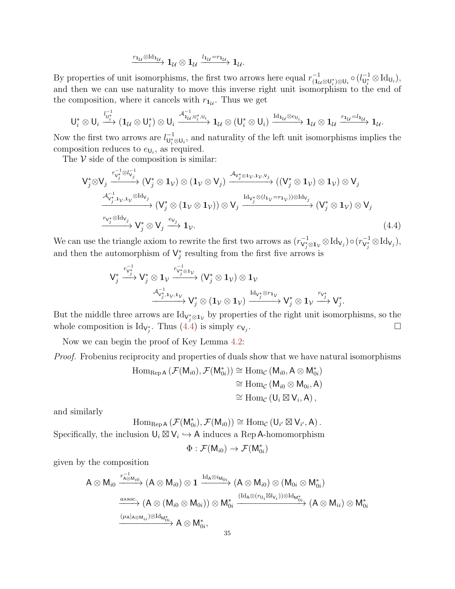$$
\xrightarrow{r_{1\mathcal{U}}\otimes \mathrm{Id}_{1_{\mathcal{U}}}} 1_{\mathcal{U}}\otimes 1_{\mathcal{U}}\xrightarrow{l_{1\mathcal{U}}=r_{1_{\mathcal{U}}}} 1_{\mathcal{U}}.
$$

By properties of unit isomorphisms, the first two arrows here equal  $r_{(1_\mathcal{U} \otimes U_i^*) \otimes U_i}^{-1} \circ (l_{U_i^*}^{-1} \otimes \mathrm{Id}_{U_i}),$ and then we can use naturality to move this inverse right unit isomorphism to the end of the composition, where it cancels with  $r_{1u}$ . Thus we get

$$
\mathsf{U}_i^* \otimes \mathsf{U}_i \xrightarrow{l_{\mathsf{U}_i^*}^{1-1}} (\mathbf{1}_{\mathcal{U}} \otimes \mathsf{U}_i^*) \otimes \mathsf{U}_i \xrightarrow{\mathcal{A}_{\mathbf{1}_{\mathcal{U}}, \mathsf{U}_i^*, \mathsf{U}_i}} \mathbf{1}_{\mathcal{U}} \otimes (\mathsf{U}_i^* \otimes \mathsf{U}_i) \xrightarrow{\mathrm{Id}_{\mathbf{1}_{\mathcal{U}} \otimes e_{\mathsf{U}_i}}} \mathbf{1}_{\mathcal{U}} \otimes \mathbf{1}_{\mathcal{U}} \xrightarrow{r_{\mathbf{1}_{\mathcal{U}}=l_{\mathbf{1}_{\mathcal{U}}}}} \mathbf{1}_{\mathcal{U}}.
$$

Now the first two arrows are  $l_{\mathsf{U}_i^*\otimes\mathsf{U}_i}^{-1}$ , and naturality of the left unit isomorphisms implies the composition reduces to  $e_{\mathsf{U}_i}$ , as required.

The  $V$  side of the composition is similar:

$$
V_{j}^{*} \otimes V_{j} \xrightarrow{r_{V_{j}^{*}}^{-1} \otimes l_{V_{j}^{*}}^{-1}} (V_{j}^{*} \otimes 1_{\mathcal{V}}) \otimes (1_{\mathcal{V}} \otimes V_{j}) \xrightarrow{A_{V_{j}^{*} \otimes 1_{\mathcal{V}}, 1_{\mathcal{V}}, V_{j}^{*}} (V_{j}^{*} \otimes 1_{\mathcal{V}}) \otimes V_{j} \xrightarrow{A_{V_{j}^{*}, 1_{\mathcal{V}}, 1_{\mathcal{V}}} \otimes Id_{V_{j}}}
$$
\n
$$
\xrightarrow{A_{V_{j}^{*}, 1_{\mathcal{V}}, 1_{\mathcal{V}}} \otimes Id_{V_{j}}} (V_{j}^{*} \otimes (1_{\mathcal{V}} \otimes 1_{\mathcal{V}})) \otimes V_{j} \xrightarrow{Id_{V_{j}^{*}} \otimes (l_{1_{\mathcal{V}}} = r_{1_{\mathcal{V}}})) \otimes Id_{V_{j}}} (V_{j}^{*} \otimes 1_{\mathcal{V}}) \otimes V_{j}
$$
\n
$$
\xrightarrow{r_{V_{j}^{*}} \otimes Id_{V_{j}}} V_{j}^{*} \otimes V_{j} \xrightarrow{e_{V_{j}}} 1_{\mathcal{V}}.
$$
\n
$$
(4.4)
$$

We can use the triangle axiom to rewrite the first two arrows as  $(r_{V_j^* \otimes 1_V}^{-1} \otimes \text{Id}_{V_j}) \circ (r_{V_j^*}^{-1} \otimes \text{Id}_{V_j}),$ and then the automorphism of  $\mathsf{V}_j^*$  resulting from the first five arrows is

V ∗ j r −1 V∗ <sup>j</sup> −−→ V ∗ <sup>j</sup> ⊗ 1<sup>V</sup> r −1 V∗ j ⊗1V −−−−→ (V ∗ <sup>j</sup> ⊗ 1V) ⊗ 1<sup>V</sup> A −1 V∗ j ,1V ,1V −−−−−−→ V ∗ <sup>j</sup> ⊗ (1<sup>V</sup> ⊗ 1V) IdV<sup>∗</sup> j ⊗r1<sup>V</sup> −−−−−→ V ∗ <sup>j</sup> ⊗ 1<sup>V</sup> rV<sup>∗</sup> <sup>j</sup> −−→ V ∗ j

But the middle three arrows are  $\text{Id}_{\mathsf{V}_j^*\otimes \mathsf{1}_{\mathcal{V}}}$  by properties of the right unit isomorphisms, so the whole composition is  $\text{Id}_{\mathsf{V}_{j}^{*}}$ . Thus  $(4.4)$  is simply  $e_{\mathsf{V}_{j}}$ .

<span id="page-34-0"></span>.

Now we can begin the proof of Key Lemma [4.2:](#page-30-0)

Proof. Frobenius reciprocity and properties of duals show that we have natural isomorphisms

$$
\begin{aligned} \operatorname{Hom}_{\operatorname{Rep} A}\left(\mathcal{F}(M_{i0}), \mathcal{F}(M_{0i}^*)\right) &\cong \operatorname{Hom}_{\mathcal{C}}\left(M_{i0}, A \otimes M_{0i}^*\right) \\ &\cong \operatorname{Hom}_{\mathcal{C}}\left(M_{i0} \otimes M_{0i}, A\right) \\ &\cong \operatorname{Hom}_{\mathcal{C}}\left(U_i \boxtimes V_i, A\right), \end{aligned}
$$

and similarly

$$
\mathrm{Hom}_{\mathrm{Rep} \,}(\mathcal{F}(M_{0i}^*), \mathcal{F}(M_{i0})) \cong \mathrm{Hom}_{\mathcal{C}} \left(U_{i'} \boxtimes V_{i'}, A\right).
$$

Specifically, the inclusion  $\mathsf{U}_i \boxtimes \mathsf{V}_i \hookrightarrow \mathsf{A}$  induces a Rep A-homomorphism

$$
\Phi : \mathcal{F}(\mathsf{M}_{i0}) \to \mathcal{F}(\mathsf{M}_{0i}^*)
$$

given by the composition

$$
A\otimes M_{i0}\xrightarrow{r_{A\otimes M_{i0}}^{-1}} (A\otimes M_{i0})\otimes 1\xrightarrow{\mathrm{Id}_A\otimes i_{M_{0i}}}(A\otimes M_{i0})\otimes (M_{0i}\otimes M_{0i}^*)\\ \xrightarrow{assoc.}(A\otimes (M_{i0}\otimes M_{0i}))\otimes M_{0i}^*\xrightarrow{(\mathrm{Id}_A\otimes (r_{U_i}\boxtimes l_{V_i}))\otimes \mathrm{Id}_{M_{0i}^*}} (A\otimes M_{ii})\otimes M_{0i}^*
$$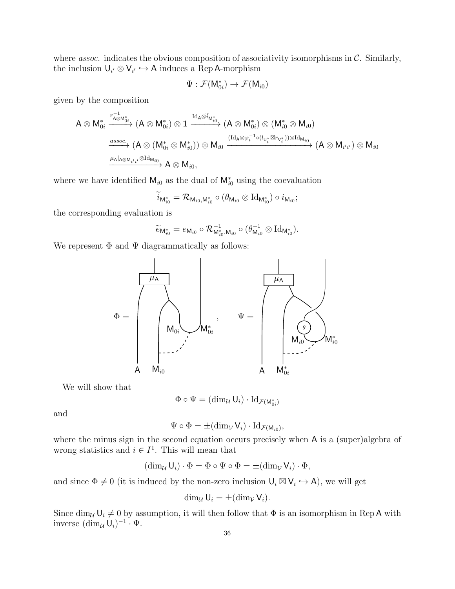where *assoc.* indicates the obvious composition of associativity isomorphisms in  $\mathcal{C}$ . Similarly, the inclusion  $\mathsf{U}_{i'} \otimes \mathsf{V}_{i'} \hookrightarrow \mathsf{A}$  induces a Rep A-morphism

$$
\Psi: \mathcal{F}(\mathsf{M}_{0i}^*) \to \mathcal{F}(\mathsf{M}_{i0})
$$

given by the composition

$$
A\otimes M_{0i}^*\xrightarrow{r_{A\otimes M_{0i}^*}^{-1}} (A\otimes M_{0i}^*)\otimes 1\xrightarrow{{\rm Id}_A\otimes \widetilde{i}_{M_{i0}^*}^{-1}} (A\otimes M_{0i}^*)\otimes (M_{i0}^*\otimes M_{i0})\\ \xrightarrow{assoc.} (A\otimes (M_{0i}^*\otimes M_{i0}^*))\otimes M_{i0}\xrightarrow{({\rm Id}_A\otimes \varphi_i^{-1}\circ (l_{U_i^*}\boxtimes r_{V_i^*}))\otimes {\rm Id}_{M_{i0}}}(A\otimes M_{i'i'})\otimes M_{i0}\\ \xrightarrow{\mu_A|_{A\otimes M_{i'i'}}\otimes {\rm Id}_{M_{i0}}} A\otimes M_{i0},
$$

where we have identified  $M_{i0}$  as the dual of  $M_{i0}^*$  using the coevaluation

$$
\widetilde{i}_{\mathsf{M}_{i0}^*} = \mathcal{R}_{\mathsf{M}_{i0},\mathsf{M}_{i0}^*} \circ (\theta_{\mathsf{M}_{i0}} \otimes \mathrm{Id}_{\mathsf{M}_{i0}^*}) \circ i_{\mathsf{M}_{i0}};
$$

the corresponding evaluation is

$$
\widetilde{e}_{\mathsf{M}_{i0}^*}=e_{\mathsf{M}_{i0}}\circ \mathcal{R}_{\mathsf{M}_{i0}^*,\mathsf{M}_{i0}}^{-1}\circ (\theta_{\mathsf{M}_{i0}}^{-1}\otimes \mathrm{Id}_{\mathsf{M}_{i0}^*}).
$$

We represent  $\Phi$  and  $\Psi$  diagrammatically as follows:



We will show that

$$
\Phi \circ \Psi = (\dim_{\mathcal{U}} \mathsf{U}_i) \cdot \mathrm{Id}_{\mathcal{F}(\mathsf{M}_{0i}^*)}
$$

and

$$
\Psi \circ \Phi = \pm (\dim_{\mathcal{V}} V_i) \cdot \mathrm{Id}_{\mathcal{F}(M_{i0})},
$$

where the minus sign in the second equation occurs precisely when A is a (super)algebra of wrong statistics and  $i \in I^1$ . This will mean that

$$
(\dim_{\mathcal{U}}\mathsf{U}_i)\cdot \Phi = \Phi \circ \Psi \circ \Phi = \pm(\dim_{\mathcal{V}}\mathsf{V}_i)\cdot \Phi,
$$

and since  $\Phi \neq 0$  (it is induced by the non-zero inclusion  $\mathsf{U}_i \boxtimes \mathsf{V}_i \hookrightarrow \mathsf{A}$ ), we will get

$$
\dim_{\mathcal{U}}\mathsf{U}_i=\pm(\dim_{\mathcal{V}}\mathsf{V}_i).
$$

Since  $\dim_{\mathcal{U}} \mathsf{U}_i \neq 0$  by assumption, it will then follow that  $\Phi$  is an isomorphism in Rep A with inverse  $(\dim_{\mathcal{U}} \mathsf{U}_i)^{-1} \cdot \Psi.$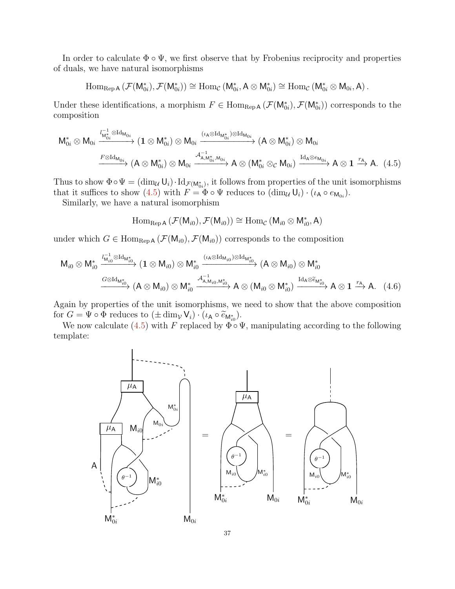In order to calculate  $\Phi \circ \Psi$ , we first observe that by Frobenius reciprocity and properties of duals, we have natural isomorphisms

$$
\operatorname{Hom}_{\operatorname{Rep} A}\left(\mathcal{F}(M_{0i}^*), \mathcal{F}(M_{0i}^*)\right) \cong \operatorname{Hom}_{\mathcal{C}}\left(M_{0i}^*, A \otimes M_{0i}^*\right) \cong \operatorname{Hom}_{\mathcal{C}}\left(M_{0i}^* \otimes M_{0i}, A\right).
$$

Under these identifications, a morphism  $F \in \text{Hom}_{\text{Rep }A}(\mathcal{F}(\mathsf{M}_{0i}^*), \mathcal{F}(\mathsf{M}_{0i}^*))$  corresponds to the composition

$$
M_{0i}^{*} \otimes M_{0i} \xrightarrow{l_{M_{0i}}^{-1} \otimes Id_{M_{0i}}} (\mathbf{1} \otimes M_{0i}^{*}) \otimes M_{0i} \xrightarrow{( \iota_{A} \otimes Id_{M_{0i}} ) \otimes Id_{M_{0i}}} (A \otimes M_{0i}^{*}) \otimes M_{0i}
$$

$$
\xrightarrow{F \otimes Id_{M_{0i}}} (A \otimes M_{0i}^{*}) \otimes M_{0i} \xrightarrow{A_{A,M_{0i}^{*},M_{0i}}^{-1}} A \otimes (M_{0i}^{*} \otimes_{\mathcal{C}} M_{0i}) \xrightarrow{Id_{A} \otimes e_{M_{0i}}} A \otimes \mathbf{1} \xrightarrow{r_{A}} A. (4.5)
$$

Thus to show  $\Phi \circ \Psi = (\dim_{\mathcal{U}} \mathsf{U}_i) \cdot \mathrm{Id}_{\mathcal{F}(\mathsf{M}_{0i}^*)}$ , it follows from properties of the unit isomorphisms that it suffices to show [\(4.5\)](#page-36-0) with  $F = \Phi \circ \Psi$  reduces to  $(\dim_{\mathcal{U}} \mathsf{U}_i) \cdot (\iota_A \circ e_{\mathsf{M}_{0i}})$ .

Similarly, we have a natural isomorphism

<span id="page-36-1"></span><span id="page-36-0"></span>
$$
\operatorname{Hom}_{\operatorname{Rep} A}\left(\mathcal{F}(M_{i0}), \mathcal{F}(M_{i0})\right) \cong \operatorname{Hom}_{\mathcal{C}}\left(M_{i0} \otimes M_{i0}^*, A\right)
$$

under which  $G \in \text{Hom}_{\text{Rep }A}(\mathcal{F}(\mathsf{M}_{i0}), \mathcal{F}(\mathsf{M}_{i0}))$  corresponds to the composition

$$
M_{i0}\otimes M_{i0}^*\xrightarrow{l_{M_{i0}}^{-1}\otimes Id_{M_{i0}^*}}(1\otimes M_{i0})\otimes M_{i0}^*\xrightarrow{( \iota_A\otimes Id_{M_{i0}})\otimes Id_{M_{i0}^*} }\left(A\otimes M_{i0}\right)\otimes M_{i0}^*\xrightarrow{G\otimes Id_{M_{i0}^*}}(A\otimes M_{i0})\otimes M_{i0}^*\xrightarrow{G\otimes Id_{M_{i0}^*}}(A\otimes M_{i0})\otimes M_{i0}^*\xrightarrow{G\otimes Id_{M_{i0}^*}}(A\otimes M_{i0})\otimes M_{i0}^*\xrightarrow{G\otimes Id_{M_{i0}^*}}(A\otimes M_{i0})\otimes M_{i0}^*\xrightarrow{G\otimes Id_{M_{i0}^*}}(A\otimes M_{i0})\otimes M_{i0}^*\xrightarrow{G\otimes Id_{M_{i0}^*}}(A\otimes M_{i0})\otimes M_{i0}^*\xrightarrow{G\otimes Id_{M_{i0}^*}}(A\otimes M_{i0})\otimes M_{i0}^*\xrightarrow{G\otimes Id_{M_{i0}^*}}(A\otimes M_{i0})\otimes M_{i0}^*\xrightarrow{G\otimes Id_{M_{i0}^*}}(A\otimes M_{i0})\otimes M_{i0}^*\xrightarrow{G\otimes Id_{M_{i0}^*}}(A\otimes M_{i0})\otimes M_{i0}^*\xrightarrow{G\otimes Id_{M_{i0}^*}}(A\otimes M_{i0})\otimes M_{i0}^*\xrightarrow{G\otimes Id_{M_{i0}^*}}(A\otimes M_{i0})\otimes M_{i0}^*\xrightarrow{G\otimes Id_{M_{i0}^*}}(A\otimes M_{i0})\otimes M_{i0}^*\xrightarrow{G\otimes Id_{M_{i0}^*}}(A\otimes M_{i0})\otimes M_{i0}^*\xrightarrow{G\otimes Id_{M_{i0}^*}}(A\otimes M_{i0})\otimes M_{i0}^*\xrightarrow{G\otimes Id_{M_{i0}^*}}(A\otimes M_{i0})\otimes M_{i0}^*\xrightarrow{G\otimes Id_{M_{i0}^*}}(A\otimes M_{i0})\otimes M_{i0}^*\xrightarrow{G\otimes Id_{M_{i0}^*}}(A\
$$

Again by properties of the unit isomorphisms, we need to show that the above composition for  $G = \Psi \circ \Phi$  reduces to  $(\pm \dim_{\mathcal{V}} V_i) \cdot (\iota_A \circ \widetilde{e}_{M_{i0}^*}).$ <br>We now calculate  $(4.5)$  with E replaced by  $\Phi \circ \widetilde{e}_{M_{i0}}$ .

We now calculate [\(4.5\)](#page-36-0) with F replaced by  $\Phi \circ \Psi$ , manipulating according to the following template:

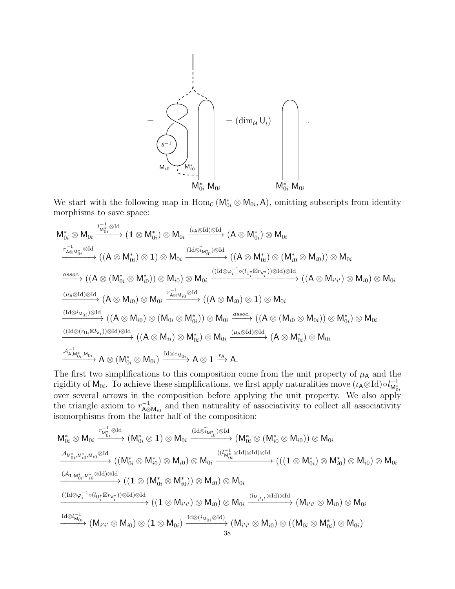

We start with the following map in  $\text{Hom}_{\mathcal{C}}(\mathsf{M}_{0i}^* \otimes \mathsf{M}_{0i}, \mathsf{A})$ , omitting subscripts from identity morphisms to save space:

$$
\begin{array}{l} M^*_{0i}\otimes M_{0i}\stackrel{I^{-1}_{M^*_{0i}}\otimes Id}{\longrightarrow}(1\otimes M^*_{0i})\otimes M_{0i}\stackrel{(\iota_{A}\otimes Id)\otimes Id}{\longrightarrow}(A\otimes M^*_{0i})\otimes M_{0i}\\ \stackrel{\pi^{-1}_{A\otimes M^*_{0i}}\otimes Id}{\longrightarrow}((A\otimes M^*_{0i})\otimes 1)\otimes M_{0i}\stackrel{(\mathrm{Id}\otimes \widetilde{\imath}_{M^*_{i0}})\otimes Id}{\longrightarrow}((A\otimes M^*_{0i})\otimes (M^*_{i0}\otimes M_{i0}))\otimes M_{0i}\\ \stackrel{assoc.}{\longrightarrow}((A\otimes (M^*_{0i}\otimes M^*_{i0}))\otimes M_{i0})\otimes M_{0i}\stackrel{(\mathrm{(Id}\otimes \varphi_i^{-1}\circ (l_{U^*_{i}}\boxtimes r_{V^*_{i}}))\otimes Id)\otimes Id}{\longrightarrow}((A\otimes M_{i'i'})\otimes M_{i0})\otimes M_{0i}\\ \stackrel{(\mu_{A}\otimes Id)\otimes Id}{\longrightarrow}(A\otimes M_{i0})\otimes M_{0i}\stackrel{\pi^{-1}_{A\otimes M_{i0}}\otimes Id}{\longrightarrow}((A\otimes M_{i0})\otimes 1)\otimes M_{0i}\\ \stackrel{(\mathrm{Id}\otimes \imath_{M_{0i}})\otimes Id}{\longrightarrow}((A\otimes M_{i0})\otimes (M_{0i}\otimes M^*_{0i}))\otimes M_{0i}\stackrel{assoc.}{\longrightarrow}((A\otimes (M_{i0}\otimes M_{0i}))\otimes M^*_{0i})\otimes M_{0i}\\ \stackrel{(\mathrm{(Id}\otimes (r_{U_{i}}\boxtimes l_{V_{i}}))\otimes Id)\otimes Id}{\longrightarrow}((A\otimes M_{i i})\otimes M^*_{0i})\otimes M_{0i}\stackrel{(\mu_{A}\otimes Id)\otimes Id}{\longrightarrow}(A\otimes M^*_{0i})\otimes M_{0i}\\ \stackrel{\pi^{-1}_{A,M^*_{0i},M_{0i}}}{\longrightarrow}A\otimes (M^*_{0i}\otimes M_{0i})\stackrel{\mathrm{Id}\otimes \varepsilon_{M_{0i}}}{\longrightarrow}A\otimes 1\stackrel{r_{A}}{\longrightarrow}A.\end{array}
$$

The first two simplifications to this composition come from the unit property of  $\mu$ <sup>A</sup> and the rigidity of  $M_{0i}$ . To achieve these simplifications, we first apply naturalities move  $(\iota_A \otimes Id) \circ l_{M_0^*}^{-1}$ over several arrows in the composition before applying the unit property. We also apply the triangle axiom to  $r_{A\alpha}^{-1}$  $\overline{A}^{\square}_{\mathsf{A}\otimes\mathsf{M}_{i0}}$  and then naturality of associativity to collect all associativity isomorphisms from the latter half of the composition:

$$
\begin{array}{l}M^*_{0i}\otimes M_{0i}\xrightarrow{r^{-1}_{M^*_{0i}}\otimes Id}\left(M^*_{0i}\otimes 1\right)\otimes M_{0i}\xrightarrow{(Id\otimes \widetilde{i}_{M^*_{i0}})\otimes Id}\left(M^*_{0i}\otimes (M^*_{i0}\otimes M_{i0})\right)\otimes M_{0i}\\ \xrightarrow{\mathcal{A}_{M^*_{0i},M^*_{i0},M_{i0}}\otimes Id}\left((M^*_{0i}\otimes M^*_{i0})\otimes M_{i0}\right)\otimes M_{0i}\xrightarrow{((\mathcal{C}_{M^*_{0i}}\otimes Id)\otimes Id)\otimes Id}\left((\mathcal{C}_{M^*_{0i}}\otimes M_{i0})\otimes M_{i0}\right)\otimes M_{0i}\\ \xrightarrow{(A_{1,M^*_{0i},M^*_{i0}}\otimes Id)\otimes Id}\left((1\otimes (M^*_{0i}\otimes M^*_{i0}))\otimes M_{i0}\right)\otimes M_{0i}\\ \xrightarrow{((Id\otimes \varphi_i^{-1}\circ (l_{U^*_{i}}\boxtimes r_{V^*_{i}}))\otimes Id)\otimes Id}\left((1\otimes M_{i'i'}\otimes M_{i0})\otimes M_{0i}\xrightarrow{(l_{M_{i'i'}}\otimes Id)\otimes Id}\left(M_{i'i'}\otimes M_{i0}\right)\otimes M_{0i}\\ \xrightarrow{Id\otimes l^{-1}_{M_{0i}}}\left(M_{i'i'}\otimes M_{i0}\right)\otimes (1\otimes M_{0i})\xrightarrow{Id\otimes (i_{M_{0i}}\otimes Id)}\left(M_{i'i'}\otimes M_{i0}\right)\otimes \left(M_{0i}\otimes M^*_{0i}\right)\otimes M_{0i}\right)\\ \xrightarrow{Id\otimes l_{M_{0i}}^{-1}}\left(M_{i'i'}\otimes M_{i0}\right)\otimes (1\otimes M_{0i})\xrightarrow{Id\otimes (i_{M_{0i}}\otimes Id)}\left(M_{i'i'}\otimes M_{i0}\right)\otimes \left((M_{0i}\otimes M^*_{0i})\otimes M_{0i}\right)\\ \xrightarrow{38}\end{array}
$$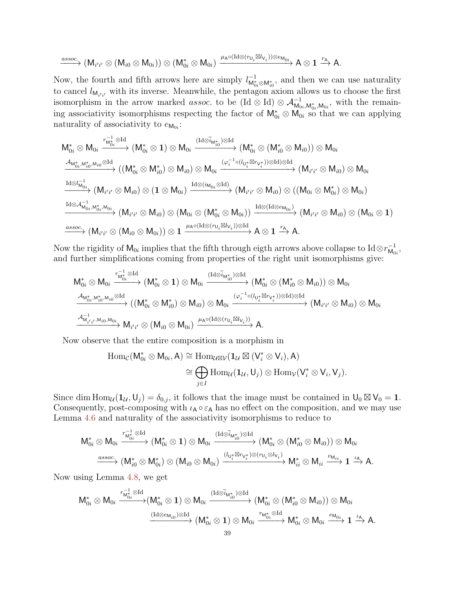$$
\xrightarrow{assoc.} (M_{i'i'} \otimes (M_{i0} \otimes M_{0i})) \otimes (M_{0i}^* \otimes M_{0i}) \xrightarrow{\mu_A \circ (Id \otimes (r_{U_i} \boxtimes l_{V_i})) \otimes e_{M_{0i}}} A \otimes 1 \xrightarrow{r_A} A.
$$

Now, the fourth and fifth arrows here are simply  $l_{M_{0i}^* \otimes M_{i0}^*}^{-1}$ , and then we can use naturality to cancel  $l_{\mathsf{M}_{i'i'}}$  with its inverse. Meanwhile, the pentagon axiom allows us to choose the first isomorphism in the arrow marked *assoc*. to be  $(\text{Id} \otimes \text{Id}) \otimes \mathcal{A}_{\mathsf{M}_{0i},\mathsf{M}_{0i},\mathsf{M}_{0i}}^{-1}$ , with the remaining associativity isomorphisms respecting the factor of  $\mathsf{M}_{0i}^* \otimes \mathsf{M}_{0i}$  so that we can applying naturality of associativity to  $e_{\mathsf{M}_{0i}}$ :

$$
\begin{array}{l} M^*_{0i}\otimes M_{0i}\stackrel{r_{M^*_{0i}}\otimes \operatorname{Id}}{\longrightarrow}(M^*_{0i}\otimes 1)\otimes M_{0i}\stackrel{(\operatorname{Id}\otimes \widetilde{i}_{M^*_{i0}})\otimes \operatorname{Id}}{\longrightarrow}(M^*_{0i}\otimes (M^*_{i0}\otimes M_{i0}))\otimes M_{0i}\\ \stackrel{\mathcal{A}_{M^*_{0i},M^*_{i0},M_{i0}}\otimes \operatorname{Id}}{\longrightarrow}((M^*_{0i}\otimes M^*_{i0})\otimes M_{i0})\otimes M_{0i}\stackrel{(\varphi_i^{-1}\circ (l_{U^*_{i}}\boxtimes r_{V^*_{i}}))\otimes \operatorname{Id})\otimes \operatorname{Id}}{\longrightarrow}(M_{i'i'}\otimes M_{i0})\otimes M_{0i}\\ \stackrel{\operatorname{Id}\otimes l_{M_{0i}}^{-1}}{\longrightarrow}(M_{i'i'}\otimes M_{i0})\otimes (1\otimes M_{0i})\stackrel{\operatorname{Id}\otimes (i_{M_{0i}}\otimes \operatorname{Id})}{\longrightarrow}(M_{i'i'}\otimes M_{i0})\otimes ((M_{0i}\otimes M^*_{0i})\otimes M_{0i})\\ \stackrel{\operatorname{Id}\otimes \mathcal{A}_{M_{0i},M^*_{0i},M_{0i}}^{-1}}{\longrightarrow}(M_{i'i'}\otimes M_{i0})\otimes (M_{0i}\otimes (M^*_{0i}\otimes M_{0i}))\stackrel{\operatorname{Id}\otimes (\operatorname{Id}\otimes e_{M_{0i}})}{\longrightarrow}(M_{i'i'}\otimes M_{i0})\otimes (M_{0i}\otimes 1)\\ \stackrel{assoc.}{\longrightarrow}(M_{i'i'}\otimes (M_{i0}\otimes M_{0i}))\otimes 1\xrightarrow{\mu_{A}\circ (\operatorname{Id}\otimes (r_{U_{i}}\boxtimes l_{V_{i}}))\otimes \operatorname{Id}}\rightarrow A\otimes 1\xrightarrow{r_{A}} A.\end{array}
$$

Now the rigidity of  $\mathsf{M}_{0i}$  implies that the fifth through eigth arrows above collapse to  $\text{Id} \otimes r_{\mathsf{M}_{0i}}^{-1}$  $_{\mathsf{M}_{0i}}^{-1},$ and further simplifications coming from properties of the right unit isomorphisms give:

$$
\begin{array}{l}M_{0i}^{*}\otimes M_{0i}\stackrel{r_{M_{0i}^{*}\otimes Id}}{\longrightarrow}(M_{0i}^{*}\otimes 1)\otimes M_{0i}\stackrel{(\mathrm{Id}\otimes \widetilde{i}_{M_{i0}^{*}})\otimes \mathrm{Id}}{\longrightarrow}(M_{0i}^{*}\otimes (M_{i0}^{*}\otimes M_{i0}))\otimes M_{0i}\\ \stackrel{\mathcal{A}_{M_{0i}^{*},M_{i0}^{*},M_{i0}}\otimes \mathrm{Id}}{\longrightarrow}((M_{0i}^{*}\otimes M_{i0}^{*})\otimes M_{i0})\otimes M_{0i}\stackrel{(\varphi_{i}^{-1}\circ (l_{U_{i}^{*}}\boxtimes r_{V_{i}^{*}}))\otimes \mathrm{Id})\otimes \mathrm{Id}}{\longrightarrow}(M_{i'i'}\otimes M_{i0})\otimes M_{0i}\\ \stackrel{\mathcal{A}_{M_{i'i'}^1,M_{i0},M_{0i}}}{\longrightarrow}M_{i'i'}\otimes (M_{i0}\otimes M_{0i})\stackrel{\mu_{A}\circ (\mathrm{Id}\otimes (r_{U_{i}}\boxtimes l_{V_{i}}))}{\longrightarrow}A.\end{array}
$$

Now observe that the entire composition is a morphism in

$$
\begin{aligned} \mathrm{Hom}_{\mathcal{C}}(M^*_{0i} \otimes M_{0i}, A) & \cong \mathrm{Hom}_{\mathcal{U} \boxtimes \mathcal{V}}(\mathbf{1}_{\mathcal{U}} \boxtimes (V_i^* \otimes V_i), A) \\ & \cong \bigoplus_{j \in I} \mathrm{Hom}_{\mathcal{U}}(\mathbf{1}_{\mathcal{U}}, U_j) \otimes \mathrm{Hom}_{\mathcal{V}}(V_i^* \otimes V_i, V_j). \end{aligned}
$$

Since dim  $\text{Hom}_{\mathcal{U}}(\mathbf{1}_{\mathcal{U}},\mathsf{U}_j) = \delta_{0,j}$ , it follows that the image must be contained in  $\mathsf{U}_0 \boxtimes \mathsf{V}_0 = 1$ . Consequently, post-composing with  $\iota_A \circ \varepsilon_A$  has no effect on the composition, and we may use Lemma [4.6](#page-32-1) and naturality of the associativity isomorphisms to reduce to

$$
\begin{array}{ccc} M^*_{0i}\otimes M_{0i} \xrightarrow{r_{M^*_{0i}}^{-1}\otimes \text{Id}} (M^*_{0i}\otimes 1)\otimes M_{0i} \xrightarrow{(\text{Id}\otimes \widetilde{i}_{M^*_{i0}})\otimes \text{Id}} (M^*_{0i}\otimes (M^*_{i0}\otimes M_{i0}))\otimes M_{0i} \\ \xrightarrow{assoc.} (M^*_{i0}\otimes M^*_{0i})\otimes (M_{i0}\otimes M_{0i}) \xrightarrow{(l_{U^*_{i}}\boxtimes r_{V^*_{i}})\otimes (r_{U_{i}}\otimes l_{V_{i}})} M^*_{ii}\otimes M_{ii} \xrightarrow{e_{M_{ii}}}\mathbf{1} \xrightarrow{l_{A}} A.\end{array}
$$

Now using Lemma [4.8,](#page-33-0) we get

$$
\begin{aligned} \mathsf{M}_{0i}^* \otimes \mathsf{M}_{0i} \xrightarrow{r_{\mathsf{M}_{0i}^*}^{-1} \otimes \mathrm{Id}} (\mathsf{M}_{0i}^* \otimes \mathbf{1}) \otimes \mathsf{M}_{0i} & \xrightarrow{(\mathrm{Id} \otimes \widetilde{i}_{\mathsf{M}_{i0}^*}) \otimes \mathrm{Id}} (\mathsf{M}_{0i}^* \otimes (\mathsf{M}_{i0}^* \otimes \mathsf{M}_{i0})) \otimes \mathsf{M}_{0i} \\ & \xrightarrow{(\mathrm{Id} \otimes \mathsf{e}_{\mathsf{M}_{i0}}) \otimes \mathrm{Id}} (\mathsf{M}_{0i}^* \otimes \mathbf{1}) \otimes \mathsf{M}_{0i} \xrightarrow{r_{\mathsf{M}_{0i}^*} \otimes \mathrm{Id}} \mathsf{M}_{0i}^* \otimes \mathsf{M}_{0i} \xrightarrow{\mathsf{e}_{\mathsf{M}_{0i}}} \mathbf{1} \xrightarrow{\iota_{\mathsf{A}}} \mathsf{A}. \end{aligned}
$$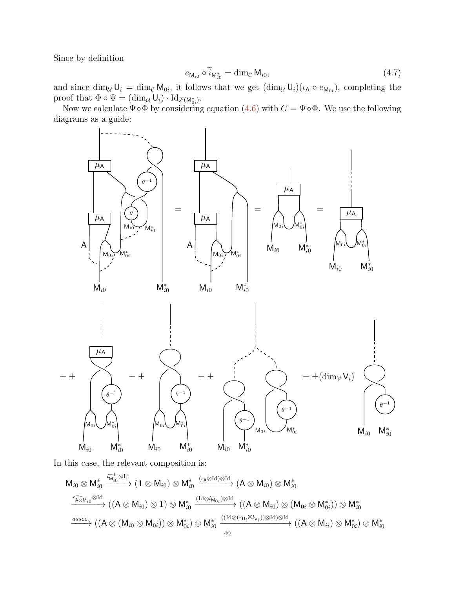Since by definition

$$
e_{\mathsf{M}_{i0}} \circ \widetilde{i}_{\mathsf{M}_{i0}^*} = \dim_{\mathcal{C}} \mathsf{M}_{i0},\tag{4.7}
$$

and since  $\dim_{\mathcal{U}} \mathsf{U}_i = \dim_{\mathcal{C}} \mathsf{M}_{0i}$ , it follows that we get  $(\dim_{\mathcal{U}} \mathsf{U}_i)(\iota_A \circ e_{\mathsf{M}_{0i}})$ , completing the proof that  $\Phi \circ \Psi = (\dim_{\mathcal{U}} \mathsf{U}_i) \cdot \mathrm{Id}_{\mathcal{F}(\mathsf{M}_{0i}^*)}$ .

Now we calculate  $\Psi \circ \Phi$  by considering equation [\(4.6\)](#page-36-1) with  $G = \Psi \circ \Phi$ . We use the following diagrams as a guide:



In this case, the relevant composition is:

$$
\begin{array}{l}M_{i0}\otimes M_{i0}^{*}\stackrel{ l_{M_{i0}}^{-1}\otimes \mathrm{Id} }{\longrightarrow}(1\otimes M_{i0})\otimes M_{i0}^{*}\stackrel{(\iota_{A}\otimes \mathrm{Id})\otimes \mathrm{Id} }{\longrightarrow}(A\otimes M_{i0})\otimes M_{i0}^{*}\\ \stackrel{r_{A\otimes M_{i0}}^{-1}\otimes \mathrm{Id} }{\longrightarrow}((A\otimes M_{i0})\otimes 1)\otimes M_{i0}^{*}\stackrel{(\mathrm{Id}\otimes i_{M_{0i}})\otimes \mathrm{Id} }{\longrightarrow}((A\otimes M_{i0})\otimes (M_{0i}\otimes M_{0i}^{*}))\otimes M_{i0}^{*}\\ \stackrel{assoc.}{\longrightarrow}((A\otimes (M_{i0}\otimes M_{0i}))\otimes M_{0i}^{*})\otimes M_{i0}^{*}\stackrel{((\mathrm{Id}\otimes (r_{U_{i}}\boxtimes l_{V_{i}}))\otimes \mathrm{Id})\otimes \mathrm{Id} }{\longrightarrow}((A\otimes M_{ii})\otimes M_{0i}^{*})\otimes M_{i0}^{*}\\ \end{array}
$$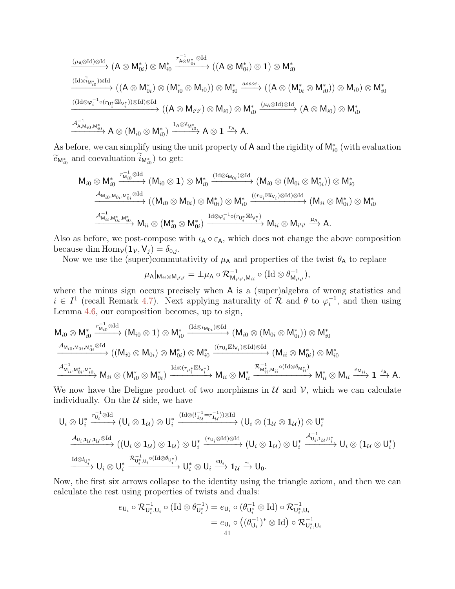$$
\xrightarrow{\left(\mu_{A}\otimes\text{Id}\right)\otimes\text{Id}}\left(A\otimes M_{0i}^{*}\right)\otimes M_{i0}^{*}\xrightarrow{r_{A\otimes M_{0i}}^{-1}\otimes\text{Id}}\left(\left(A\otimes M_{0i}^{*}\right)\otimes 1\right)\otimes M_{i0}^{*}\xrightarrow{\left(\text{Id}\otimes\widetilde{i}_{M_{i0}^{*}}\right)\otimes\text{Id}}\left(\left(A\otimes M_{0i}^{*}\right)\otimes M_{i0}^{*}\right)\otimes M_{i0}^{*}\xrightarrow{\left(\text{Id}\otimes\widetilde{i}_{M_{i0}^{*}}\right)\otimes\text{Id}}\left(\left(A\otimes M_{0i}^{*}\right)\otimes\left(M_{i0}^{*}\otimes M_{i0}\right)\right)\otimes M_{i0}^{*}\xrightarrow{\left(\text{Id}\otimes\varphi_{i}^{-1}\circ(r_{U_{i}^{*}}\boxtimes l_{V_{i}^{*}})\right)\otimes\text{Id}\right)\otimes\text{Id}}\left(\left(A\otimes M_{i'1'}\right)\otimes M_{i0}\right)\otimes M_{i0}^{*}\xrightarrow{\left(\mu_{A}\otimes\text{Id}\right)\otimes\text{Id}}\left(A\otimes M_{i0}\right)\otimes M_{i0}^{*}\xrightarrow{\left(\mu_{A}\otimes\text{Id}\otimes\text{Id}\right)}\left(A\otimes M_{i0}\right)\otimes M_{i0}^{*}\xrightarrow{\left(\mu_{A}\otimes\text{Id}\otimes\text{Id}\otimes\text{Id}\right)}\left(A\otimes M_{i0}\right)\otimes M_{i0}^{*}\xrightarrow{\left(\mu_{A}\otimes\text{Id}\otimes\text{Id}\otimes\text{Id}\right)}\left(A\otimes M_{i0}\right)\otimes M_{i0}^{*}\xrightarrow{\left(\mu_{A}\otimes\text{Id}\otimes\text{Id}\otimes\text{Id}\right)}\left(A\otimes M_{i0}\right)\otimes M_{i0}^{*}\xrightarrow{\left(\mu_{A}\otimes\text{Id}\otimes\text{Id}\otimes\text{Id}\right)}\left(A\otimes M_{i0}\otimes M_{i0}^{*}\right)\xrightarrow{\left(\mu_{A}\otimes\text{Id}\otimes\text{Id}\otimes\text{Id}\right)}\left(A\otimes M_{i0}\otimes M_{i0}\otimes M_{i0}\right)\otimes M_{i0}^{*}
$$

As before, we can simplify using the unit property of A and the rigidity of  $M_{i0}^*$  (with evaluation  $\widetilde{e}_{\mathsf{M}_{i0}^*}$  and coevaluation  $i_{\mathsf{M}_{i0}^*}$ ) to get:

$$
\begin{array}{c}\nM_{i0} \otimes M_{i0}^{*} \xrightarrow{r_{M_{i0}}^{-1} \otimes \text{Id}} (M_{i0} \otimes 1) \otimes M_{i0}^{*} \xrightarrow{(\text{Id} \otimes i_{M_{0i}}) \otimes \text{Id}} (M_{i0} \otimes (M_{0i} \otimes M_{0i}^{*})) \otimes M_{i0}^{*} \\
\xrightarrow{A_{M_{i0},M_{0i},M_{0i}^{*}} \otimes \text{Id}} ((M_{i0} \otimes M_{0i}) \otimes M_{0i}^{*}) \otimes M_{i0}^{*} \xrightarrow{(r_{U_{i}} \boxtimes l_{V_{i}}) \otimes \text{Id}) \otimes \text{Id}} (M_{ii} \otimes M_{0i}^{*}) \otimes M_{i0}^{*} \\
\xrightarrow{A_{M_{ii},M_{0i}^{*},M_{i0}^{*}}} M_{ii} \otimes (M_{i0}^{*} \otimes M_{0i}^{*}) \xrightarrow{\text{Id} \otimes \varphi_{i}^{-1} \circ (r_{U_{i}^{*}} \boxtimes l_{V_{i}^{*}})} M_{ii} \otimes M_{i'i'} \xrightarrow{\mu_{A}} A.\n\end{array}
$$

Also as before, we post-compose with  $\iota_A \circ \varepsilon_A$ , which does not change the above composition because dim  $\text{Hom}_{\mathcal{V}}(\mathbf{1}_{\mathcal{V}}, \mathsf{V}_j) = \delta_{0,j}$ .

Now we use the (super)commutativity of  $\mu_A$  and properties of the twist  $\theta_A$  to replace

$$
\mu_{\mathsf{A}}|_{\mathsf{M}_{ii}\otimes\mathsf{M}_{i'i'}}=\pm\mu_{\mathsf{A}}\circ\mathcal{R}_{\mathsf{M}_{i'i'},\mathsf{M}_{ii}}^{-1}\circ(\mathrm{Id}\otimes\theta_{\mathsf{M}_{i'i'}}^{-1}),
$$

where the minus sign occurs precisely when A is a (super)algebra of wrong statistics and  $i \in I^1$  (recall Remark [4.7\)](#page-33-1). Next applying naturality of  $\mathcal R$  and  $\theta$  to  $\varphi_i^{-1}$  $i^{-1}$ , and then using Lemma [4.6,](#page-32-1) our composition becomes, up to sign,

$$
\begin{array}{l}M_{i0}\otimes M_{i0}^{*}\stackrel{r_{M_{i0}}^{-1}\otimes \text{Id}}{\longrightarrow}(M_{i0}\otimes\mathbf{1})\otimes M_{i0}^{*}\stackrel{(\text{Id}\otimes i_{M_{0i}})\otimes \text{Id}}{\longrightarrow}(M_{i0}\otimes (M_{0i}\otimes M_{0i}^{*}))\otimes M_{i0}^{*}\\ \stackrel{\mathcal{A}_{M_{i0},M_{0i},M_{0i}^{*}\otimes \text{Id}}}{\longrightarrow}((M_{i0}\otimes M_{0i})\otimes M_{0i}^{*})\otimes M_{i0}^{*}\stackrel{((r_{U_{i}}\boxtimes l_{V_{i}})\otimes \text{Id})\otimes \text{Id}}{\longrightarrow}(M_{ii}\otimes M_{0i}^{*})\otimes M_{i0}^{*}\\ \stackrel{\mathcal{A}_{M_{i\bar{i}},M_{0\bar{i}}^{*},M_{i\bar{i}}^{*}}{\longrightarrow}M_{i\bar{i}}\otimes (M_{i0}^{*}\otimes M_{0\bar{i}}^{*})\stackrel{\text{Id}\otimes (r_{\mu_{\bar{i}}^{*}}\boxtimes l_{V_{\bar{i}}^{*}})}{\longrightarrow}M_{i\bar{i}}\otimes M_{i\bar{i}}^{*}\stackrel{r_{M_{i\bar{i}}^{*},M_{i\bar{i}}}\circ (\text{Id}\otimes \theta_{M_{i\bar{i}}^{*}})}{\longrightarrow}M_{i\bar{i}}\otimes M_{i\bar{i}}\stackrel{e_{M_{i\bar{i}}}}{\longrightarrow}1\stackrel{\iota_{A}}{\longrightarrow}}A.\end{array}
$$

We now have the Deligne product of two morphisms in  $\mathcal U$  and  $\mathcal V$ , which we can calculate individually. On the  $U$  side, we have

$$
\begin{array}{l} U_i\otimes U_i^*\stackrel{r_{U_i}^{-1}\otimes \text{Id}}{\longrightarrow}(U_i\otimes {\bf 1}_{\mathcal{U}})\otimes U_i^*\stackrel{(\mathrm{Id}\otimes (l_{1\mathcal{U}}^{-1}=r_{1\mathcal{U}}^{-1}))\otimes \text{Id}}{\longrightarrow}(U_i\otimes ({\bf 1}_{\mathcal{U}}\otimes {\bf 1}_{\mathcal{U}}))\otimes U_i^*\\ \stackrel{\mathcal{A}_{U_i,{\bf 1}_{\mathcal{U}},{\bf 1}_{\mathcal{U}}}\otimes \text{Id}}{\longrightarrow}((U_i\otimes {\bf 1}_{\mathcal{U}})\otimes {\bf 1}_{\mathcal{U}})\otimes U_i^*\stackrel{(r_{U_i}\otimes \text{Id})\otimes \text{Id}}{\longrightarrow}(U_i\otimes {\bf 1}_{\mathcal{U}})\otimes U_i^*\stackrel{\mathcal{A}_{U_i,{\bf 1}_{\mathcal{U}},{\bf 0}_i^*}}{\longrightarrow}U_i\otimes ({\bf 1}_{\mathcal{U}}\otimes U_i^*)\\ \stackrel{\mathrm{Id}\otimes l_{U_i^*}}{\longrightarrow}U_i\otimes U_i^*\stackrel{\mathcal{R}_{U_i^*,U_i}\circ (\mathrm{Id}\otimes \theta_{U_i^*})}{\longrightarrow}U_i^*\otimes U_i\stackrel{e_{U_i}}{\longrightarrow}{\bf 1}_{\mathcal{U}}\stackrel{\sim}{\longrightarrow}U_0. \end{array}
$$

Now, the first six arrows collapse to the identity using the triangle axiom, and then we can calculate the rest using properties of twists and duals:

$$
e_{\mathsf{U}_i} \circ \mathcal{R}_{\mathsf{U}_i^*,\mathsf{U}_i}^{-1} \circ (\mathrm{Id} \otimes \theta_{\mathsf{U}_i^*}^{-1}) = e_{\mathsf{U}_i} \circ (\theta_{\mathsf{U}_i^*}^{-1} \otimes \mathrm{Id}) \circ \mathcal{R}_{\mathsf{U}_i^*,\mathsf{U}_i}^{-1}
$$
  
=  $e_{\mathsf{U}_i} \circ ((\theta_{\mathsf{U}_i}^{-1})^* \otimes \mathrm{Id}) \circ \mathcal{R}_{\mathsf{U}_i^*,\mathsf{U}_i}^{-1}$   
= 41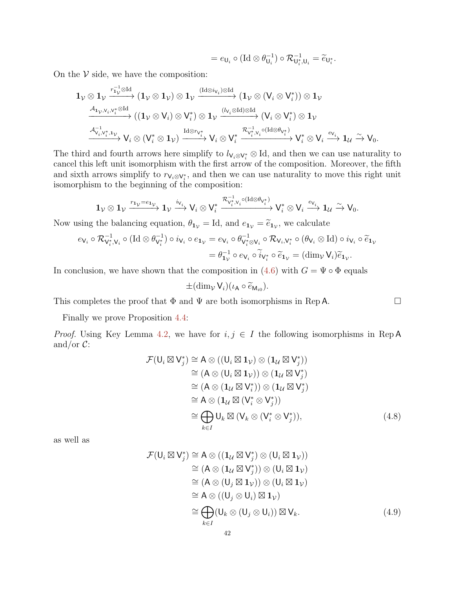$$
=e_{\mathsf{U}_i}\circ (\mathrm{Id}\otimes \theta_{\mathsf{U}_i}^{-1})\circ \mathcal{R}_{\mathsf{U}_i^*,\mathsf{U}_i}^{-1}=\widetilde{e}_{\mathsf{U}_i^*}.
$$

On the  $\mathcal V$  side, we have the composition:

$$
\begin{array}{l} \mathbf{1}_{\mathcal{V}}\otimes \mathbf{1}_{\mathcal{V}}\stackrel{r_{1\mathcal{V}}^{-1}\otimes \mathrm{Id}}{\longrightarrow} (\mathbf{1}_{\mathcal{V}}\otimes \mathbf{1}_{\mathcal{V}})\otimes \mathbf{1}_{\mathcal{V}}\stackrel{(\mathrm{Id}\otimes i_{V_{i}})\otimes \mathrm{Id}}{\longrightarrow} (\mathbf{1}_{\mathcal{V}}\otimes (V_{i}\otimes V_{i}^{*}))\otimes \mathbf{1}_{\mathcal{V}}\\ \stackrel{\mathcal{A}_{1_{\mathcal{V}},V_{i},V_{i}^{*}\otimes \mathrm{Id}}}{\longrightarrow} ((\mathbf{1}_{\mathcal{V}}\otimes V_{i})\otimes V_{i}^{*})\otimes \mathbf{1}_{\mathcal{V}}\stackrel{(\mathcal{U}_{i}\otimes \mathrm{Id})\otimes \mathrm{Id}}{\longrightarrow} (V_{i}\otimes V_{i}^{*})\otimes \mathbf{1}_{\mathcal{V}}\\ \stackrel{\mathcal{A}_{V_{i},V_{i}^{*},1_{\mathcal{V}}}}{\longrightarrow} V_{i}\otimes (V_{i}^{*}\otimes \mathbf{1}_{\mathcal{V}})\stackrel{\mathrm{Id}\otimes r_{V_{i}^{*}}}{\longrightarrow} V_{i}\otimes V_{i}^{*}\stackrel{\mathcal{R}_{V_{i}^{*},V_{i}}^{-1}\circ (\mathrm{Id}\otimes \theta_{V_{i}^{*}})}{\longrightarrow} V_{i}^{*}\otimes V_{i}\stackrel{e_{V_{i}}}{\longrightarrow} \mathbf{1}_{\mathcal{U}}\stackrel{\sim}{\longrightarrow} V_{0}.\end{array}
$$

The third and fourth arrows here simplify to  $l_{V_i \otimes V_i^*} \otimes Id$ , and then we can use naturality to cancel this left unit isomorphism with the first arrow of the composition. Moreover, the fifth and sixth arrows simplify to  $r_{\mathsf{V}_i\otimes\mathsf{V}_i^*}$ , and then we can use naturality to move this right unit isomorphism to the beginning of the composition:

$$
\mathbf{1}_{\mathcal{V}}\otimes \mathbf{1}_{\mathcal{V}}\xrightarrow{r_{\mathbf{1}_{\mathcal{V}}}=e_{\mathbf{1}_{\mathcal{V}}}} \mathbf{1}_{\mathcal{V}}\xrightarrow{i_{\mathcal{V}_{i}}}\mathsf{V}_{i}\otimes \mathsf{V}_{i}^{*}\xrightarrow{\mathcal{R}_{\mathcal{V}_{i}^{*},\mathcal{V}_{i}}^{-1}\circ (\mathrm{Id}\otimes \theta_{\mathcal{V}_{i}^{*}})} \mathsf{V}_{i}^{*}\otimes \mathsf{V}_{i}\xrightarrow{e_{\mathcal{V}_{i}}}\mathbf{1}_{\mathcal{U}}\xrightarrow{\sim} \mathsf{V}_{0}.
$$

Now using the balancing equation,  $\theta_{1v} = \text{Id}$ , and  $e_{1v} = \tilde{e}_{1v}$ , we calculate

$$
e_{\mathsf{V}_i} \circ \mathcal{R}_{\mathsf{V}_i^*, \mathsf{V}_i}^{-1} \circ (\mathrm{Id} \otimes \theta_{\mathsf{V}_i^*}^{-1}) \circ i_{\mathsf{V}_i} \circ e_{\mathsf{1}_{\mathsf{V}}} = e_{\mathsf{V}_i} \circ \theta_{\mathsf{V}_i^* \otimes \mathsf{V}_i}^{-1} \circ \mathcal{R}_{\mathsf{V}_i, \mathsf{V}_i^*} \circ (\theta_{\mathsf{V}_i} \otimes \mathrm{Id}) \circ i_{\mathsf{V}_i} \circ \widetilde{e}_{\mathsf{1}_{\mathsf{V}}} \\
= \theta_{\mathsf{1}_{\mathsf{V}}}^{-1} \circ e_{\mathsf{V}_i} \circ \widetilde{i}_{\mathsf{V}_i^*} \circ \widetilde{e}_{\mathsf{1}_{\mathsf{V}}} = (\dim_{\mathsf{V}} \mathsf{V}_i) \widetilde{e}_{\mathsf{1}_{\mathsf{V}}}.
$$

In conclusion, we have shown that the composition in [\(4.6\)](#page-36-1) with  $G = \Psi \circ \Phi$  equals

<span id="page-41-0"></span>
$$
\pm (\dim_{\mathcal{V}} V_i)(\iota_{\mathsf{A}} \circ \widetilde{e}_{\mathsf{M}_{i0}}).
$$

This completes the proof that  $\Phi$  and  $\Psi$  are both isomorphisms in Rep A.

Finally we prove Proposition [4.4:](#page-30-1)

*Proof.* Using Key Lemma [4.2,](#page-30-0) we have for  $i, j \in I$  the following isomorphisms in Rep A and/or  $C$ :

$$
\mathcal{F}(\mathsf{U}_{i} \boxtimes \mathsf{V}_{j}^{*}) \cong \mathsf{A} \otimes ((\mathsf{U}_{i} \boxtimes \mathsf{1}_{\mathcal{V}}) \otimes (\mathsf{1}_{\mathcal{U}} \boxtimes \mathsf{V}_{j}^{*}))
$$
\n
$$
\cong (\mathsf{A} \otimes (\mathsf{U}_{i} \boxtimes \mathsf{1}_{\mathcal{V}})) \otimes (\mathsf{1}_{\mathcal{U}} \boxtimes \mathsf{V}_{j}^{*})
$$
\n
$$
\cong (\mathsf{A} \otimes (\mathsf{1}_{\mathcal{U}} \boxtimes \mathsf{V}_{i}^{*})) \otimes (\mathsf{1}_{\mathcal{U}} \boxtimes \mathsf{V}_{j}^{*})
$$
\n
$$
\cong \mathsf{A} \otimes (\mathsf{1}_{\mathcal{U}} \boxtimes (\mathsf{V}_{i}^{*} \otimes \mathsf{V}_{j}^{*}))
$$
\n
$$
\cong \bigoplus_{k \in I} \mathsf{U}_{k} \boxtimes (\mathsf{V}_{k} \otimes (\mathsf{V}_{i}^{*} \otimes \mathsf{V}_{j}^{*})), \tag{4.8}
$$

as well as

<span id="page-41-1"></span>
$$
\mathcal{F}(\mathsf{U}_{i} \boxtimes \mathsf{V}_{j}^{*}) \cong \mathsf{A} \otimes ((\mathbf{1}_{\mathcal{U}} \boxtimes \mathsf{V}_{j}^{*}) \otimes (\mathsf{U}_{i} \boxtimes \mathbf{1}_{\mathcal{V}}))
$$
\n
$$
\cong (\mathsf{A} \otimes (\mathbf{1}_{\mathcal{U}} \boxtimes \mathsf{V}_{j}^{*})) \otimes (\mathsf{U}_{i} \boxtimes \mathbf{1}_{\mathcal{V}})
$$
\n
$$
\cong (\mathsf{A} \otimes (\mathsf{U}_{j} \boxtimes \mathbf{1}_{\mathcal{V}})) \otimes (\mathsf{U}_{i} \boxtimes \mathbf{1}_{\mathcal{V}})
$$
\n
$$
\cong \mathsf{A} \otimes ((\mathsf{U}_{j} \otimes \mathsf{U}_{i}) \boxtimes \mathbf{1}_{\mathcal{V}})
$$
\n
$$
\cong \bigoplus_{k \in I} (\mathsf{U}_{k} \otimes (\mathsf{U}_{j} \otimes \mathsf{U}_{i})) \boxtimes \mathsf{V}_{k}.
$$
\n(4.9)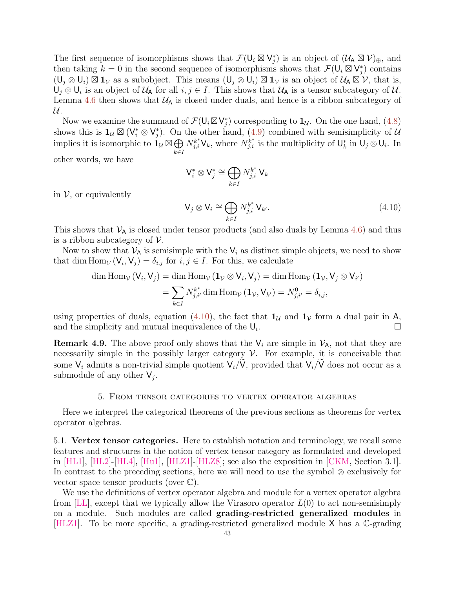The first sequence of isomorphisms shows that  $\mathcal{F}(\mathsf{U}_i \boxtimes \mathsf{V}_j^*)$  is an object of  $(\mathcal{U}_A \boxtimes \mathcal{V})_{\oplus}$ , and then taking  $k = 0$  in the second sequence of isomorphisms shows that  $\mathcal{F}(\mathsf{U}_i \boxtimes \mathsf{V}_j^*)$  contains  $(U_j \otimes U_i) \boxtimes \mathbf{1}_\mathcal{V}$  as a subobject. This means  $(U_j \otimes U_i) \boxtimes \mathbf{1}_\mathcal{V}$  is an object of  $\mathcal{U}_A \boxtimes \mathcal{V}$ , that is,  $\mathsf{U}_j \otimes \mathsf{U}_i$  is an object of  $\mathcal{U}_\mathsf{A}$  for all  $i, j \in I$ . This shows that  $\mathcal{U}_\mathsf{A}$  is a tensor subcategory of  $\mathcal{U}$ . Lemma [4.6](#page-32-1) then shows that  $U_A$  is closed under duals, and hence is a ribbon subcategory of  $\mathcal{U}.$ 

Now we examine the summand of  $\mathcal{F}(\mathsf{U}_i \boxtimes \mathsf{V}_j^*)$  corresponding to  $\mathbf{1}_{\mathcal{U}}$ . On the one hand, [\(4.8\)](#page-41-0) shows this is  $1_{\mathcal{U}} \boxtimes (V_i^* \otimes V_j^*)$ . On the other hand, [\(4.9\)](#page-41-1) combined with semisimplicity of  $\mathcal{U}$ implies it is isomorphic to  $\mathbf{1}_\mathcal{U} \boxtimes \bigoplus$ k∈I  $N_{j,i}^{k^*} \mathsf{V}_k$ , where  $N_{j,i}^{k^*}$  is the multiplicity of  $\mathsf{U}_k^*$  in  $\mathsf{U}_j \otimes \mathsf{U}_i$ . In other words, we have

$$
\mathsf{V}^*_i \otimes \mathsf{V}^*_j \cong \bigoplus_{k \in I} N^{k^*}_{j,i} \, \mathsf{V}_k
$$

in  $\mathcal V$ , or equivalently

<span id="page-42-2"></span>
$$
\mathsf{V}_{j} \otimes \mathsf{V}_{i} \cong \bigoplus_{k \in I} N_{j,i}^{k^{*}} \mathsf{V}_{k'}.
$$
\n(4.10)

This shows that  $V_A$  is closed under tensor products (and also duals by Lemma [4.6\)](#page-32-1) and thus is a ribbon subcategory of  $\mathcal V$ .

Now to show that  $V_A$  is semisimple with the  $V_i$  as distinct simple objects, we need to show that dim Hom<sub>V</sub>  $(V_i, V_j) = \delta_{i,j}$  for  $i, j \in I$ . For this, we calculate

$$
\dim \operatorname{Hom}_{\mathcal{V}}\left(V_{i}, V_{j}\right) = \dim \operatorname{Hom}_{\mathcal{V}}\left(\mathbf{1}_{\mathcal{V}} \otimes V_{i}, V_{j}\right) = \dim \operatorname{Hom}_{\mathcal{V}}\left(\mathbf{1}_{\mathcal{V}}, V_{j} \otimes V_{i'}\right)
$$
\n
$$
= \sum_{k \in I} N_{j,i'}^{k^{*}} \dim \operatorname{Hom}_{\mathcal{V}}\left(\mathbf{1}_{\mathcal{V}}, V_{k'}\right) = N_{j,i'}^{0} = \delta_{i,j},
$$

using properties of duals, equation [\(4.10\)](#page-42-2), the fact that  $1_U$  and  $1_V$  form a dual pair in A, and the simplicity and mutual inequivalence of the  $U_i$ . .

**Remark 4.9.** The above proof only shows that the  $V_i$  are simple in  $V_A$ , not that they are necessarily simple in the possibly larger category  $V$ . For example, it is conceivable that some  $V_i$  admits a non-trivial simple quotient  $V_i/\tilde{V}$ , provided that  $V_i/\tilde{V}$  does not occur as a submodule of any other  $V_j$ .

## 5. From tensor categories to vertex operator algebras

<span id="page-42-0"></span>Here we interpret the categorical theorems of the previous sections as theorems for vertex operator algebras.

<span id="page-42-1"></span>5.1. Vertex tensor categories. Here to establish notation and terminology, we recall some features and structures in the notion of vertex tensor category as formulated and developed in [\[HL1\]](#page-56-9), [\[HL2\]](#page-56-10)-[\[HL4\]](#page-56-11), [\[Hu1\]](#page-55-23), [\[HLZ1\]](#page-56-1)-[\[HLZ8\]](#page-56-2); see also the exposition in [\[CKM,](#page-55-7) Section 3.1]. In contrast to the preceding sections, here we will need to use the symbol ⊗ exclusively for vector space tensor products (over  $\mathbb{C}$ ).

We use the definitions of vertex operator algebra and module for a vertex operator algebra from  $[LL]$ , except that we typically allow the Virasoro operator  $L(0)$  to act non-semisimply on a module. Such modules are called grading-restricted generalized modules in [\[HLZ1\]](#page-56-1). To be more specific, a grading-restricted generalized module X has a C-grading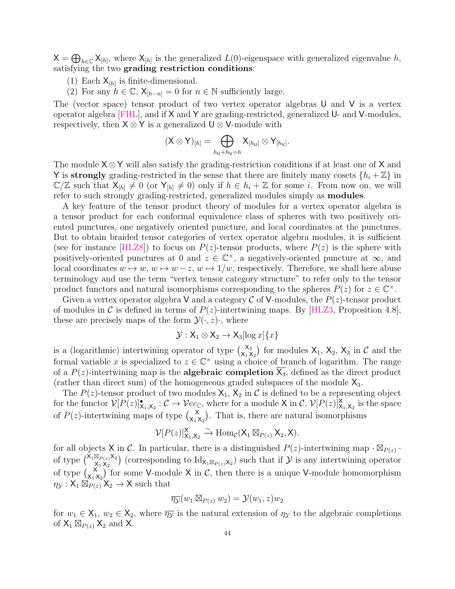$X = \bigoplus_{h \in \mathbb{C}} X_{[h]}$ , where  $X_{[h]}$  is the generalized  $L(0)$ -eigenspace with generalized eigenvalue h, satisfying the two grading restriction conditions:

- (1) Each  $X_{[h]}$  is finite-dimensional.
- (2) For any  $h \in \mathbb{C}$ ,  $\mathsf{X}_{[h-n]} = 0$  for  $n \in \mathbb{N}$  sufficiently large.

The (vector space) tensor product of two vertex operator algebras U and V is a vertex operator algebra [\[FHL\]](#page-55-3), and if X and Y are grading-restricted, generalized U- and V-modules, respectively, then  $X \otimes Y$  is a generalized  $U \otimes V$ -module with

$$
(\mathsf{X} \otimes \mathsf{Y})_{[h]} = \bigoplus_{h_{\mathsf{U}}+h_{\mathsf{V}}=h} \mathsf{X}_{[h_{\mathsf{U}}]} \otimes \mathsf{Y}_{[h_{\mathsf{V}}]}.
$$

The module  $X \otimes Y$  will also satisfy the grading-restriction conditions if at least one of X and Y is strongly grading-restricted in the sense that there are finitely many cosets  $\{h_i + \mathbb{Z}\}\$ in  $\mathbb{C}/\mathbb{Z}$  such that  $X_{[h]} \neq 0$  (or  $Y_{[h]} \neq 0$ ) only if  $h \in h_i + \mathbb{Z}$  for some i. From now on, we will refer to such strongly grading-restricted, generalized modules simply as modules.

A key feature of the tensor product theory of modules for a vertex operator algebra is a tensor product for each conformal equivalence class of spheres with two positively oriented punctures, one negatively oriented puncture, and local coordinates at the punctures. But to obtain braided tensor categories of vertex operator algebra modules, it is sufficient (see for instance [\[HLZ8\]](#page-56-2)) to focus on  $P(z)$ -tensor products, where  $P(z)$  is the sphere with positively-oriented punctures at 0 and  $z \in \mathbb{C}^{\times}$ , a negatively-oriented puncture at  $\infty$ , and local coordinates  $w \mapsto w$ ,  $w \mapsto w - z$ ,  $w \mapsto 1/w$ , respectively. Therefore, we shall here abuse terminology and use the term "vertex tensor category structure" to refer only to the tensor product functors and natural isomorphisms corresponding to the spheres  $P(z)$  for  $z \in \mathbb{C}^{\times}$ .

Given a vertex operator algebra V and a category C of V-modules, the  $P(z)$ -tensor product of modules in C is defined in terms of  $P(z)$ -intertwining maps. By [\[HLZ3,](#page-56-12) Proposition 4.8], these are precisely maps of the form  $\mathcal{Y}(\cdot, z)$ , where

$$
\mathcal{Y}: \mathsf{X}_1 \otimes \mathsf{X}_2 \to \mathsf{X}_3[\log x] \{x\}
$$

is a (logarithmic) intertwining operator of type  $\begin{pmatrix} x_3 \\ x_1 \end{pmatrix}$  $\mathsf{X}_{\mathsf{X}_1 \mathsf{X}_2}^{\mathsf{X}_3}$  for modules  $\mathsf{X}_1, \mathsf{X}_2, \mathsf{X}_3$  in  $\mathcal C$  and the formal variable x is specialized to  $z \in \mathbb{C}^\times$  using a choice of branch of logarithm. The range of a  $P(z)$ -intertwining map is the **algebraic completion**  $\overline{X_3}$ , defined as the direct product (rather than direct sum) of the homogeneous graded subspaces of the module  $X_3$ .

The  $P(z)$ -tensor product of two modules  $X_1, X_2$  in C is defined to be a representing object for the functor  $V[P(z)]^{\bullet}_{X_1,X_2}: \mathcal{C} \to \mathcal{V}ec_{\mathbb{C}}$ , where for a module X in  $\mathcal{C}, V[P(z)]^{\mathsf{X}}_{X_1,X_2}$  is the space of  $P(z)$ -intertwining maps of type  $\begin{pmatrix} x \\ y \end{pmatrix}$  $\mathbf{x}_{1}^{\mathbf{x}}$ ). That is, there are natural isomorphisms

$$
\mathcal{V}[P(z)]_{X_1,X_2}^{\mathsf{X}} \xrightarrow{\sim} \mathrm{Hom}_{\mathcal{C}}(X_1 \boxtimes_{P(z)} X_2, \mathsf{X}).
$$

for all objects X in C. In particular, there is a distinguished  $P(z)$ -intertwining map  $\cdot \boxtimes_{P(z)} \cdot$ of type  $\left(\begin{smallmatrix} \mathsf{X}_1 \boxtimes_{P(z)} \mathsf{X}_2 \\ \mathsf{Y}_1 & \mathsf{Y}_2 \end{smallmatrix}\right)$  $(X_{X_1 X_2} | X_1)$  (corresponding to  $\mathrm{Id}_{X_1 \boxtimes_{P(z)} X_2}$ ) such that if  $\mathcal Y$  is any intertwining operator of type  $\binom{x}{x}$  $\mathbf{X}_{1} \mathbf{X}_{2}$  for some V-module X in C, then there is a unique V-module homomorphism  $\eta_{\mathcal{Y}} : X_1 \boxtimes_{P(z)} X_2 \rightarrow X$  such that

$$
\overline{\eta_{\mathcal{Y}}}(w_1 \boxtimes_{P(z)} w_2) = \mathcal{Y}(w_1, z)w_2
$$

for  $w_1 \in X_1$ ,  $w_2 \in X_2$ , where  $\overline{\eta y}$  is the natural extension of  $\eta y$  to the algebraic completions of  $X_1 \boxtimes_{P(z)} X_2$  and X.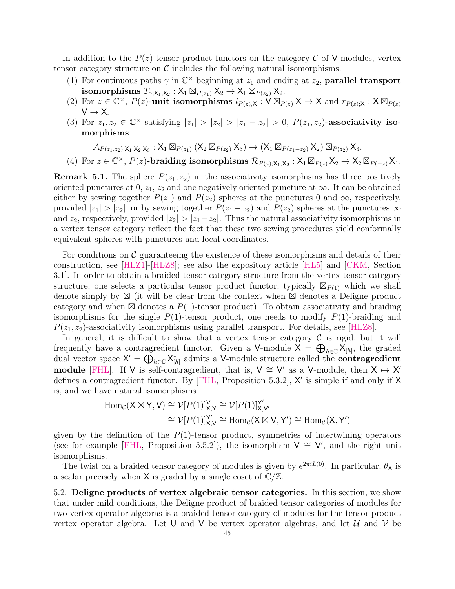In addition to the  $P(z)$ -tensor product functors on the category C of V-modules, vertex tensor category structure on  $\mathcal C$  includes the following natural isomorphisms:

- (1) For continuous paths  $\gamma$  in  $\mathbb{C}^{\times}$  beginning at  $z_1$  and ending at  $z_2$ , **parallel transport**  $\text{\tt isomorphisms} \ T_{\gamma;\mathsf X_1,\mathsf X_2}: \mathsf X_1 \boxtimes_{P(z_1)} \mathsf X_2 \to \mathsf X_1 \boxtimes_{P(z_2)} \mathsf X_2.$
- (2) For  $z \in \mathbb{C}^{\times}$ ,  $P(z)$ -unit isomorphisms  $l_{P(z),X} : V \boxtimes_{P(z)} X \to X$  and  $r_{P(z),X} : X \boxtimes_{P(z)}$  $V \rightarrow X$ .
- (3) For  $z_1, z_2 \in \mathbb{C}^\times$  satisfying  $|z_1| > |z_2| > |z_1 z_2| > 0$ ,  $P(z_1, z_2)$ -associativity isomorphisms

$$
\mathcal{A}_{P(z_1,z_2);X_1,X_2,X_3}:X_1\boxtimes_{P(z_1)}(X_2\boxtimes_{P(z_2)}X_3)\to (X_1\boxtimes_{P(z_1-z_2)}X_2)\boxtimes_{P(z_2)}X_3.
$$

(4) For  $z \in \mathbb{C}^{\times}$ ,  $P(z)$ -braiding isomorphisms  $\mathcal{R}_{P(z);X_1,X_2}: X_1 \boxtimes_{P(z)} X_2 \to X_2 \boxtimes_{P(-z)} X_1$ .

**Remark 5.1.** The sphere  $P(z_1, z_2)$  in the associativity isomorphisms has three positively oriented punctures at 0,  $z_1$ ,  $z_2$  and one negatively oriented puncture at  $\infty$ . It can be obtained either by sewing together  $P(z_1)$  and  $P(z_2)$  spheres at the punctures 0 and  $\infty$ , respectively, provided  $|z_1| > |z_2|$ , or by sewing together  $P(z_1 - z_2)$  and  $P(z_2)$  spheres at the punctures  $\infty$ and  $z_2$ , respectively, provided  $|z_2| > |z_1 - z_2|$ . Thus the natural associativity isomorphisms in a vertex tensor category reflect the fact that these two sewing procedures yield conformally equivalent spheres with punctures and local coordinates.

For conditions on  $\mathcal C$  guaranteeing the existence of these isomorphisms and details of their construction, see [\[HLZ1\]](#page-56-1)-[\[HLZ8\]](#page-56-2); see also the expository article [\[HL5\]](#page-56-13) and [\[CKM,](#page-55-7) Section 3.1]. In order to obtain a braided tensor category structure from the vertex tensor category structure, one selects a particular tensor product functor, typically  $\mathbb{Z}_{P(1)}$  which we shall denote simply by  $\boxtimes$  (it will be clear from the context when  $\boxtimes$  denotes a Deligne product category and when  $\boxtimes$  denotes a  $P(1)$ -tensor product). To obtain associativity and braiding isomorphisms for the single  $P(1)$ -tensor product, one needs to modify  $P(1)$ -braiding and  $P(z_1, z_2)$ -associativity isomorphisms using parallel transport. For details, see [\[HLZ8\]](#page-56-2).

In general, it is difficult to show that a vertex tensor category  $\mathcal C$  is rigid, but it will frequently have a contragredient functor. Given a V-module  $X = \bigoplus_{h \in \mathbb{C}} X_{[h]}$ , the graded dual vector space  $X' = \bigoplus_{h \in \mathbb{C}} X_{[h]}^*$  admits a V-module structure called the **contragredient** module [\[FHL\]](#page-55-3). If V is self-contragredient, that is,  $V \cong V'$  as a V-module, then  $X \mapsto X'$ defines a contragredient functor. By  $[FHL, Proposition 5.3.2]$ , X' is simple if and only if X is, and we have natural isomorphisms

$$
\begin{aligned} \operatorname{Hom}_{\mathcal{C}}(X \boxtimes Y, V) &\cong \mathcal{V}[P(1)]_{X,Y}^V \cong \mathcal{V}[P(1)]_{X,V'}^{Y'}\\ &\cong \mathcal{V}[P(1)]_{X,V}^{Y'} \cong \operatorname{Hom}_{\mathcal{C}}(X \boxtimes V, Y') \cong \operatorname{Hom}_{\mathcal{C}}(X, Y') \end{aligned}
$$

given by the definition of the  $P(1)$ -tensor product, symmetries of intertwining operators (see for example [\[FHL,](#page-55-3) Proposition 5.5.2]), the isomorphism  $V \cong V'$ , and the right unit isomorphisms.

The twist on a braided tensor category of modules is given by  $e^{2\pi i L(0)}$ . In particular,  $\theta_{\mathsf{X}}$  is a scalar precisely when  $X$  is graded by a single coset of  $\mathbb{C}/\mathbb{Z}$ .

<span id="page-44-0"></span>5.2. Deligne products of vertex algebraic tensor categories. In this section, we show that under mild conditions, the Deligne product of braided tensor categories of modules for two vertex operator algebras is a braided tensor category of modules for the tensor product vertex operator algebra. Let U and V be vertex operator algebras, and let  $\mathcal{U}$  and  $\mathcal{V}$  be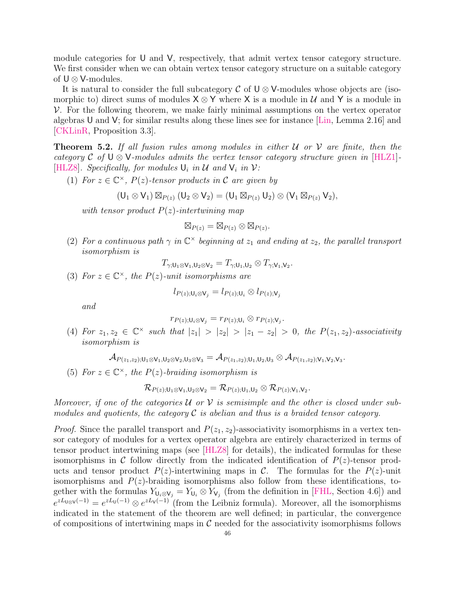module categories for U and V, respectively, that admit vertex tensor category structure. We first consider when we can obtain vertex tensor category structure on a suitable category of  $\mathsf{U} \otimes \mathsf{V}\text{-modules.}$ 

It is natural to consider the full subcategory  $\mathcal C$  of  $\mathsf{U} \otimes \mathsf{V}\text{-modules}$  whose objects are (isomorphic to) direct sums of modules  $X \otimes Y$  where X is a module in U and Y is a module in  $V$ . For the following theorem, we make fairly minimal assumptions on the vertex operator algebras U and V; for similar results along these lines see for instance [\[Lin,](#page-57-2) Lemma 2.16] and [\[CKLinR,](#page-55-24) Proposition 3.3].

<span id="page-45-0"></span>**Theorem 5.2.** If all fusion rules among modules in either  $U$  or  $V$  are finite, then the category C of  $\bigcup \otimes \bigvee$ -modules admits the vertex tensor category structure given in [\[HLZ1\]](#page-56-1)-[\[HLZ8\]](#page-56-2). Specifically, for modules  $\mathsf{U}_i$  in  $\mathcal{U}$  and  $\mathsf{V}_i$  in  $\mathcal{V}$ :

(1) For  $z \in \mathbb{C}^{\times}$ ,  $P(z)$ -tensor products in C are given by

$$
(\mathsf{U}_1 \otimes \mathsf{V}_1) \boxtimes_{P(z)} (\mathsf{U}_2 \otimes \mathsf{V}_2) = (\mathsf{U}_1 \boxtimes_{P(z)} \mathsf{U}_2) \otimes (\mathsf{V}_1 \boxtimes_{P(z)} \mathsf{V}_2),
$$

with tensor product  $P(z)$ -intertwining map

$$
\boxtimes_{P(z)} = \boxtimes_{P(z)} \otimes \boxtimes_{P(z)}.
$$

(2) For a continuous path  $\gamma$  in  $\mathbb{C}^{\times}$  beginning at  $z_1$  and ending at  $z_2$ , the parallel transport isomorphism is

$$
T_{\gamma;U_1\otimes V_1,U_2\otimes V_2}=T_{\gamma;U_1,U_2}\otimes T_{\gamma;V_1,V_2}.
$$

(3) For  $z \in \mathbb{C}^\times$ , the  $P(z)$ -unit isomorphisms are

$$
l_{P(z);U_i\otimes V_j}=l_{P(z);U_i}\otimes l_{P(z);V_j}
$$

and

$$
r_{P(z);\mathsf{U}_i\otimes\mathsf{V}_j}=r_{P(z);\mathsf{U}_i}\otimes r_{P(z);\mathsf{V}_j}.
$$

(4) For  $z_1, z_2 \in \mathbb{C}^\times$  such that  $|z_1| > |z_2| > |z_1 - z_2| > 0$ , the  $P(z_1, z_2)$ -associativity isomorphism is

.

$$
\mathcal{A}_{P(z_1,z_2); {\sf U}_1 \otimes {\sf V}_1, {\sf U}_2 \otimes {\sf V}_2, {\sf U}_3 \otimes {\sf V}_3} = \mathcal{A}_{P(z_1,z_2); {\sf U}_1, {\sf U}_2, {\sf U}_3} \otimes \mathcal{A}_{P(z_1,z_2); {\sf V}_1, {\sf V}_2, {\sf V}_3}
$$

(5) For  $z \in \mathbb{C}^{\times}$ , the  $P(z)$ -braiding isomorphism is

$$
\mathcal{R}_{P(z);\mathsf{U}_1\otimes \mathsf{V}_1,\mathsf{U}_2\otimes \mathsf{V}_2}=\mathcal{R}_{P(z);\mathsf{U}_1,\mathsf{U}_2}\otimes \mathcal{R}_{P(z);\mathsf{V}_1,\mathsf{V}_2}.
$$

Moreover, if one of the categories U or V is semisimple and the other is closed under submodules and quotients, the category  $\mathcal C$  is abelian and thus is a braided tensor category.

*Proof.* Since the parallel transport and  $P(z_1, z_2)$ -associativity isomorphisms in a vertex tensor category of modules for a vertex operator algebra are entirely characterized in terms of tensor product intertwining maps (see [\[HLZ8\]](#page-56-2) for details), the indicated formulas for these isomorphisms in C follow directly from the indicated identification of  $P(z)$ -tensor products and tensor product  $P(z)$ -intertwining maps in C. The formulas for the  $P(z)$ -unit isomorphisms and  $P(z)$ -braiding isomorphisms also follow from these identifications, together with the formulas  $Y_{U_i\otimes V_j} = Y_{U_i} \otimes Y_{V_j}$  (from the definition in [\[FHL,](#page-55-3) Section 4.6]) and  $e^{zL_{\text{U}\otimes \text{V}}(-1)} = e^{zL_{\text{U}}(-1)} \otimes e^{zL_{\text{V}}(-1)}$  (from the Leibniz formula). Moreover, all the isomorphisms indicated in the statement of the theorem are well defined; in particular, the convergence of compositions of intertwining maps in  $\mathcal C$  needed for the associativity isomorphisms follows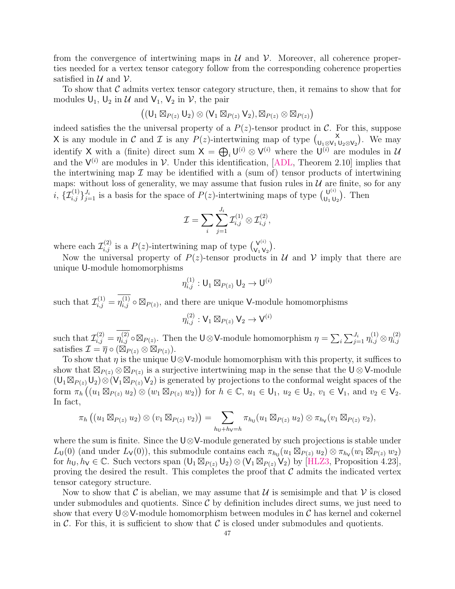from the convergence of intertwining maps in  $\mathcal U$  and  $\mathcal V$ . Moreover, all coherence properties needed for a vertex tensor category follow from the corresponding coherence properties satisfied in  $\mathcal U$  and  $\mathcal V$ .

To show that  $\mathcal C$  admits vertex tensor category structure, then, it remains to show that for modules  $U_1$ ,  $U_2$  in  $U$  and  $V_1$ ,  $V_2$  in  $V$ , the pair

$$
\big((U_1\boxtimes_{P(z)}U_2)\otimes(V_1\boxtimes_{P(z)}V_2),\boxtimes_{P(z)}\otimes\boxtimes_{P(z)}\big)
$$

indeed satisfies the the universal property of a  $P(z)$ -tensor product in C. For this, suppose X is any module in C and T is any  $P(z)$ -intertwining map of type  $\begin{pmatrix} x \\ y \end{pmatrix}$  $\mathcal{L}_{\mathsf{U}_1\otimes\mathsf{V}_1\mathsf{U}_2\otimes\mathsf{V}_2}$ . We may identify X with a (finite) direct sum  $X = \bigoplus_i U^{(i)} \otimes V^{(i)}$  where the  $U^{(i)}$  are modules in U and the  $V^{(i)}$  are modules in V. Under this identification, [\[ADL,](#page-54-8) Theorem 2.10] implies that the intertwining map  $\mathcal I$  may be identified with a (sum of) tensor products of intertwining maps: without loss of generality, we may assume that fusion rules in  $U$  are finite, so for any *i*,  $\{\mathcal{I}_{i,j}^{(1)}\}_{j=1}^{J_i}$  is a basis for the space of  $P(z)$ -intertwining maps of type  $\begin{pmatrix} 0^{(i)} \\ 0, 0 \end{pmatrix}$  $\bigcup_{\mathsf{U}_1\mathsf{U}_2}^{\mathsf{U}^{(i)}}$ . Then

$$
\mathcal{I} = \sum_i \sum_{j=1}^{J_i} \mathcal{I}_{i,j}^{(1)} \otimes \mathcal{I}_{i,j}^{(2)},
$$

where each  $\mathcal{I}_{i,j}^{(2)}$  is a  $P(z)$ -intertwining map of type  $\binom{V^{(i)}}{V_i V}$  $\frac{V^{(i)}}{V_1 V_2}$ .

Now the universal property of  $P(z)$ -tensor products in  $U$  and  $V$  imply that there are unique U-module homomorphisms

$$
\eta^{(1)}_{i,j}: \mathsf{U}_1\boxtimes_{P(z)}\mathsf{U}_2\rightarrow \mathsf{U}^{(i)}
$$

such that  $\mathcal{I}_{i,j}^{(1)} = \eta_{i,j}^{(1)} \circ \boxtimes_{P(z)},$  and there are unique V-module homomorphisms

$$
\eta_{i,j}^{(2)}: \mathsf{V}_1 \boxtimes_{P(z)} \mathsf{V}_2 \to \mathsf{V}^{(i)}
$$

such that  $\mathcal{I}_{i,j}^{(2)} = \eta_{i,j}^{(2)} \circ \boxtimes_{P(z)}$ . Then the U⊗V-module homomorphism  $\eta = \sum_{i} \sum_{j=1}^{J_i} \eta_{i,j}^{(1)} \otimes \eta_{i,j}^{(2)}$ i,j satisfies  $\mathcal{I} = \overline{\eta} \circ (\overline{\boxtimes}_{P(z)} \otimes \overline{\boxtimes}_{P(z)})$ .

To show that  $\eta$  is the unique U⊗V-module homomorphism with this property, it suffices to show that  $\mathbb{Z}_{P(z)} \otimes \mathbb{Z}_{P(z)}$  is a surjective intertwining map in the sense that the  $\mathsf{U} \otimes \mathsf{V}\text{-module}$  $(U_1 \boxtimes_{P(z)} U_2) \otimes (V_1 \boxtimes_{P(z)} V_2)$  is generated by projections to the conformal weight spaces of the form  $\pi_h((u_1 \boxtimes_{P(z)} u_2) \otimes (w_1 \boxtimes_{P(z)} w_2))$  for  $h \in \mathbb{C}$ ,  $u_1 \in \mathsf{U}_1$ ,  $u_2 \in \mathsf{U}_2$ ,  $v_1 \in \mathsf{V}_1$ , and  $v_2 \in \mathsf{V}_2$ . In fact,

$$
\pi_h((u_1 \boxtimes_{P(z)} u_2) \otimes (v_1 \boxtimes_{P(z)} v_2)) = \sum_{h_0 + h_1 = h} \pi_{h_0}(u_1 \boxtimes_{P(z)} u_2) \otimes \pi_{h_1}(v_1 \boxtimes_{P(z)} v_2),
$$

where the sum is finite. Since the U⊗V-module generated by such projections is stable under  $L_0(0)$  (and under  $L_v(0)$ ), this submodule contains each  $\pi_{h_v}(u_1 \boxtimes_{P(z)} u_2) \otimes \pi_{h_v}(w_1 \boxtimes_{P(z)} w_2)$ for  $h_U, h_V \in \mathbb{C}$ . Such vectors span  $(U_1 \boxtimes_{P(z)} U_2) \otimes (V_1 \boxtimes_{P(z)} V_2)$  by [\[HLZ3,](#page-56-12) Proposition 4.23], proving the desired the result. This completes the proof that  $\mathcal C$  admits the indicated vertex tensor category structure.

Now to show that C is abelian, we may assume that U is semisimple and that V is closed under submodules and quotients. Since  $\mathcal C$  by definition includes direct sums, we just need to show that every  $\bigcup \otimes \mathsf{V}\text{-module homomorphism between modules in } \mathcal{C}$  has kernel and cokernel in C. For this, it is sufficient to show that C is closed under submodules and quotients.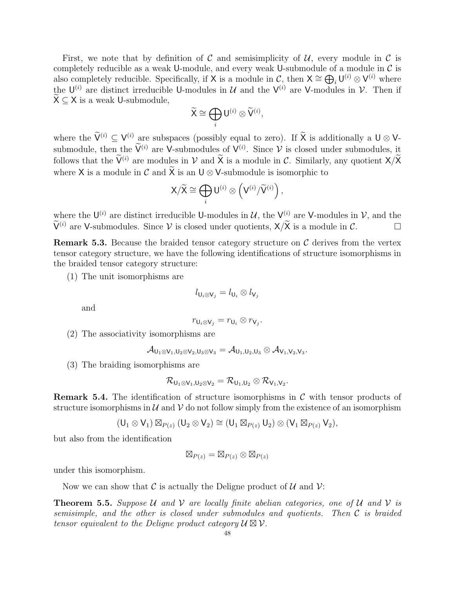First, we note that by definition of  $\mathcal C$  and semisimplicity of  $\mathcal U$ , every module in  $\mathcal C$  is completely reducible as a weak U-module, and every weak U-submodule of a module in  $\mathcal C$  is also completely reducible. Specifically, if X is a module in C, then  $\mathsf{X} \cong \bigoplus_i \mathsf{U}^{(i)} \otimes \mathsf{V}^{(i)}$  where the  $\mathsf{U}^{(i)}$  are distinct irreducible U-modules in U and the  $\mathsf{V}^{(i)}$  are V-modules in V. Then if  $X \subseteq X$  is a weak U-submodule.

$$
\widetilde{\mathsf{X}} \cong \bigoplus_i \mathsf{U}^{(i)} \otimes \widetilde{\mathsf{V}}^{(i)},
$$

where the  $V^{(i)} \subseteq V^{(i)}$  are subspaces (possibly equal to zero). If X is additionally a  $U \otimes V$ submodule, then the  $\widetilde{V}^{(i)}$  are V-submodules of  $V^{(i)}$ . Since V is closed under submodules, it follows that the  $\widetilde{V}^{(i)}$  are modules in V and  $\widetilde{X}$  is a module in C. Similarly, any quotient  $X/\widetilde{X}$ where X is a module in C and  $\widetilde{X}$  is an  $U \otimes V$ -submodule is isomorphic to

$$
\mathsf{X}/\widetilde{\mathsf{X}} \cong \bigoplus_i \mathsf{U}^{(i)} \otimes \left(\mathsf{V}^{(i)}/\widetilde{\mathsf{V}}^{(i)}\right),
$$

where the  $\mathsf{U}^{(i)}$  are distinct irreducible U-modules in U, the  $\mathsf{V}^{(i)}$  are V-modules in V, and the  $\widetilde{\mathsf{V}}^{(i)}$  are V-submodules. Since V is closed under quotients,  $\mathsf{X}/\widetilde{\mathsf{X}}$  is a module in C.

<span id="page-47-0"></span>**Remark 5.3.** Because the braided tensor category structure on  $\mathcal{C}$  derives from the vertex tensor category structure, we have the following identifications of structure isomorphisms in the braided tensor category structure:

(1) The unit isomorphisms are

$$
l_{\mathsf{U}_i\otimes\mathsf{V}_j}=l_{\mathsf{U}_i}\otimes l_{\mathsf{V}_j}
$$

and

$$
r_{\mathsf{U}_i\otimes\mathsf{V}_j}=r_{\mathsf{U}_i}\otimes r_{\mathsf{V}_j}.
$$

(2) The associativity isomorphisms are

$$
\mathcal{A}_{U_1\otimes V_1,U_2\otimes V_2,U_3\otimes V_3}=\mathcal{A}_{U_1,U_2,U_3}\otimes \mathcal{A}_{V_1,V_2,V_3}.
$$

(3) The braiding isomorphisms are

$$
\mathcal{R}_{U_1\otimes V_1,U_2\otimes V_2}=\mathcal{R}_{U_1,U_2}\otimes \mathcal{R}_{V_1,V_2}.
$$

**Remark 5.4.** The identification of structure isomorphisms in  $\mathcal{C}$  with tensor products of structure isomorphisms in  $\mathcal U$  and  $\mathcal V$  do not follow simply from the existence of an isomorphism

$$
(U_1 \otimes V_1) \boxtimes_{P(z)} (U_2 \otimes V_2) \cong (U_1 \boxtimes_{P(z)} U_2) \otimes (V_1 \boxtimes_{P(z)} V_2),
$$

but also from the identification

$$
\boxtimes_{P(z)} = \boxtimes_{P(z)} \otimes \boxtimes_{P(z)}
$$

under this isomorphism.

Now we can show that  $\mathcal C$  is actually the Deligne product of  $\mathcal U$  and  $\mathcal V$ :

<span id="page-47-1"></span>**Theorem 5.5.** Suppose U and V are locally finite abelian categories, one of U and V is semisimple, and the other is closed under submodules and quotients. Then C is braided tensor equivalent to the Deligne product category  $\mathcal{U} \boxtimes \mathcal{V}$ .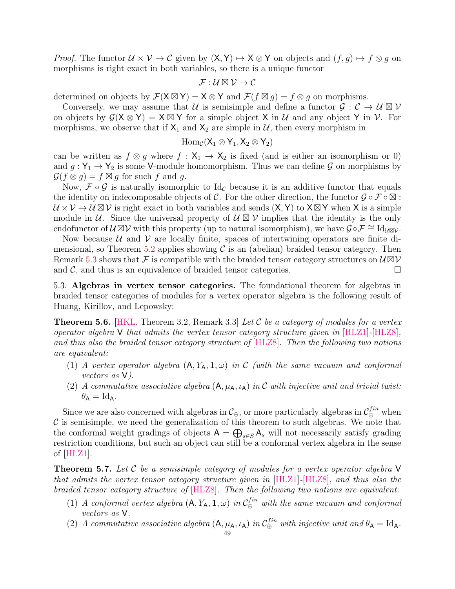*Proof.* The functor  $U \times V \to C$  given by  $(X, Y) \mapsto X \otimes Y$  on objects and  $(f, g) \mapsto f \otimes g$  on morphisms is right exact in both variables, so there is a unique functor

$$
\mathcal{F}:\mathcal{U}\boxtimes\mathcal{V}\to\mathcal{C}
$$

determined on objects by  $\mathcal{F}(X \boxtimes Y) = X \otimes Y$  and  $\mathcal{F}(f \boxtimes g) = f \otimes g$  on morphisms.

Conversely, we may assume that U is semisimple and define a functor  $\mathcal{G}: \mathcal{C} \to \mathcal{U} \boxtimes \mathcal{V}$ on objects by  $G(X \otimes Y) = X \boxtimes Y$  for a simple object X in U and any object Y in V. For morphisms, we observe that if  $X_1$  and  $X_2$  are simple in U, then every morphism in

$$
\operatorname{Hom}_{\mathcal{C}}(X_1\otimes Y_1,X_2\otimes Y_2)
$$

can be written as  $f \otimes g$  where  $f : X_1 \to X_2$  is fixed (and is either an isomorphism or 0) and  $g: Y_1 \to Y_2$  is some V-module homomorphism. Thus we can define G on morphisms by  $\mathcal{G}(f \otimes g) = f \boxtimes g$  for such f and g.

Now,  $\mathcal{F} \circ \mathcal{G}$  is naturally isomorphic to Id<sub>C</sub> because it is an additive functor that equals the identity on indecomposable objects of C. For the other direction, the functor  $\mathcal{G} \circ \mathcal{F} \circ \boxtimes$ :  $\mathcal{U} \times \mathcal{V} \to \mathcal{U} \boxtimes \mathcal{V}$  is right exact in both variables and sends  $(X, Y)$  to  $X \boxtimes Y$  when X is a simple module in U. Since the universal property of  $U \boxtimes V$  implies that the identity is the only endofunctor of  $\mathcal{U} \boxtimes \mathcal{V}$  with this property (up to natural isomorphism), we have  $\mathcal{G} \circ \mathcal{F} \cong \mathrm{Id}_{\mathcal{U} \boxtimes \mathcal{V}}$ .

Now because  $U$  and  $V$  are locally finite, spaces of intertwining operators are finite di-mensional, so Theorem [5.2](#page-45-0) applies showing  $\mathcal C$  is an (abelian) braided tensor category. Then Remark [5.3](#page-47-0) shows that  $\mathcal F$  is compatible with the braided tensor category structures on  $\mathcal{U} \boxtimes \mathcal{V}$ and  $\mathcal{C}$ , and thus is an equivalence of braided tensor categories.

<span id="page-48-0"></span>5.3. Algebras in vertex tensor categories. The foundational theorem for algebras in braided tensor categories of modules for a vertex operator algebra is the following result of Huang, Kirillov, and Lepowsky:

<span id="page-48-2"></span>**Theorem 5.6.** [\[HKL,](#page-56-0) Theorem 3.2, Remark 3.3] Let C be a category of modules for a vertex operator algebra  $V$  that admits the vertex tensor category structure given in  $[HLZ1]$ - $[HLZ8]$ , and thus also the braided tensor category structure of [\[HLZ8\]](#page-56-2). Then the following two notions are equivalent:

- (1) A vertex operator algebra  $(A, Y_A, 1, \omega)$  in C (with the same vacuum and conformal vectors as V).
- (2) A commutative associative algebra  $(A, \mu_A, \iota_A)$  in C with injective unit and trivial twist:  $\theta_{\mathsf{A}} = \mathrm{Id}_{\mathsf{A}}.$

Since we are also concerned with algebras in  $\mathcal{C}_{\oplus}$ , or more particularly algebras in  $\mathcal{C}_{\oplus}^{fin}$  when  $\mathcal C$  is semisimple, we need the generalization of this theorem to such algebras. We note that the conformal weight gradings of objects  $A = \bigoplus_{s \in S} A_s$  will not necessarily satisfy grading restriction conditions, but such an object can still be a conformal vertex algebra in the sense of  $[HLZ1]$ .

<span id="page-48-1"></span>**Theorem 5.7.** Let C be a semisimple category of modules for a vertex operator algebra  $V$ that admits the vertex tensor category structure given in [\[HLZ1\]](#page-56-1)-[\[HLZ8\]](#page-56-2), and thus also the braided tensor category structure of [\[HLZ8\]](#page-56-2). Then the following two notions are equivalent:

- (1) A conformal vertex algebra  $(A, Y_A, 1, \omega)$  in  $C_{\oplus}^{fin}$  with the same vacuum and conformal vectors as V.
- (2) A commutative associative algebra  $(A, \mu_A, \iota_A)$  in  $\mathcal{C}_{\oplus}^{fin}$  with injective unit and  $\theta_A = \text{Id}_A$ .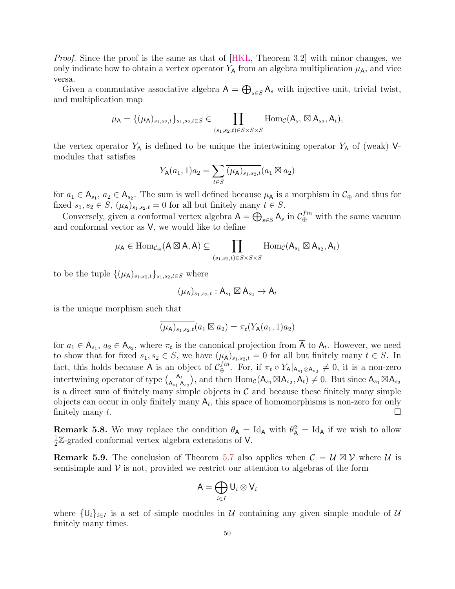Proof. Since the proof is the same as that of [\[HKL,](#page-56-0) Theorem 3.2] with minor changes, we only indicate how to obtain a vertex operator  $Y_A$  from an algebra multiplication  $\mu_A$ , and vice versa.

Given a commutative associative algebra  $A = \bigoplus_{s \in S} A_s$  with injective unit, trivial twist, and multiplication map

$$
\mu_{\mathsf{A}} = \{ (\mu_{\mathsf{A}})_{s_1, s_2, t} \}_{s_1, s_2, t \in S} \in \prod_{(s_1, s_2, t) \in S \times S \times S} \text{Hom}_{\mathcal{C}}(\mathsf{A}_{s_1} \boxtimes \mathsf{A}_{s_2}, \mathsf{A}_t),
$$

the vertex operator  $Y_A$  is defined to be unique the intertwining operator  $Y_A$  of (weak) Vmodules that satisfies

$$
Y_{\mathsf{A}}(a_1, 1)a_2 = \sum_{t \in S} \overline{(\mu_{\mathsf{A}})_{s_1, s_2, t}} (a_1 \boxtimes a_2)
$$

for  $a_1 \in A_{s_1}, a_2 \in A_{s_2}$ . The sum is well defined because  $\mu_A$  is a morphism in  $\mathcal{C}_{\oplus}$  and thus for fixed  $s_1, s_2 \in S$ ,  $(\mu_A)_{s_1, s_2,t} = 0$  for all but finitely many  $t \in S$ .

Conversely, given a conformal vertex algebra  $A = \bigoplus_{s \in S} A_s$  in  $\mathcal{C}_{\oplus}^{fin}$  with the same vacuum and conformal vector as V, we would like to define

$$
\mu_A \in \text{Hom}_{\mathcal{C}_{\oplus}}(A \boxtimes A, A) \subseteq \prod_{(s_1, s_2, t) \in S \times S \times S} \text{Hom}_{\mathcal{C}}(A_{s_1} \boxtimes A_{s_2}, A_t)
$$

to be the tuple  $\{(\mu_{\mathsf{A}})_{s_1,s_2,t}\}_{s_1,s_2,t\in S}$  where

$$
(\mu_{\mathsf{A}})_{s_1,s_2,t}:\mathsf{A}_{s_1}\boxtimes \mathsf{A}_{s_2}\to \mathsf{A}_t
$$

is the unique morphism such that

$$
\overline{(\mu_{\mathsf{A}})_{s_1,s_2,t}}(a_1 \boxtimes a_2) = \pi_t(Y_{\mathsf{A}}(a_1, 1)a_2)
$$

for  $a_1 \in A_{s_1}, a_2 \in A_{s_2}$ , where  $\pi_t$  is the canonical projection from  $\overline{A}$  to  $A_t$ . However, we need to show that for fixed  $s_1, s_2 \in S$ , we have  $(\mu_A)_{s_1, s_2,t} = 0$  for all but finitely many  $t \in S$ . In fact, this holds because A is an object of  $\mathcal{C}_{\oplus}^{fin}$ . For, if  $\pi_t \circ Y_{A}|_{A_{s_1} \otimes A_{s_2}} \neq 0$ , it is a non-zero intertwining operator of type  $\begin{pmatrix} A_t \\ A_t \end{pmatrix}$  $A_{s_1} A_{s_2}$ , and then  $\text{Hom}_{\mathcal{C}}(\mathsf{A}_{s_1} \boxtimes \mathsf{A}_{s_2}, \mathsf{A}_t) \neq 0$ . But since  $\mathsf{A}_{s_1} \boxtimes \mathsf{A}_{s_2}$ is a direct sum of finitely many simple objects in  $\mathcal C$  and because these finitely many simple objects can occur in only finitely many  $A_t$ , this space of homomorphisms is non-zero for only finitely many  $t$ .

**Remark 5.8.** We may replace the condition  $\theta_A = \text{Id}_A$  with  $\theta_A^2 = \text{Id}_A$  if we wish to allow 1  $\frac{1}{2}\mathbb{Z}$ -graded conformal vertex algebra extensions of V.

**Remark 5.9.** The conclusion of Theorem [5.7](#page-48-1) also applies when  $C = U \boxtimes V$  where U is semisimple and  $V$  is not, provided we restrict our attention to algebras of the form

$$
\mathsf{A}=\bigoplus_{i\in I}\mathsf{U}_i\otimes\mathsf{V}_i
$$

where  $\{U_i\}_{i\in I}$  is a set of simple modules in U containing any given simple module of U finitely many times.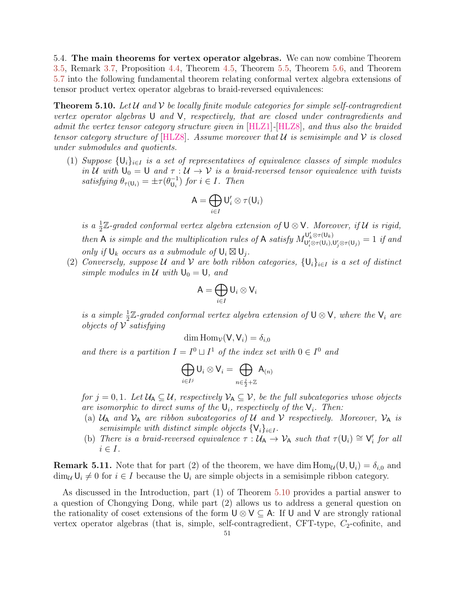<span id="page-50-0"></span>5.4. The main theorems for vertex operator algebras. We can now combine Theorem [3.5,](#page-27-2) Remark [3.7,](#page-27-3) Proposition [4.4,](#page-30-1) Theorem [4.5,](#page-31-1) Theorem [5.5,](#page-47-1) Theorem [5.6,](#page-48-2) and Theorem [5.7](#page-48-1) into the following fundamental theorem relating conformal vertex algebra extensions of tensor product vertex operator algebras to braid-reversed equivalences:

<span id="page-50-1"></span>**Theorem 5.10.** Let U and V be locally finite module categories for simple self-contragredient vertex operator algebras U and V, respectively, that are closed under contragredients and admit the vertex tensor category structure given in [\[HLZ1\]](#page-56-1)-[\[HLZ8\]](#page-56-2), and thus also the braided tensor category structure of  $[\text{HLZ8}]$ . Assume moreover that U is semisimple and V is closed under submodules and quotients.

(1) Suppose  $\{U_i\}_{i\in I}$  is a set of representatives of equivalence classes of simple modules in U with  $U_0 = U$  and  $\tau : U \to V$  is a braid-reversed tensor equivalence with twists satisfying  $\theta_{\tau(U_i)} = \pm \tau (\theta_{U_i}^{-1})$  $\bigcup_{i=1}^{-1}$  for  $i \in I$ . Then

$$
\mathsf{A}=\bigoplus_{i\in I}\mathsf{U}'_i\otimes\tau(\mathsf{U}_i)
$$

is a  $\frac{1}{2}\mathbb{Z}$ -graded conformal vertex algebra extension of  $\mathsf{U} \otimes \mathsf{V}$ . Moreover, if U is rigid, 2 then A is simple and the multiplication rules of A satisfy  $M_{\mathsf{L}^{\prime}\otimes\pi(\mathsf{U}_k)}^{\mathsf{U}'_k\otimes\pi(\mathsf{U}_k)}$  $\mathcal{L}^{U_k \otimes \tau(U_k)}_{U'_i \otimes \tau(U_i),U'_j \otimes \tau(U_j)} = 1$  if and only if  $\mathsf{U}_k$  occurs as a submodule of  $\mathsf{U}_i \boxtimes \mathsf{U}_j$ .

(2) Conversely, suppose U and V are both ribbon categories,  $\{U_i\}_{i\in I}$  is a set of distinct simple modules in U with  $U_0 = U$ , and

$$
\mathsf{A}=\bigoplus_{i\in I}\mathsf{U}_i\otimes\mathsf{V}_i
$$

is a simple  $\frac{1}{2}\mathbb{Z}$ -graded conformal vertex algebra extension of  $\mathsf{U}\otimes\mathsf{V}$ , where the  $\mathsf{V}_i$  are *objects of*  $V$  *satisfying* 

$$
\dim \operatorname{Hom}_{\mathcal{V}}(\mathsf{V}, \mathsf{V}_i) = \delta_{i,0}
$$

and there is a partition  $I = I^0 \sqcup I^1$  of the index set with  $0 \in I^0$  and

$$
\bigoplus_{i\in I^j} \mathsf{U}_i\otimes \mathsf{V}_i=\bigoplus_{n\in \frac{j}{2}+\mathbb{Z}} \mathsf{A}_{(n)}
$$

for  $j = 0, 1$ . Let  $\mathcal{U}_A \subseteq \mathcal{U}$ , respectively  $\mathcal{V}_A \subseteq \mathcal{V}$ , be the full subcategories whose objects are isomorphic to direct sums of the  $\mathsf{U}_i$ , respectively of the  $\mathsf{V}_i$ . Then:

- (a)  $U_A$  and  $V_A$  are ribbon subcategories of U and V respectively. Moreover,  $V_A$  is  $semisimple\ with\ distinct\ simple\ objects\ \{{\sf V}_i\}_{i\in I}.$
- (b) There is a braid-reversed equivalence  $\tau : \mathcal{U}_A \to \mathcal{V}_A$  such that  $\tau(U_i) \cong V'_i$  for all  $i \in I$ .

**Remark 5.11.** Note that for part (2) of the theorem, we have dim  $\text{Hom}_{\mathcal{U}}(U, U_i) = \delta_{i,0}$  and  $\dim_{\mathcal{U}}\mathsf{U}_i \neq 0$  for  $i \in I$  because the  $\mathsf{U}_i$  are simple objects in a semisimple ribbon category.

As discussed in the Introduction, part (1) of Theorem [5.10](#page-50-1) provides a partial answer to a question of Chongying Dong, while part (2) allows us to address a general question on the rationality of coset extensions of the form  $\bigcup \otimes \bigvee \subset A$ : If U and V are strongly rational vertex operator algebras (that is, simple, self-contragredient, CFT-type,  $C_2$ -cofinite, and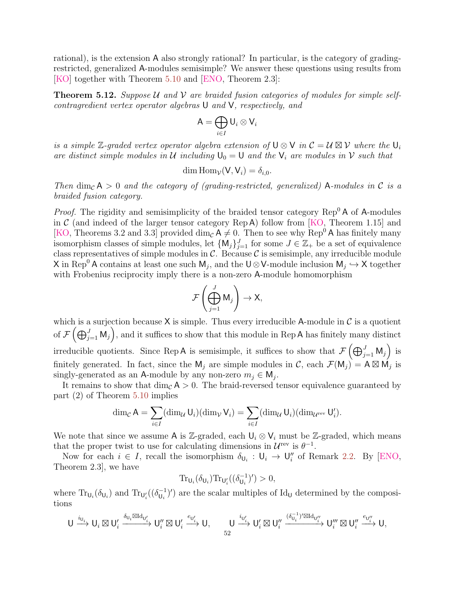rational), is the extension A also strongly rational? In particular, is the category of gradingrestricted, generalized A-modules semisimple? We answer these questions using results from [\[KO\]](#page-57-3) together with Theorem [5.10](#page-50-1) and [\[ENO,](#page-55-9) Theorem 2.3]:

<span id="page-51-0"></span>**Theorem 5.12.** Suppose U and V are braided fusion categories of modules for simple selfcontragredient vertex operator algebras U and V, respectively, and

$$
\mathsf{A}=\bigoplus_{i\in I}\mathsf{U}_i\otimes\mathsf{V}_i
$$

is a simple  $\mathbb{Z}$ -graded vertex operator algebra extension of  $\mathsf{U} \otimes \mathsf{V}$  in  $\mathcal{C} = \mathcal{U} \boxtimes \mathcal{V}$  where the  $\mathsf{U}_i$ are distinct simple modules in U including  $U_0 = U$  and the  $V_i$  are modules in V such that

$$
\dim \mathrm{Hom}_{\mathcal{V}}(\mathsf{V}, \mathsf{V}_i) = \delta_{i,0}.
$$

Then  $\dim_{\mathcal{C}} A > 0$  and the category of (grading-restricted, generalized) A-modules in C is a braided fusion category.

*Proof.* The rigidity and semisimplicity of the braided tensor category  $\text{Rep}^0 A$  of A-modules in  $\mathcal C$  (and indeed of the larger tensor category Rep A) follow from [\[KO,](#page-57-3) Theorem 1.15] and [\[KO,](#page-57-3) Theorems 3.2 and 3.3] provided  $\dim_{\mathcal{C}} A \neq 0$ . Then to see why Rep<sup>0</sup>A has finitely many isomorphism classes of simple modules, let  $\{M_j\}_{j=1}^J$  for some  $J \in \mathbb{Z}_+$  be a set of equivalence class representatives of simple modules in  $\mathcal{C}$ . Because  $\mathcal{C}$  is semisimple, any irreducible module X in Rep<sup>0</sup> A contains at least one such  $M_j$ , and the U⊗V-module inclusion  $M_j \hookrightarrow X$  together with Frobenius reciprocity imply there is a non-zero A-module homomorphism

$$
\mathcal{F}\left(\bigoplus_{j=1}^J \mathsf{M}_j\right) \to \mathsf{X},
$$

which is a surjection because  $X$  is simple. Thus every irreducible A-module in C is a quotient of  $\mathcal{F}(\bigoplus_{j=1}^J \mathsf{M}_j)$ , and it suffices to show that this module in Rep A has finitely many distinct irreducible quotients. Since Rep A is semisimple, it suffices to show that  $\mathcal{F}(\bigoplus_{j=1}^{J} M_j)$  is finitely generated. In fact, since the  $M_j$  are simple modules in C, each  $\mathcal{F}(M_j) = A \boxtimes M_j$  is singly-generated as an A-module by any non-zero  $m_j \in M_j$ .

It remains to show that  $\dim_{\mathcal{C}} A > 0$ . The braid-reversed tensor equivalence guaranteed by part (2) of Theorem [5.10](#page-50-1) implies

$$
\dim_{\mathcal{C}} A = \sum_{i \in I} (\dim_{\mathcal{U}} U_i) (\dim_{\mathcal{V}} V_i) = \sum_{i \in I} (\dim_{\mathcal{U}} U_i) (\dim_{\mathcal{U}^{\text{rev}}} U_i').
$$

We note that since we assume A is Z-graded, each  $\mathsf{U}_i \otimes \mathsf{V}_i$  must be Z-graded, which means that the proper twist to use for calculating dimensions in  $\mathcal{U}^{\text{rev}}$  is  $\theta^{-1}$ .

Now for each  $i \in I$ , recall the isomorphism  $\delta_{\mathsf{U}_i} : \mathsf{U}_i \to \mathsf{U}_i''$  of Remark [2.2.](#page-9-0) By [\[ENO,](#page-55-9) Theorem 2.3], we have

$$
\operatorname{Tr}_{\mathsf{U}_i}(\delta_{\mathsf{U}_i})\operatorname{Tr}_{\mathsf{U}'_i}((\delta_{\mathsf{U}_i}^{-1})')>0,
$$

where  $\text{Tr}_{\mathsf{U}_i}(\delta_{\mathsf{U}_i})$  and  $\text{Tr}_{\mathsf{U}'_i}((\delta_{\mathsf{U}_i}^{-1}$  $\mathcal{U}_{\mathsf{U}_i}^{-1}$ )') are the scalar multiples of Id<sub>U</sub> determined by the compositions

$$
\mathsf{U} \xrightarrow{i_{\mathsf{U}_i}} \mathsf{U}_i \boxtimes \mathsf{U}_i' \xrightarrow{\delta_{\mathsf{U}_i} \boxtimes \mathrm{Id}_{\mathsf{U}_i'}} \mathsf{U}_i'' \boxtimes \mathsf{U}_i' \xrightarrow{e_{\mathsf{U}_i'}} \mathsf{U}, \qquad \mathsf{U} \xrightarrow{i_{\mathsf{U}_i'}} \mathsf{U}_i' \boxtimes \mathsf{U}_i'' \xrightarrow{(\delta_{\mathsf{U}_i}^{-1})' \boxtimes \mathrm{Id}_{\mathsf{U}_i''}} \mathsf{U}_i''' \boxtimes \mathsf{U}_i'' \xrightarrow{e_{\mathsf{U}_i''}} \mathsf{U},
$$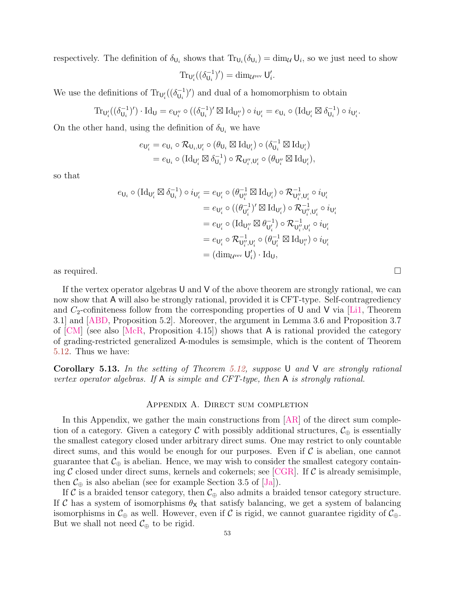respectively. The definition of  $\delta_{U_i}$  shows that  $Tr_{U_i}(\delta_{U_i}) = \dim_{\mathcal{U}} U_i$ , so we just need to show

$$
\operatorname{Tr}_{\mathsf{U}'_i}((\delta_{\mathsf{U}_i}^{-1})') = \dim_{\mathcal{U}^{\operatorname{rev}}} \mathsf{U}'_i.
$$

We use the definitions of  $\text{Tr}_{\mathsf{U}'_i}((\delta_{\mathsf{U}_i}^{-1}$  $\binom{-1}{U_i}$  and dual of a homomorphism to obtain

$$
\operatorname{Tr}_{\mathsf{U}'_i}((\delta_{\mathsf{U}_i}^{-1})')\cdot \operatorname{Id}_{\mathsf{U}}=e_{\mathsf{U}''_i}\circ ((\delta_{\mathsf{U}_i}^{-1})'\boxtimes \operatorname{Id}_{\mathsf{U}''_i})\circ i_{\mathsf{U}'_i}=e_{\mathsf{U}_i}\circ (\operatorname{Id}_{\mathsf{U}'_i}\boxtimes \delta_{\mathsf{U}_i}^{-1})\circ i_{\mathsf{U}'_i}.
$$

On the other hand, using the definition of  $\delta_{\mathsf{U}_i}$  we have

$$
\begin{aligned} e_{\mathsf{U}'_i} & = e_{\mathsf{U}_i} \circ \mathcal{R}_{\mathsf{U}_i, \mathsf{U}'_i} \circ (\theta_{\mathsf{U}_i} \boxtimes \mathrm{Id}_{\mathsf{U}'_i}) \circ (\delta_{\mathsf{U}_i}^{-1} \boxtimes \mathrm{Id}_{\mathsf{U}'_i}) \\ & = e_{\mathsf{U}_i} \circ (\mathrm{Id}_{\mathsf{U}'_i} \boxtimes \delta_{\mathsf{U}_i}^{-1}) \circ \mathcal{R}_{\mathsf{U}''_i, \mathsf{U}'_i} \circ (\theta_{\mathsf{U}''_i} \boxtimes \mathrm{Id}_{\mathsf{U}'_i}), \end{aligned}
$$

so that

$$
\begin{aligned} e_{\mathsf{U}_i} \circ (\mathrm{Id}_{\mathsf{U}'_i} \boxtimes \delta_{\mathsf{U}_i}^{-1}) \circ i_{\mathsf{U}'_i} &= e_{\mathsf{U}'_i} \circ (\theta_{\mathsf{U}''_i}^{-1} \boxtimes \mathrm{Id}_{\mathsf{U}'_i}) \circ \mathcal{R}_{\mathsf{U}'_i',\mathsf{U}'_i}^{-1} \circ i_{\mathsf{U}'_i} \\ &= e_{\mathsf{U}'_i} \circ ((\theta_{\mathsf{U}'_i}^{-1})' \boxtimes \mathrm{Id}_{\mathsf{U}'_i}) \circ \mathcal{R}_{\mathsf{U}''_i,\mathsf{U}'_i}^{-1} \circ i_{\mathsf{U}'_i} \\ &= e_{\mathsf{U}'_i} \circ (\mathrm{Id}_{\mathsf{U}''_i} \boxtimes \theta_{\mathsf{U}'_i}^{-1}) \circ \mathcal{R}_{\mathsf{U}''_i,\mathsf{U}'_i}^{-1} \circ i_{\mathsf{U}'_i} \\ &= e_{\mathsf{U}'_i} \circ \mathcal{R}_{\mathsf{U}''_i,\mathsf{U}'_i}^{-1} \circ (\theta_{\mathsf{U}'_i}^{-1} \boxtimes \mathrm{Id}_{\mathsf{U}''_i}) \circ i_{\mathsf{U}'_i} \\ &= (\dim_{\mathcal{U}^{\mathrm{rev}}} \mathsf{U}'_i) \cdot \mathrm{Id}_{\mathsf{U}}, \end{aligned}
$$

as required.  $\square$ 

If the vertex operator algebras U and V of the above theorem are strongly rational, we can now show that A will also be strongly rational, provided it is CFT-type. Self-contragrediency and  $C_2$ -cofiniteness follow from the corresponding properties of U and V via [\[Li1,](#page-57-12) Theorem 3.1] and [\[ABD,](#page-54-9) Proposition 5.2]. Moreover, the argument in Lemma 3.6 and Proposition 3.7 of [\[CM\]](#page-54-10) (see also [\[McR,](#page-57-7) Proposition 4.15]) shows that A is rational provided the category of grading-restricted generalized A-modules is semsimple, which is the content of Theorem [5.12.](#page-51-0) Thus we have:

<span id="page-52-1"></span>**Corollary 5.13.** In the setting of Theorem [5.12,](#page-51-0) suppose U and V are strongly rational vertex operator algebras. If  $A$  is simple and CFT-type, then  $A$  is strongly rational.

## Appendix A. Direct sum completion

<span id="page-52-0"></span>In this Appendix, we gather the main constructions from  $|AR|$  of the direct sum completion of a category. Given a category C with possibly additional structures,  $\mathcal{C}_{\oplus}$  is essentially the smallest category closed under arbitrary direct sums. One may restrict to only countable direct sums, and this would be enough for our purposes. Even if  $\mathcal C$  is abelian, one cannot guarantee that  $\mathcal{C}_{\oplus}$  is abelian. Hence, we may wish to consider the smallest category containing  $\mathcal C$  closed under direct sums, kernels and cokernels; see [\[CGR\]](#page-55-21). If  $\mathcal C$  is already semisimple, then  $\mathcal{C}_{\oplus}$  is also abelian (see for example Section 3.5 of [\[Ja\]](#page-56-7)).

If C is a braided tensor category, then  $\mathcal{C}_{\oplus}$  also admits a braided tensor category structure. If C has a system of isomorphisms  $\theta_{\mathsf{X}}$  that satisfy balancing, we get a system of balancing isomorphisms in  $\mathcal{C}_{\oplus}$  as well. However, even if  $\mathcal{C}$  is rigid, we cannot guarantee rigidity of  $\mathcal{C}_{\oplus}$ . But we shall not need  $\mathcal{C}_{\oplus}$  to be rigid.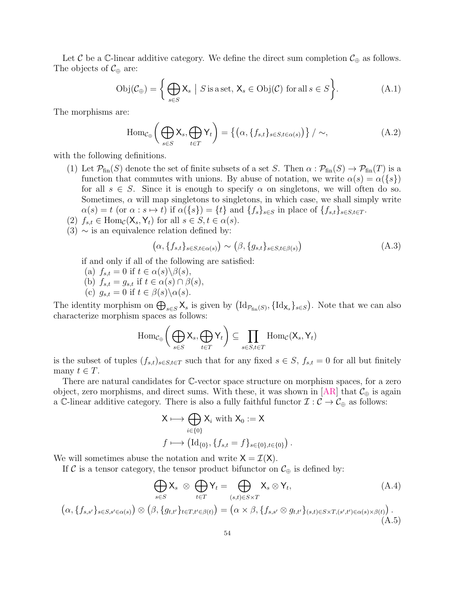Let C be a C-linear additive category. We define the direct sum completion  $\mathcal{C}_{\oplus}$  as follows. The objects of  $\mathcal{C}_{\oplus}$  are:

$$
Obj(\mathcal{C}_{\oplus}) = \left\{ \bigoplus_{s \in S} X_s \mid S \text{ is a set, } X_s \in Obj(\mathcal{C}) \text{ for all } s \in S \right\}.
$$
 (A.1)

The morphisms are:

$$
\text{Hom}_{\mathcal{C}_{\oplus}}\left(\bigoplus_{s\in S} \mathsf{X}_s, \bigoplus_{t\in T} \mathsf{Y}_t\right) = \left\{ \left(\alpha, \{f_{s,t}\}_{s\in S, t\in \alpha(s)}\right) \right\} / \sim, \tag{A.2}
$$

with the following definitions.

- (1) Let  $\mathcal{P}_{fin}(S)$  denote the set of finite subsets of a set S. Then  $\alpha : \mathcal{P}_{fin}(S) \to \mathcal{P}_{fin}(T)$  is a function that commutes with unions. By abuse of notation, we write  $\alpha(s) = \alpha({s})$ for all  $s \in S$ . Since it is enough to specify  $\alpha$  on singletons, we will often do so. Sometimes,  $\alpha$  will map singletons to singletons, in which case, we shall simply write  $\alpha(s) = t$  (or  $\alpha : s \mapsto t$ ) if  $\alpha({s}) = {t}$  and  ${f_s}_{s \in S}$  in place of  ${f_{s,t}}_{s \in S,t \in T}$ .
- (2)  $f_{s,t} \in \text{Hom}_{\mathcal{C}}(\mathsf{X}_s, \mathsf{Y}_t)$  for all  $s \in S, t \in \alpha(s)$ .
- $(3) \sim$  is an equivalence relation defined by:

$$
(\alpha, \{f_{s,t}\}_{s \in S, t \in \alpha(s)}) \sim (\beta, \{g_{s,t}\}_{s \in S, t \in \beta(s)})
$$
(A.3)

if and only if all of the following are satisfied:

- (a)  $f_{s,t} = 0$  if  $t \in \alpha(s) \backslash \beta(s)$ ,
- (b)  $f_{s,t} = g_{s,t}$  if  $t \in \alpha(s) \cap \beta(s)$ ,
- (c)  $g_{s,t} = 0$  if  $t \in \beta(s) \setminus \alpha(s)$ .

The identity morphism on  $\bigoplus_{s\in S} \mathsf{X}_s$  is given by  $(\mathrm{Id}_{\mathcal{P}_{fin}(S)}, {\mathrm{Id}_{\mathsf{X}_s}}_{s\in S})$ . Note that we can also characterize morphism spaces as follows:

$$
\mathrm{Hom}_{\mathcal{C}_{\oplus}}\bigg(\bigoplus_{s\in S} \mathsf{X}_s, \bigoplus_{t\in T} \mathsf{Y}_t\bigg) \subseteq \prod_{s\in S, t\in T} \mathrm{Hom}_{\mathcal{C}}(\mathsf{X}_s, \mathsf{Y}_t)
$$

is the subset of tuples  $(f_{s,t})_{s\in S,t\in T}$  such that for any fixed  $s\in S$ ,  $f_{s,t}=0$  for all but finitely many  $t \in T$ .

There are natural candidates for C-vector space structure on morphism spaces, for a zero object, zero morphisms, and direct sums. With these, it was shown in [\[AR\]](#page-54-7) that  $\mathcal{C}_{\oplus}$  is again a C-linear additive category. There is also a fully faithful functor  $\mathcal{I} : \mathcal{C} \to \mathcal{C}_{\oplus}$  as follows:

$$
\mathsf{X} \longmapsto \bigoplus_{i \in \{0\}} \mathsf{X}_i \text{ with } \mathsf{X}_0 := \mathsf{X}
$$

$$
f \longmapsto (\mathrm{Id}_{\{0\}}, \{f_{s,t} = f\}_{s \in \{0\}, t \in \{0\}}).
$$

We will sometimes abuse the notation and write  $X = \mathcal{I}(X)$ .

If C is a tensor category, the tensor product bifunctor on  $\mathcal{C}_{\oplus}$  is defined by:

$$
\bigoplus_{s \in S} \mathsf{X}_s \otimes \bigoplus_{t \in T} \mathsf{Y}_t = \bigoplus_{(s,t) \in S \times T} \mathsf{X}_s \otimes \mathsf{Y}_t,\tag{A.4}
$$

$$
\left(\alpha,\left\{f_{s,s'}\right\}_{s\in S,s'\in\alpha(s)}\right)\otimes\left(\beta,\left\{g_{t,t'}\right\}_{t\in T,t'\in\beta(t)}\right)=\left(\alpha\times\beta,\left\{f_{s,s'}\otimes g_{t,t'}\right\}_{(s,t)\in S\times T,(s',t')\in\alpha(s)\times\beta(t)}\right).
$$
\n(A.5)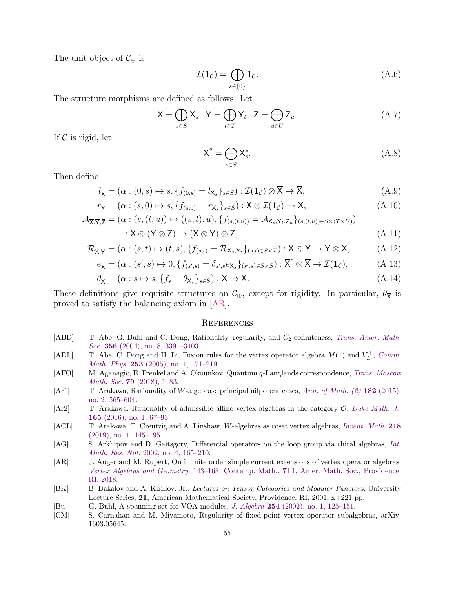The unit object of  $C_{\oplus}$  is

$$
\mathcal{I}(\mathbf{1}_{\mathcal{C}}) = \bigoplus_{s \in \{0\}} \mathbf{1}_{\mathcal{C}}.\tag{A.6}
$$

The structure morphisms are defined as follows. Let

$$
\overline{X} = \bigoplus_{s \in S} X_s, \ \overline{Y} = \bigoplus_{t \in T} Y_t, \ \overline{Z} = \bigoplus_{u \in U} Z_u.
$$
 (A.7)

If  $\mathcal C$  is rigid, let

$$
\overline{\mathsf{X}}^* = \bigoplus_{s \in S} \mathsf{X}_s^*.
$$
\n(A.8)

Then define

$$
l_{\overline{\mathbf{X}}} = (\alpha : (0, s) \mapsto s, \{f_{(0, s)} = l_{\mathbf{X}_s}\}_{s \in S}) : \mathcal{I}(\mathbf{1}_{\mathcal{C}}) \otimes \overline{\mathbf{X}} \to \overline{\mathbf{X}},
$$
(A.9)

$$
r_{\overline{\mathbf{X}}} = (\alpha : (s, 0) \mapsto s, \{f_{(s,0)} = r_{\mathbf{X}_s}\}_{s \in S}) : \overline{\mathbf{X}} \otimes \mathcal{I}(\mathbf{1}_{\mathcal{C}}) \to \overline{\mathbf{X}},
$$
(A.10)

$$
\mathcal{A}_{\overline{X}, \overline{Y}, \overline{Z}} = (\alpha : (s, (t, u)) \mapsto ((s, t), u), \{f_{(s, (t, u))} = \mathcal{A}_{X_s, Y_t, Z_u}\}_{(s, (t, u)) \in S \times (T \times U)})
$$
\n
$$
: \overline{X} \otimes (\overline{Y} \otimes \overline{Z}) \to (\overline{X} \otimes \overline{Y}) \otimes \overline{Z},
$$
\n(A.11)

$$
\mathcal{R}_{\overline{X},\overline{Y}} = (\alpha : (s,t) \mapsto (t,s), \{f_{(s,t)} = \mathcal{R}_{X_s,Y_t}\}_{(s,t) \in S \times T}) : \overline{X} \otimes \overline{Y} \to \overline{Y} \otimes \overline{X},
$$
(A.12)

$$
e_{\overline{\mathsf{X}}} = (\alpha : (s', s) \mapsto 0, \{f_{(s', s)} = \delta_{s', s} e_{\mathsf{X}_s}\}_{(s', s) \in S \times S}) : \overline{\mathsf{X}}^* \otimes \overline{\mathsf{X}} \to \mathcal{I}(\mathbf{1}_{\mathcal{C}}),
$$
(A.13)

$$
\theta_{\overline{\mathbf{X}}} = (\alpha : s \mapsto s, \{f_s = \theta_{\mathbf{X}_s}\}_{s \in S}) : \overline{\mathbf{X}} \to \overline{\mathbf{X}}.\tag{A.14}
$$

These definitions give requisite structures on  $\mathcal{C}_{\oplus}$ , except for rigidity. In particular,  $\theta_{\overline{X}}$  is proved to satisfy the balancing axiom in [\[AR\]](#page-54-7).

#### <span id="page-54-0"></span>**REFERENCES**

- <span id="page-54-9"></span>[ABD] T. Abe, G. Buhl and C. Dong, Rationality, regularity, and  $C_2$ -cofiniteness, [Trans. Amer. Math.](http://dx.doi.org/10.1090/S0002-9947-03-03413-5) Soc. **356** (2004), no. 8, 3391-3403.
- <span id="page-54-8"></span>[ADL] T. Abe, C. Dong and H. Li, Fusion rules for the vertex operator algebra  $M(1)$  and  $V_L^+$ , [Comm.](http://dx.doi.org/10.1007/s00220-004-1132-5) Math. Phys. 253 [\(2005\), no. 1, 171–219.](http://dx.doi.org/10.1007/s00220-004-1132-5)
- <span id="page-54-1"></span>[AFO] M. Aganagic, E. Frenkel and A. Okounkov, Quantum q-Langlands correspondence, [Trans. Moscow](http://dx.doi.org/10.1090/mosc/278) Math. Soc. 79 [\(2018\), 1–83.](http://dx.doi.org/10.1090/mosc/278)
- <span id="page-54-5"></span>[Ar1] T. Arakawa, Rationality of W-algebras: principal nilpotent cases, [Ann. of Math. \(2\)](http://dx.doi.org/10.4007/annals.2015.182.2.4) 182 (2015), [no. 2, 565–604.](http://dx.doi.org/10.4007/annals.2015.182.2.4)
- <span id="page-54-3"></span>[Ar2] T. Arakawa, Rationality of admissible affine vertex algebras in the category  $\mathcal{O}$ , [Duke Math. J.](http://dx.doi.org/10.1215/00127094-3165113), 165 [\(2016\), no. 1, 67–93.](http://dx.doi.org/10.1215/00127094-3165113)
- <span id="page-54-6"></span>[ACL] T. Arakawa, T. Creutzig and A. Linshaw, W-algebras as coset vertex algebras, [Invent. Math.](http://dx.doi.org/10.1007/s00222-019-00884-3) 218 [\(2019\), no. 1, 145–195.](http://dx.doi.org/10.1007/s00222-019-00884-3)
- <span id="page-54-2"></span>[AG] S. Arkhipov and D. Gaitsgory, Differential operators on the loop group via chiral algebras, [Int.](http://dx.doi.org/10.1155/S1073792802102078) Math. Res. Not. [2002, no. 4, 165–210.](http://dx.doi.org/10.1155/S1073792802102078)
- <span id="page-54-7"></span>[AR] J. Auger and M. Rupert, On infinite order simple current extensions of vertex operator algebras, Vertex Algebras and Geometry, 143–168, Contemp. Math., 711[, Amer. Math. Soc., Providence,](http://dx.doi.org/10.1090/conm/711) [RI, 2018.](http://dx.doi.org/10.1090/conm/711)
- <span id="page-54-4"></span>[BK] B. Bakalov and A. Kirillov, Jr., Lectures on Tensor Categories and Modular Functors, University Lecture Series, 21, American Mathematical Society, Providence, RI, 2001, x+221 pp.
- [Bu] G. Buhl, A spanning set for VOA modules, J. Algebra 254 [\(2002\), no. 1, 125–151.](http://dx.doi.org/10.1016/S0021-8693(02)00056-X)
- <span id="page-54-10"></span>[CM] S. Carnahan and M. Miyamoto, Regularity of fixed-point vertex operator subalgebras, arXiv: 1603.05645.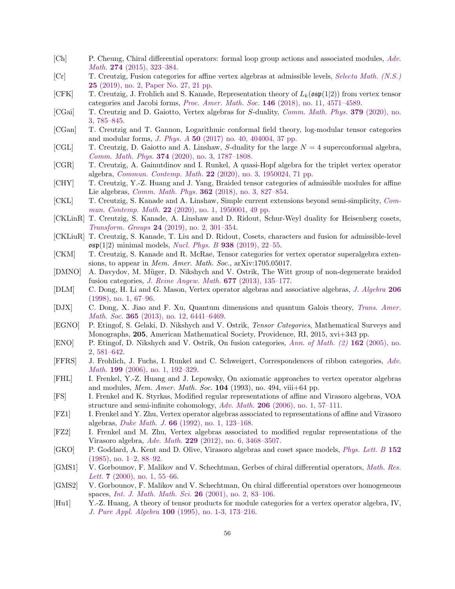- <span id="page-55-13"></span>[Ch] P. Cheung, Chiral differential operators: formal loop group actions and associated modules, [Adv.](http://dx.doi.org/10.1016/j.aim.2014.12.036) Math. 274 [\(2015\), 323–384.](http://dx.doi.org/10.1016/j.aim.2014.12.036)
- <span id="page-55-15"></span>[Cr] T. Creutzig, Fusion categories for affine vertex algebras at admissible levels, [Selecta Math. \(N.S.\)](http://dx.doi.org/10.1007/s00029-019-0479-6) 25 [\(2019\), no. 2, Paper No. 27, 21 pp.](http://dx.doi.org/10.1007/s00029-019-0479-6)
- <span id="page-55-19"></span>[CFK] T. Creutzig, J. Frohlich and S. Kanade, Representation theory of  $L_k(\mathfrak{osp}(1|2))$  from vertex tensor categories and Jacobi forms, Proc. Amer. Math. Soc. 146 [\(2018\), no. 11, 4571–4589.](http://dx.doi.org/10.1090/proc/14066)
- <span id="page-55-0"></span>[CGai] T. Creutzig and D. Gaiotto, Vertex algebras for S-duality, [Comm. Math. Phys.](http://dx.doi.org/10.1007/s00220-020-03870-6) 379 (2020), no. [3, 785–845.](http://dx.doi.org/10.1007/s00220-020-03870-6)
- <span id="page-55-6"></span>[CGan] T. Creutzig and T. Gannon, Logarithmic conformal field theory, log-modular tensor categories and modular forms, J. Phys. A 50 [\(2017\) no. 40, 404004, 37 pp.](http://dx.doi.org/10.1088/1751-8121/aa8538)
- <span id="page-55-10"></span>[CGL] T. Creutzig, D. Gaiotto and A. Linshaw, S-duality for the large  $N = 4$  superconformal algebra, Comm. Math. Phys. 374 [\(2020\), no. 3, 1787–1808.](http://dx.doi.org/10.1007/s00220-019-03673-4)
- <span id="page-55-21"></span>[CGR] T. Creutzig, A. Gainutdinov and I. Runkel, A quasi-Hopf algebra for the triplet vertex operator algebra, Commun. Contemp. Math. 22 [\(2020\), no. 3, 1950024, 71 pp.](http://dx.doi.org/10.1142/S021919971950024X)
- <span id="page-55-14"></span>[CHY] T. Creutzig, Y.-Z. Huang and J. Yang, Braided tensor categories of admissible modules for affine Lie algebras, Comm. Math. Phys. 362 [\(2018\), no. 3, 827–854.](http://dx.doi.org/10.1007/s00220-018-3217-6)
- <span id="page-55-22"></span>[CKL] T. Creutzig, S. Kanade and A. Linshaw, Simple current extensions beyond semi-simplicity, [Com-](http://dx.doi.org/10.1142/S0219199719500019)mun. Contemp. Math. 22 [\(2020\), no. 1, 1950001, 49 pp.](http://dx.doi.org/10.1142/S0219199719500019)
- <span id="page-55-24"></span>[CKLinR] T. Creutzig, S. Kanade, A. Linshaw and D. Ridout, Schur-Weyl duality for Heisenberg cosets, Transform. Groups 24 [\(2019\), no. 2, 301–354.](http://dx.doi.org/10.1007/s00031-018-9497-2)
- <span id="page-55-20"></span>[CKLiuR] T. Creutzig, S. Kanade, T. Liu and D. Ridout, Cosets, characters and fusion for admissible-level  $\mathfrak{osp}(1|2)$  minimal models, *[Nucl. Phys. B](http://dx.doi.org/10.1016/j.nuclphysb.2018.10.022)* 938 (2019), 22-55.
- <span id="page-55-7"></span>[CKM] T. Creutzig, S. Kanade and R. McRae, Tensor categories for vertex operator superalgebra extensions, to appear in *Mem. Amer. Math. Soc.*, arXiv:1705.05017.
- <span id="page-55-2"></span>[DMNO] A. Davydov, M. M¨uger, D. Nikshych and V. Ostrik, The Witt group of non-degenerate braided fusion categories, [J. Reine Angew. Math.](http://dx.doi.org/10.1515/crelle.2012.014) 677 (2013), 135–177.
- [DLM] C. Dong, H. Li and G. Mason, Vertex operator algebras and associative algebras, [J. Algebra](http://dx.doi.org/10.1006/jabr.1998.7425) 206 [\(1998\), no. 1, 67–96.](http://dx.doi.org/10.1006/jabr.1998.7425)
- <span id="page-55-8"></span>[DJX] C. Dong, X. Jiao and F. Xu, Quantum dimensions and quantum Galois theory, [Trans. Amer.](http://dx.doi.org/10.1090/S0002-9947-2013-05863-1) Math. Soc. 365 (2013), no. 12, 6441-6469.
- <span id="page-55-1"></span>[EGNO] P. Etingof, S. Gelaki, D. Nikshych and V. Ostrik, Tensor Categories, Mathematical Surveys and Monographs, 205, American Mathematical Society, Providence, RI, 2015, xvi+343 pp.
- <span id="page-55-9"></span>[ENO] P. Etingof, D. Nikshych and V. Ostrik, On fusion categories, [Ann. of Math. \(2\)](http://dx.doi.org/10.4007/annals.2005.162.581) 162 (2005), no. [2, 581–642.](http://dx.doi.org/10.4007/annals.2005.162.581)
- <span id="page-55-18"></span>[FFRS] J. Frohlich, J. Fuchs, I. Runkel and C. Schweigert, Correspondences of ribbon categories, [Adv.](http://dx.doi.org/10.1016/j.aim.2005.04.007) Math. 199 [\(2006\), no. 1, 192–329.](http://dx.doi.org/10.1016/j.aim.2005.04.007)
- <span id="page-55-3"></span>[FHL] I. Frenkel, Y.-Z. Huang and J. Lepowsky, On axiomatic approaches to vertex operator algebras and modules, Mem. Amer. Math. Soc.  $104$  (1993), no. 494, viii+64 pp.
- <span id="page-55-4"></span>[FS] I. Frenkel and K. Styrkas, Modified regular representations of affine and Virasoro algebras, VOA structure and semi-infinite cohomology, Adv. Math. 206 [\(2006\), no. 1, 57–111.](http://dx.doi.org/10.1016/j.aim.2005.08.005)
- <span id="page-55-16"></span>[FZ1] I. Frenkel and Y. Zhu, Vertex operator algebras associated to representations of affine and Virasoro algebras, Duke Math. J. 66 [\(1992\), no. 1, 123–168.](http://dx.doi.org/10.1215/S0012-7094-92-06604-X)
- <span id="page-55-5"></span>[FZ2] I. Frenkel and M. Zhu, Vertex algebras associated to modified regular representations of the Virasoro algebra, Adv. Math. 229 [\(2012\), no. 6, 3468–3507.](http://dx.doi.org/10.1016/j.aim.2012.02.008)
- <span id="page-55-17"></span>[GKO] P. Goddard, A. Kent and D. Olive, Virasoro algebras and coset space models, [Phys. Lett. B](http://dx.doi.org/10.1016/0370-2693(85)91145-1) 152 [\(1985\), no. 1–2, 88–92.](http://dx.doi.org/10.1016/0370-2693(85)91145-1)
- <span id="page-55-11"></span>[GMS1] V. Gorbounov, F. Malikov and V. Schechtman, Gerbes of chiral differential operators, [Math. Res.](http://dx.doi.org/10.4310/MRL.2000.v7.n1.a5) *Lett.* 7 [\(2000\), no. 1, 55–66.](http://dx.doi.org/10.4310/MRL.2000.v7.n1.a5)
- <span id="page-55-12"></span>[GMS2] V. Gorbounov, F. Malikov and V. Schechtman, On chiral differential operators over homogeneous spaces, [Int. J. Math. Math. Sci.](http://dx.doi.org/10.1155/S0161171201020051) 26 (2001), no. 2, 83–106.
- <span id="page-55-23"></span>[Hu1] Y.-Z. Huang, A theory of tensor products for module categories for a vertex operator algebra, IV, J. Pure Appl. Algebra 100 [\(1995\), no. 1-3, 173–216.](http://dx.doi.org/10.1016/0022-4049(95)00050-7)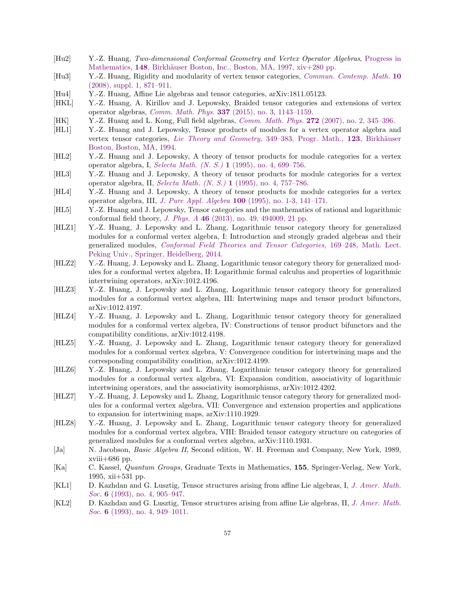- [Hu2] Y.-Z. Huang, Two-dimensional Conformal Geometry and Vertex Operator Algebras, [Progress in](http://dx.doi.org/10.1007/978-1-4612-4276-5) Mathematics, 148, Birkhäuser Boston, Inc., Boston, MA, 1997, xiv+280 pp.
- <span id="page-56-4"></span>[Hu3] Y.-Z. Huang, Rigidity and modularity of vertex tensor categories, [Commun. Contemp. Math.](http://dx.doi.org/10.1142/S0219199708003083) 10 [\(2008\), suppl. 1, 871–911.](http://dx.doi.org/10.1142/S0219199708003083)
- <span id="page-56-6"></span>[Hu4] Y.-Z. Huang, Affine Lie algebras and tensor categories, arXiv:1811.05123.
- <span id="page-56-0"></span>[HKL] Y.-Z. Huang, A. Kirillov and J. Lepowsky, Braided tensor categories and extensions of vertex operator algebras, Comm. Math. Phys. 337 [\(2015\), no. 3, 1143–1159.](http://dx.doi.org/10.1007/s00220-015-2292-1)
- <span id="page-56-3"></span>[HK] Y.-Z. Huang and L. Kong, Full field algebras, Comm. Math. Phys. 272 [\(2007\), no. 2, 345–396.](http://dx.doi.org/10.1007/s00220-007-0224-4)
- <span id="page-56-9"></span>[HL1] Y.-Z. Huang and J. Lepowsky, Tensor products of modules for a vertex operator algebra and vertex tensor categories, [Lie Theory and Geometry](http://dx.doi.org/10.1007/978-1-4612-0261-5_13), 349–383, Progr. Math., 123, Birkhäuser [Boston, Boston, MA, 1994.](http://dx.doi.org/10.1007/978-1-4612-0261-5_13)
- <span id="page-56-10"></span>[HL2] Y.-Z. Huang and J. Lepowsky, A theory of tensor products for module categories for a vertex operator algebra, I, Selecta Math. (N. S.) 1 [\(1995\), no. 4, 699–756.](http://dx.doi.org/10.1007/BF01587908)
- [HL3] Y.-Z. Huang and J. Lepowsky, A theory of tensor products for module categories for a vertex operator algebra, II, Selecta Math. (N. S.) 1 [\(1995\), no. 4, 757–786.](http://dx.doi.org/10.1007/BF01587909)
- <span id="page-56-11"></span>[HL4] Y.-Z. Huang and J. Lepowsky, A theory of tensor products for module categories for a vertex operator algebra, III, J. Pure Appl. Algebra 100 [\(1995\), no. 1-3, 141–171.](http://dx.doi.org/10.1016/0022-4049(95)00049-3)
- <span id="page-56-13"></span>[HL5] Y.-Z. Huang and J. Lepowsky, Tensor categories and the mathematics of rational and logarithmic conformal field theory, J. Phys. A 46 [\(2013\), no. 49, 494009, 21 pp.](http://dx.doi.org/10.1088/1751-8113/46/49/494009)
- <span id="page-56-1"></span>[HLZ1] Y.-Z. Huang, J. Lepowsky and L. Zhang, Logarithmic tensor category theory for generalized modules for a conformal vertex algebra, I: Introduction and strongly graded algebras and their generalized modules, [Conformal Field Theories and Tensor Categories](http://dx.doi.org/10.1007/978-3-642-39383-9_5), 169–248, Math. Lect. [Peking Univ., Springer, Heidelberg, 2014.](http://dx.doi.org/10.1007/978-3-642-39383-9_5)
- [HLZ2] Y.-Z. Huang, J. Lepowsky and L. Zhang, Logarithmic tensor category theory for generalized modules for a conformal vertex algebra, II: Logarithmic formal calculus and properties of logarithmic intertwining operators, arXiv:1012.4196.
- <span id="page-56-12"></span>[HLZ3] Y.-Z. Huang, J. Lepowsky and L. Zhang, Logarithmic tensor category theory for generalized modules for a conformal vertex algebra, III: Intertwining maps and tensor product bifunctors, arXiv:1012.4197.
- [HLZ4] Y.-Z. Huang, J. Lepowsky and L. Zhang, Logarithmic tensor category theory for generalized modules for a conformal vertex algebra, IV: Constructions of tensor product bifunctors and the compatibility conditions, arXiv:1012.4198.
- [HLZ5] Y.-Z. Huang, J. Lepowsky and L. Zhang, Logarithmic tensor category theory for generalized modules for a conformal vertex algebra, V: Convergence condition for intertwining maps and the corresponding compatibility condition, arXiv:1012.4199.
- [HLZ6] Y.-Z. Huang, J. Lepowsky and L. Zhang, Logarithmic tensor category theory for generalized modules for a conformal vertex algebra, VI: Expansion condition, associativity of logarithmic intertwining operators, and the associativity isomorphisms, arXiv:1012.4202.
- [HLZ7] Y.-Z. Huang, J. Lepowsky and L. Zhang, Logarithmic tensor category theory for generalized modules for a conformal vertex algebra, VII: Convergence and extension properties and applications to expansion for intertwining maps, arXiv:1110.1929.
- <span id="page-56-2"></span>[HLZ8] Y.-Z. Huang, J. Lepowsky and L. Zhang, Logarithmic tensor category theory for generalized modules for a conformal vertex algebra, VIII: Braided tensor category structure on categories of generalized modules for a conformal vertex algebra, arXiv:1110.1931.
- <span id="page-56-7"></span>[Ja] N. Jacobson, Basic Algebra II, Second edition, W. H. Freeman and Company, New York, 1989, xviii+686 pp.
- <span id="page-56-8"></span>[Ka] C. Kassel, Quantum Groups, Graduate Texts in Mathematics, 155, Springer-Verlag, New York, 1995, xii+531 pp.
- <span id="page-56-5"></span>[KL1] D. Kazhdan and G. Lusztig, Tensor structures arising from affine Lie algebras, I, [J. Amer. Math.](http://dx.doi.org/10.2307/2152745) Soc. 6 (1993), no. 4, 905-947.
- [KL2] D. Kazhdan and G. Lusztig, Tensor structures arising from affine Lie algebras, II, [J. Amer. Math.](http://dx.doi.org/10.2307/2152746) Soc. 6 [\(1993\), no. 4, 949–1011.](http://dx.doi.org/10.2307/2152746)